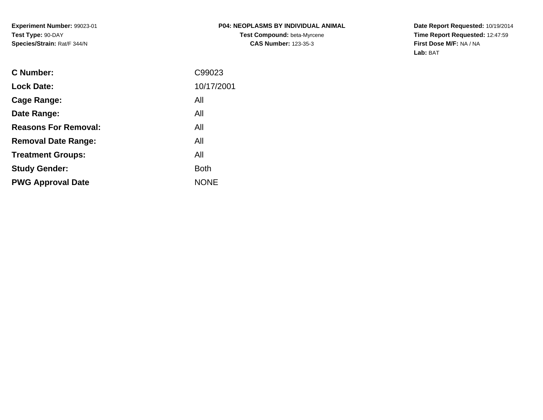**Date Report Requested:** 10/19/2014 **Time Report Requested:** 12:47:59**First Dose M/F:** NA / NA**Lab:** BAT

| <b>C</b> Number:            | C99023      |
|-----------------------------|-------------|
| <b>Lock Date:</b>           | 10/17/2001  |
| Cage Range:                 | All         |
| Date Range:                 | All         |
| <b>Reasons For Removal:</b> | All         |
| <b>Removal Date Range:</b>  | All         |
| <b>Treatment Groups:</b>    | All         |
| <b>Study Gender:</b>        | <b>Both</b> |
| <b>PWG Approval Date</b>    | <b>NONE</b> |
|                             |             |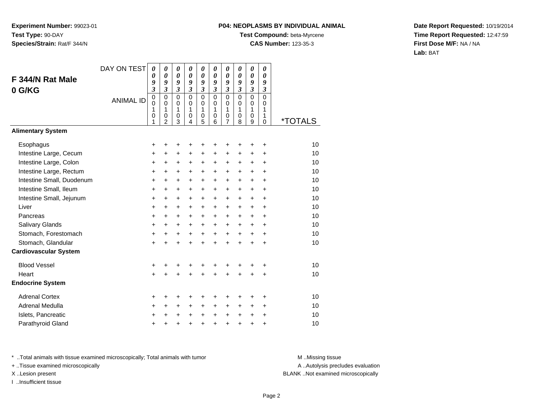# **P04: NEOPLASMS BY INDIVIDUAL ANIMAL**

**Test Compound:** beta-Myrcene**CAS Number:** 123-35-3

**Date Report Requested:** 10/19/2014**Time Report Requested:** 12:47:59**First Dose M/F:** NA / NA**Lab:** BAT

| DAY ON TEST | $\boldsymbol{\theta}$   | $\boldsymbol{\theta}$           | 0                                                                | 0                                  | 0                                                                | 0                                          | 0                                                   | 0                                                                | 0                                                   | 0                                         |                                  |
|-------------|-------------------------|---------------------------------|------------------------------------------------------------------|------------------------------------|------------------------------------------------------------------|--------------------------------------------|-----------------------------------------------------|------------------------------------------------------------------|-----------------------------------------------------|-------------------------------------------|----------------------------------|
|             |                         |                                 |                                                                  |                                    |                                                                  |                                            |                                                     |                                                                  |                                                     |                                           |                                  |
|             | $\overline{\mathbf{3}}$ | $\mathfrak{z}$                  | $\boldsymbol{\mathfrak{z}}$                                      | $\mathfrak{z}$                     | $\mathfrak{z}$                                                   | $\mathfrak{z}$                             | $\mathfrak{z}$                                      | $\mathfrak{z}$                                                   | $\overline{\mathbf{3}}$                             | $\mathfrak{z}$                            |                                  |
|             | $\mathbf 0$             | $\mathbf 0$                     | $\mathbf 0$                                                      | $\mathbf 0$                        | $\mathbf 0$                                                      | $\mathbf 0$                                | $\mathbf 0$                                         | $\mathbf 0$                                                      | $\mathbf 0$                                         | $\overline{0}$                            |                                  |
|             |                         |                                 |                                                                  |                                    |                                                                  |                                            |                                                     |                                                                  |                                                     |                                           |                                  |
|             | 0                       | $\boldsymbol{0}$                | $\boldsymbol{0}$                                                 | 0                                  | 0                                                                | 0                                          | 0                                                   | 0                                                                | 0                                                   | 1                                         |                                  |
|             |                         |                                 |                                                                  |                                    |                                                                  |                                            |                                                     |                                                                  |                                                     |                                           | *TOTALS                          |
|             |                         |                                 |                                                                  |                                    |                                                                  |                                            |                                                     |                                                                  |                                                     |                                           |                                  |
|             | +                       | +                               | +                                                                | +                                  | +                                                                | +                                          | +                                                   | +                                                                | +                                                   | ٠                                         | 10                               |
|             | +                       | $\ddot{}$                       | $\ddot{}$                                                        | $\ddot{}$                          | $\ddot{}$                                                        | $\ddot{}$                                  | $\ddot{}$                                           | $\ddot{}$                                                        | +                                                   | +                                         | 10                               |
|             | +                       | +                               | $\ddot{}$                                                        | +                                  | $\ddot{}$                                                        | +                                          | $\ddot{}$                                           | $\pm$                                                            | +                                                   | $\ddot{}$                                 | 10                               |
|             | +                       | +                               | +                                                                | +                                  | +                                                                | +                                          | +                                                   | $\ddot{}$                                                        | +                                                   | $\ddot{}$                                 | 10                               |
|             | +                       | +                               | $\ddot{}$                                                        | +                                  | $\ddot{}$                                                        | $\ddot{}$                                  | $\ddot{}$                                           | $\ddot{}$                                                        | $\ddot{}$                                           | $\ddot{}$                                 | 10                               |
|             | +                       | +                               | $\ddot{}$                                                        | +                                  | $\ddot{}$                                                        | $\ddot{}$                                  | $\ddot{}$                                           | +                                                                | +                                                   | +                                         | 10                               |
|             | $\ddot{}$               | +                               | +                                                                | +                                  | $\ddot{}$                                                        | $\ddot{}$                                  | $\ddot{}$                                           | $\ddot{}$                                                        | $\ddot{}$                                           | $\ddot{}$                                 | 10                               |
|             | +                       | $\ddot{}$                       | $\ddot{}$                                                        | +                                  | $\ddot{}$                                                        | $\ddot{}$                                  | $\ddot{}$                                           | $\ddot{}$                                                        | $+$                                                 | $\ddot{}$                                 | 10                               |
|             | +                       | +                               | $\ddot{}$                                                        | $\pm$                              | $\ddot{}$                                                        | $\ddot{}$                                  | $\ddot{}$                                           | $\pm$                                                            | $\pm$                                               | $\ddot{}$                                 | 10                               |
|             | +                       | $\ddot{}$                       | $\ddot{}$                                                        | +                                  | $\ddot{}$                                                        | $\ddot{}$                                  | $\ddot{}$                                           | $\ddot{}$                                                        | +                                                   | $\ddot{}$                                 | 10                               |
|             | $\ddot{}$               | $\ddot{}$                       | +                                                                | $\ddot{}$                          | $\ddot{}$                                                        | $\ddot{}$                                  | $+$                                                 | $+$                                                              | $\ddot{}$                                           | $\ddot{}$                                 | 10                               |
|             | $\ddot{}$               | $\ddot{}$                       | $\ddot{}$                                                        | $\ddot{}$                          | $\ddot{}$                                                        | $\ddot{}$                                  | $\ddot{}$                                           | $\ddot{}$                                                        | $\ddot{}$                                           | $\ddot{}$                                 | 10                               |
|             |                         |                                 |                                                                  |                                    |                                                                  |                                            |                                                     |                                                                  |                                                     |                                           |                                  |
|             | +                       | +                               | +                                                                | +                                  | +                                                                | +                                          | +                                                   |                                                                  | +                                                   | +                                         | 10                               |
|             | $\ddot{}$               |                                 | $\ddot{}$                                                        | +                                  | $\ddot{}$                                                        | $\ddot{}$                                  | $\ddot{}$                                           | $\ddot{}$                                                        | +                                                   | +                                         | 10                               |
|             |                         |                                 |                                                                  |                                    |                                                                  |                                            |                                                     |                                                                  |                                                     |                                           |                                  |
|             | +                       |                                 | +                                                                |                                    | ٠                                                                | +                                          | +                                                   |                                                                  | +                                                   | +                                         | 10                               |
|             | +                       | +                               | $\ddot{}$                                                        | $\ddot{}$                          | $\ddot{}$                                                        | $\ddot{}$                                  | $\ddot{}$                                           | $\ddot{}$                                                        | $\pm$                                               | $\ddot{}$                                 | 10                               |
|             | +                       |                                 |                                                                  |                                    | +                                                                | +                                          | +                                                   | $\pm$                                                            | $\pm$                                               | +                                         | 10                               |
|             | $\ddot{}$               | +                               | +                                                                | +                                  | +                                                                | $\ddot{}$                                  | +                                                   | $\ddot{}$                                                        | $\ddot{}$                                           | $\ddot{}$                                 | 10                               |
|             | <b>ANIMAL ID</b>        | 0<br>9<br>$\mathbf 0$<br>1<br>1 | $\boldsymbol{\theta}$<br>9<br>$\mathbf 0$<br>1<br>$\overline{2}$ | $\pmb{\theta}$<br>9<br>0<br>1<br>3 | $\boldsymbol{\theta}$<br>9<br>$\mathbf 0$<br>1<br>$\overline{4}$ | $\pmb{\theta}$<br>9<br>$\pmb{0}$<br>1<br>5 | $\boldsymbol{\theta}$<br>9<br>$\mathbf 0$<br>1<br>6 | $\boldsymbol{\theta}$<br>9<br>$\mathbf 0$<br>1<br>$\overline{7}$ | $\boldsymbol{\theta}$<br>9<br>$\mathbf 0$<br>1<br>8 | $\boldsymbol{\theta}$<br>9<br>0<br>1<br>9 | 0<br>9<br>0<br>$\mathbf{1}$<br>0 |

\* ..Total animals with tissue examined microscopically; Total animals with tumor **M** . Missing tissue M ..Missing tissue

+ ..Tissue examined microscopically

I ..Insufficient tissue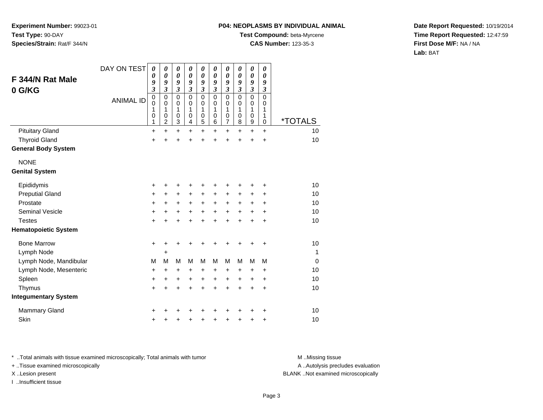#### **P04: NEOPLASMS BY INDIVIDUAL ANIMAL**

**Test Compound:** beta-Myrcene

**CAS Number:** 123-35-3

**Date Report Requested:** 10/19/2014**Time Report Requested:** 12:47:59**First Dose M/F:** NA / NA**Lab:** BAT

| F 344/N Rat Male<br>0 G/KG  | DAY ON TEST<br><b>ANIMAL ID</b> | $\boldsymbol{\theta}$<br>0<br>9<br>$\overline{\mathbf{3}}$<br>$\mathbf 0$<br>0<br>1<br>0<br>1 | 0<br>0<br>9<br>$\overline{\mathbf{3}}$<br>0<br>0<br>1<br>0<br>$\overline{c}$ | $\boldsymbol{\theta}$<br>$\boldsymbol{\theta}$<br>9<br>$\overline{\mathbf{3}}$<br>$\mathbf 0$<br>0<br>1<br>$\mathbf 0$<br>3 | 0<br>$\boldsymbol{\theta}$<br>9<br>$\overline{\mathbf{3}}$<br>$\Omega$<br>0<br>1<br>0<br>4 | $\boldsymbol{\theta}$<br>$\boldsymbol{\theta}$<br>9<br>$\mathfrak{z}$<br>$\mathbf 0$<br>0<br>1<br>$\pmb{0}$<br>5 | 0<br>$\boldsymbol{\theta}$<br>9<br>$\boldsymbol{\mathfrak{z}}$<br>$\Omega$<br>0<br>1<br>$\mathbf 0$<br>6 | 0<br>$\boldsymbol{\theta}$<br>9<br>$\overline{\mathbf{3}}$<br>$\mathbf 0$<br>0<br>1<br>$\boldsymbol{0}$<br>$\overline{7}$ | 0<br>$\boldsymbol{\theta}$<br>9<br>$\mathfrak{z}$<br>$\Omega$<br>0<br>1<br>$\mathbf 0$<br>8 | 0<br>0<br>9<br>$\mathfrak{z}$<br>$\mathbf 0$<br>0<br>1<br>$\mathbf 0$<br>$\boldsymbol{9}$ | 0<br>0<br>9<br>$\mathfrak{z}$<br>$\Omega$<br>0<br>1<br>1<br>$\mathbf 0$ | <i><b>*TOTALS</b></i> |
|-----------------------------|---------------------------------|-----------------------------------------------------------------------------------------------|------------------------------------------------------------------------------|-----------------------------------------------------------------------------------------------------------------------------|--------------------------------------------------------------------------------------------|------------------------------------------------------------------------------------------------------------------|----------------------------------------------------------------------------------------------------------|---------------------------------------------------------------------------------------------------------------------------|---------------------------------------------------------------------------------------------|-------------------------------------------------------------------------------------------|-------------------------------------------------------------------------|-----------------------|
| <b>Pituitary Gland</b>      |                                 | $\ddot{}$                                                                                     | $\ddot{}$                                                                    | $\ddot{}$                                                                                                                   | $\ddot{}$                                                                                  | $\ddot{}$                                                                                                        | $\ddot{}$                                                                                                | $\ddot{}$                                                                                                                 | $\ddot{}$                                                                                   | $\ddot{}$                                                                                 | +                                                                       | 10<br>10              |
| <b>Thyroid Gland</b>        |                                 | $\ddot{}$                                                                                     | +                                                                            | +                                                                                                                           | +                                                                                          | +                                                                                                                |                                                                                                          | +                                                                                                                         |                                                                                             | $\ddot{}$                                                                                 | $\ddot{}$                                                               |                       |
| <b>General Body System</b>  |                                 |                                                                                               |                                                                              |                                                                                                                             |                                                                                            |                                                                                                                  |                                                                                                          |                                                                                                                           |                                                                                             |                                                                                           |                                                                         |                       |
| <b>NONE</b>                 |                                 |                                                                                               |                                                                              |                                                                                                                             |                                                                                            |                                                                                                                  |                                                                                                          |                                                                                                                           |                                                                                             |                                                                                           |                                                                         |                       |
| <b>Genital System</b>       |                                 |                                                                                               |                                                                              |                                                                                                                             |                                                                                            |                                                                                                                  |                                                                                                          |                                                                                                                           |                                                                                             |                                                                                           |                                                                         |                       |
| Epididymis                  |                                 | +                                                                                             | +                                                                            | +                                                                                                                           | +                                                                                          | +                                                                                                                |                                                                                                          | +                                                                                                                         |                                                                                             | ٠                                                                                         | +                                                                       | 10                    |
| <b>Preputial Gland</b>      |                                 | +                                                                                             | +                                                                            | +                                                                                                                           | +                                                                                          | $\ddot{}$                                                                                                        | +                                                                                                        | $\ddot{}$                                                                                                                 | +                                                                                           | +                                                                                         | +                                                                       | 10                    |
| Prostate                    |                                 | +                                                                                             | +                                                                            | $\ddot{}$                                                                                                                   | $\ddot{}$                                                                                  | $\ddot{}$                                                                                                        | $\ddot{}$                                                                                                | $\ddot{}$                                                                                                                 | $\ddot{}$                                                                                   | +                                                                                         | $\ddot{}$                                                               | 10                    |
| <b>Seminal Vesicle</b>      |                                 | +                                                                                             | +                                                                            | +                                                                                                                           | $\ddot{}$                                                                                  | $\ddot{}$                                                                                                        | $\ddot{}$                                                                                                | $\ddot{}$                                                                                                                 | $\ddot{}$                                                                                   | $\ddot{}$                                                                                 | +                                                                       | 10                    |
| <b>Testes</b>               |                                 | $\ddot{}$                                                                                     | +                                                                            | $\ddot{}$                                                                                                                   | ÷                                                                                          | $\ddot{}$                                                                                                        |                                                                                                          | $\ddot{}$                                                                                                                 |                                                                                             | $\ddot{}$                                                                                 | $\ddot{}$                                                               | 10                    |
| <b>Hematopoietic System</b> |                                 |                                                                                               |                                                                              |                                                                                                                             |                                                                                            |                                                                                                                  |                                                                                                          |                                                                                                                           |                                                                                             |                                                                                           |                                                                         |                       |
| <b>Bone Marrow</b>          |                                 | $\ddot{}$                                                                                     | ٠                                                                            | +                                                                                                                           | +                                                                                          |                                                                                                                  |                                                                                                          |                                                                                                                           |                                                                                             | ٠                                                                                         | +                                                                       | 10                    |
| Lymph Node                  |                                 |                                                                                               | +                                                                            |                                                                                                                             |                                                                                            |                                                                                                                  |                                                                                                          |                                                                                                                           |                                                                                             |                                                                                           |                                                                         | 1                     |
| Lymph Node, Mandibular      |                                 | M                                                                                             | M                                                                            | M                                                                                                                           | M                                                                                          | M                                                                                                                | M                                                                                                        | M                                                                                                                         | M                                                                                           | M                                                                                         | M                                                                       | $\mathbf 0$           |
| Lymph Node, Mesenteric      |                                 | +                                                                                             | +                                                                            | +                                                                                                                           | +                                                                                          | +                                                                                                                | +                                                                                                        | +                                                                                                                         | +                                                                                           | +                                                                                         | +                                                                       | 10                    |
| Spleen                      |                                 | +                                                                                             | +                                                                            | +                                                                                                                           | +                                                                                          | +                                                                                                                | +                                                                                                        | $\ddot{}$                                                                                                                 | +                                                                                           | +                                                                                         | +                                                                       | 10                    |
| Thymus                      |                                 | +                                                                                             | +                                                                            | +                                                                                                                           | +                                                                                          | +                                                                                                                |                                                                                                          | +                                                                                                                         | +                                                                                           | $\ddot{}$                                                                                 | $\ddot{}$                                                               | 10                    |
| <b>Integumentary System</b> |                                 |                                                                                               |                                                                              |                                                                                                                             |                                                                                            |                                                                                                                  |                                                                                                          |                                                                                                                           |                                                                                             |                                                                                           |                                                                         |                       |
| <b>Mammary Gland</b>        |                                 | ٠                                                                                             |                                                                              | +                                                                                                                           |                                                                                            |                                                                                                                  |                                                                                                          |                                                                                                                           |                                                                                             | +                                                                                         | +                                                                       | 10                    |
| Skin                        |                                 | +                                                                                             | +                                                                            | +                                                                                                                           | +                                                                                          | +                                                                                                                |                                                                                                          | +                                                                                                                         | +                                                                                           | +                                                                                         | +                                                                       | 10                    |

\* ..Total animals with tissue examined microscopically; Total animals with tumor **M** . Missing tissue M ..Missing tissue

+ ..Tissue examined microscopically

I ..Insufficient tissue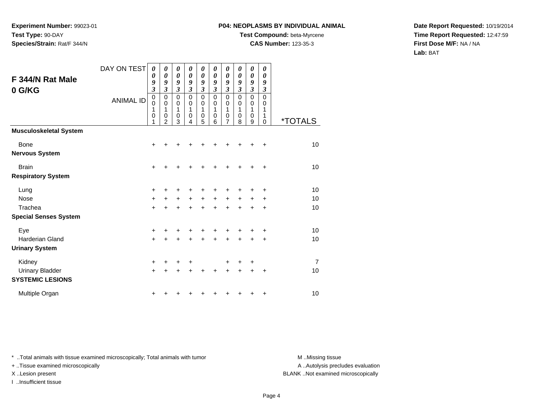## **P04: NEOPLASMS BY INDIVIDUAL ANIMAL**

**Test Compound:** beta-Myrcene

**CAS Number:** 123-35-3

**Date Report Requested:** 10/19/2014**Time Report Requested:** 12:47:59**First Dose M/F:** NA / NA**Lab:** BAT

| F 344/N Rat Male<br>0 G/KG                        | DAY ON TEST<br><b>ANIMAL ID</b> | $\boldsymbol{\theta}$<br>0<br>9<br>$\overline{\mathbf{3}}$<br>$\pmb{0}$<br>$\mathbf 0$<br>1<br>$\mathbf 0$<br>1 | 0<br>$\boldsymbol{\theta}$<br>9<br>3<br>$\mathbf 0$<br>$\mathbf 0$<br>1<br>$\mathbf 0$<br>$\mathfrak{p}$ | 0<br>$\boldsymbol{\theta}$<br>9<br>$\mathfrak{z}$<br>$\pmb{0}$<br>$\pmb{0}$<br>$\mathbf{1}$<br>$\pmb{0}$<br>3 | 0<br>0<br>9<br>3<br>$\mathbf 0$<br>0<br>1<br>0<br>4 | 0<br>0<br>9<br>3<br>$\mathbf 0$<br>0<br>1<br>$\mathbf 0$<br>5 | 0<br>0<br>9<br>3<br>$\Omega$<br>0<br>1<br>$\mathbf 0$<br>6 | $\boldsymbol{\theta}$<br>$\boldsymbol{\theta}$<br>9<br>$\overline{\mathbf{3}}$<br>$\pmb{0}$<br>$\mathbf 0$<br>1<br>$\mathbf 0$<br>7 | 0<br>0<br>9<br>$\overline{\mathbf{3}}$<br>$\mathbf 0$<br>0<br>$\mathbf 1$<br>$\mathbf 0$<br>8 | 0<br>0<br>9<br>$\overline{\mathbf{3}}$<br>$\mathbf 0$<br>0<br>1<br>$\mathbf 0$<br>9 | 0<br>$\boldsymbol{\theta}$<br>9<br>3<br>$\Omega$<br>0<br>$\mathbf{1}$<br>1<br>0 | <i><b>*TOTALS</b></i> |
|---------------------------------------------------|---------------------------------|-----------------------------------------------------------------------------------------------------------------|----------------------------------------------------------------------------------------------------------|---------------------------------------------------------------------------------------------------------------|-----------------------------------------------------|---------------------------------------------------------------|------------------------------------------------------------|-------------------------------------------------------------------------------------------------------------------------------------|-----------------------------------------------------------------------------------------------|-------------------------------------------------------------------------------------|---------------------------------------------------------------------------------|-----------------------|
| <b>Musculoskeletal System</b>                     |                                 |                                                                                                                 |                                                                                                          |                                                                                                               |                                                     |                                                               |                                                            |                                                                                                                                     |                                                                                               |                                                                                     |                                                                                 |                       |
| <b>Bone</b><br><b>Nervous System</b>              |                                 | +                                                                                                               |                                                                                                          |                                                                                                               |                                                     |                                                               |                                                            |                                                                                                                                     |                                                                                               |                                                                                     | $\ddot{}$                                                                       | 10                    |
| <b>Brain</b><br><b>Respiratory System</b>         |                                 | $\ddot{}$                                                                                                       | +                                                                                                        | +                                                                                                             |                                                     | ٠                                                             | ٠                                                          | +                                                                                                                                   |                                                                                               | ٠                                                                                   | $\ddot{}$                                                                       | 10                    |
| Lung                                              |                                 | +                                                                                                               | +                                                                                                        |                                                                                                               |                                                     |                                                               |                                                            |                                                                                                                                     |                                                                                               |                                                                                     | +                                                                               | 10                    |
| Nose                                              |                                 | $\ddot{}$                                                                                                       | $\ddot{}$                                                                                                | +                                                                                                             | +                                                   | +                                                             | $\ddot{}$                                                  | $\ddot{}$                                                                                                                           | +                                                                                             | +                                                                                   | +                                                                               | 10                    |
| Trachea<br><b>Special Senses System</b>           |                                 | $\ddot{}$                                                                                                       | $\ddot{}$                                                                                                | $\ddot{}$                                                                                                     | $\ddot{}$                                           | $\ddot{}$                                                     | $\ddot{}$                                                  | $\ddot{}$                                                                                                                           | $\ddot{}$                                                                                     | $\ddot{}$                                                                           | $\ddot{}$                                                                       | 10                    |
| Eye                                               |                                 | +                                                                                                               | +                                                                                                        | +                                                                                                             |                                                     | +                                                             |                                                            |                                                                                                                                     |                                                                                               |                                                                                     | +                                                                               | 10                    |
| <b>Harderian Gland</b>                            |                                 | $\ddot{}$                                                                                                       |                                                                                                          |                                                                                                               |                                                     |                                                               |                                                            | $\ddot{}$                                                                                                                           |                                                                                               | $\ddot{}$                                                                           | $\ddot{}$                                                                       | 10                    |
| <b>Urinary System</b>                             |                                 |                                                                                                                 |                                                                                                          |                                                                                                               |                                                     |                                                               |                                                            |                                                                                                                                     |                                                                                               |                                                                                     |                                                                                 |                       |
| Kidney                                            |                                 | +                                                                                                               | +                                                                                                        | +                                                                                                             | +                                                   |                                                               |                                                            | ٠                                                                                                                                   | +                                                                                             | +                                                                                   |                                                                                 | 7                     |
| <b>Urinary Bladder</b><br><b>SYSTEMIC LESIONS</b> |                                 | $\ddot{}$                                                                                                       | $\ddot{}$                                                                                                |                                                                                                               |                                                     | Ŧ.                                                            | +                                                          | $\ddot{}$                                                                                                                           | $\ddot{}$                                                                                     | $\ddot{}$                                                                           | $\ddot{}$                                                                       | 10                    |
| Multiple Organ                                    |                                 | +                                                                                                               |                                                                                                          |                                                                                                               |                                                     |                                                               |                                                            |                                                                                                                                     |                                                                                               |                                                                                     | +                                                                               | 10                    |

\* ..Total animals with tissue examined microscopically; Total animals with tumor **M** . Missing tissue M ..Missing tissue

+ ..Tissue examined microscopically

I ..Insufficient tissue

A ..Autolysis precludes evaluation

X ..Lesion present BLANK ..Not examined microscopically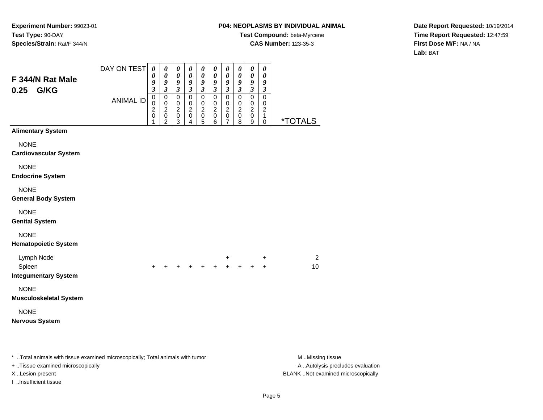## **P04: NEOPLASMS BY INDIVIDUAL ANIMAL**

**Test Compound:** beta-Myrcene**CAS Number:** 123-35-3

**Date Report Requested:** 10/19/2014**Time Report Requested:** 12:47:59**First Dose M/F:** NA / NA**Lab:** BAT

| F 344/N Rat Male<br>G/KG<br>0.25                                                                                  | DAY ON TEST      | $\boldsymbol{\theta}$<br>0<br>9<br>$\mathfrak{z}$    | 0<br>0<br>9<br>$\boldsymbol{\beta}$                  | 0<br>$\boldsymbol{\theta}$<br>9<br>$\boldsymbol{\beta}$        | 0<br>0<br>9<br>$\mathfrak{z}$                                         | 0<br>$\boldsymbol{\theta}$<br>9<br>$\boldsymbol{\beta}$               | $\boldsymbol{\theta}$<br>$\boldsymbol{\theta}$<br>9<br>$\boldsymbol{\beta}$ | 0<br>0<br>9<br>$\mathfrak{z}$                      | $\boldsymbol{\theta}$<br>$\boldsymbol{\theta}$<br>9<br>$\mathfrak{z}$ | $\pmb{\theta}$<br>$\boldsymbol{\theta}$<br>$\boldsymbol{9}$<br>$\boldsymbol{\beta}$ | $\boldsymbol{\theta}$<br>0<br>9<br>$\boldsymbol{\beta}$ |                                                       |
|-------------------------------------------------------------------------------------------------------------------|------------------|------------------------------------------------------|------------------------------------------------------|----------------------------------------------------------------|-----------------------------------------------------------------------|-----------------------------------------------------------------------|-----------------------------------------------------------------------------|----------------------------------------------------|-----------------------------------------------------------------------|-------------------------------------------------------------------------------------|---------------------------------------------------------|-------------------------------------------------------|
|                                                                                                                   | <b>ANIMAL ID</b> | $\mathbf 0$<br>0<br>$\overline{c}$<br>$\pmb{0}$<br>1 | 0<br>$\mathbf 0$<br>$\overline{c}$<br>$\pmb{0}$<br>2 | $\pmb{0}$<br>$\mathbf 0$<br>$\overline{c}$<br>$\mathbf 0$<br>3 | $\pmb{0}$<br>$\pmb{0}$<br>$\overline{\mathbf{c}}$<br>$\mathbf 0$<br>4 | $\mathbf 0$<br>0<br>$\boldsymbol{2}$<br>$\mathbf 0$<br>$\overline{5}$ | $\pmb{0}$<br>0<br>$\overline{2}$<br>$\mathbf 0$<br>6                        | $\pmb{0}$<br>0<br>$\overline{c}$<br>$\pmb{0}$<br>7 | $\pmb{0}$<br>0<br>$\overline{c}$<br>$\mathbf 0$<br>$\,8\,$            | $\pmb{0}$<br>0<br>$\boldsymbol{2}$<br>$\mathbf 0$<br>9                              | $\mathbf 0$<br>0<br>$\overline{c}$<br>$\mathbf{1}$<br>0 | <i><b>*TOTALS</b></i>                                 |
| <b>Alimentary System</b>                                                                                          |                  |                                                      |                                                      |                                                                |                                                                       |                                                                       |                                                                             |                                                    |                                                                       |                                                                                     |                                                         |                                                       |
| <b>NONE</b><br><b>Cardiovascular System</b>                                                                       |                  |                                                      |                                                      |                                                                |                                                                       |                                                                       |                                                                             |                                                    |                                                                       |                                                                                     |                                                         |                                                       |
| <b>NONE</b><br><b>Endocrine System</b>                                                                            |                  |                                                      |                                                      |                                                                |                                                                       |                                                                       |                                                                             |                                                    |                                                                       |                                                                                     |                                                         |                                                       |
| <b>NONE</b><br><b>General Body System</b>                                                                         |                  |                                                      |                                                      |                                                                |                                                                       |                                                                       |                                                                             |                                                    |                                                                       |                                                                                     |                                                         |                                                       |
| <b>NONE</b><br><b>Genital System</b>                                                                              |                  |                                                      |                                                      |                                                                |                                                                       |                                                                       |                                                                             |                                                    |                                                                       |                                                                                     |                                                         |                                                       |
| <b>NONE</b><br><b>Hematopoietic System</b>                                                                        |                  |                                                      |                                                      |                                                                |                                                                       |                                                                       |                                                                             |                                                    |                                                                       |                                                                                     |                                                         |                                                       |
| Lymph Node<br>Spleen<br><b>Integumentary System</b>                                                               |                  | $\ddot{}$                                            | $\ddot{}$                                            |                                                                |                                                                       |                                                                       | $+ + + + + + +$                                                             | $\ddot{}$                                          |                                                                       |                                                                                     | $\ddot{}$<br>$\ddot{}$                                  | $\overline{2}$<br>10                                  |
| <b>NONE</b><br><b>Musculoskeletal System</b>                                                                      |                  |                                                      |                                                      |                                                                |                                                                       |                                                                       |                                                                             |                                                    |                                                                       |                                                                                     |                                                         |                                                       |
| <b>NONE</b><br><b>Nervous System</b>                                                                              |                  |                                                      |                                                      |                                                                |                                                                       |                                                                       |                                                                             |                                                    |                                                                       |                                                                                     |                                                         |                                                       |
| * Total animals with tissue examined microscopically; Total animals with tumor<br>Ticous examined microscopically |                  |                                                      |                                                      |                                                                |                                                                       |                                                                       |                                                                             |                                                    |                                                                       |                                                                                     |                                                         | M Missing tissue<br>$\Lambda$ $\Lambda$ utolygia prog |

+ ..Tissue examined microscopically

I ..Insufficient tissue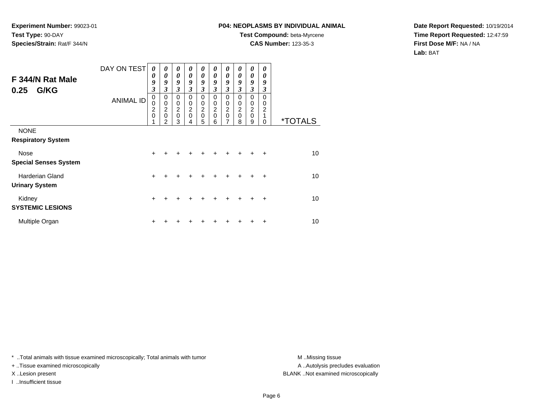## **P04: NEOPLASMS BY INDIVIDUAL ANIMAL**

**Test Compound:** beta-Myrcene

**CAS Number:** 123-35-3

**Date Report Requested:** 10/19/2014**Time Report Requested:** 12:47:59**First Dose M/F:** NA / NA**Lab:** BAT

| F 344/N Rat Male<br>G/KG<br>0.25                | DAY ON TEST<br><b>ANIMAL ID</b> | 0<br>0<br>9<br>3<br>0                             | 0<br>0<br>9<br>3<br>0                             | 0<br>$\theta$<br>9<br>3<br>0                      | 0<br>$\theta$<br>9<br>3<br>0 | 0<br>$\theta$<br>9<br>$\mathfrak{z}$<br>0 | 0<br>0<br>9<br>3<br>0             | 0<br>$\boldsymbol{\theta}$<br>9<br>$\mathfrak{z}$<br>0 | 0<br>0<br>9<br>$\mathfrak{z}$<br>0 | 0<br>$\boldsymbol{\theta}$<br>9<br>$\mathfrak{z}$<br>$\mathbf 0$ | 0<br>0<br>9<br>3<br>0    |                       |
|-------------------------------------------------|---------------------------------|---------------------------------------------------|---------------------------------------------------|---------------------------------------------------|------------------------------|-------------------------------------------|-----------------------------------|--------------------------------------------------------|------------------------------------|------------------------------------------------------------------|--------------------------|-----------------------|
|                                                 |                                 | $\Omega$<br>$\begin{array}{c} 2 \\ 0 \end{array}$ | $\pmb{0}$<br>$\boldsymbol{2}$<br>$\mathbf 0$<br>2 | $\mathbf 0$<br>$\overline{c}$<br>$\mathbf 0$<br>3 | 0<br>$\frac{2}{0}$           | 0<br>$\frac{2}{0}$<br>5                   | $\mathbf 0$<br>$\frac{2}{0}$<br>6 | 0<br>$\frac{2}{0}$<br>7                                | 0<br>$\frac{2}{0}$<br>8            | $\mathbf 0$<br>$\begin{array}{c} 2 \\ 0 \end{array}$<br>9        | 0<br>$\overline{c}$<br>0 | <i><b>*TOTALS</b></i> |
| <b>NONE</b><br><b>Respiratory System</b>        |                                 |                                                   |                                                   |                                                   |                              |                                           |                                   |                                                        |                                    |                                                                  |                          |                       |
| Nose<br><b>Special Senses System</b>            |                                 | $\div$                                            |                                                   |                                                   |                              |                                           |                                   |                                                        |                                    |                                                                  | ٠                        | 10                    |
| <b>Harderian Gland</b><br><b>Urinary System</b> |                                 | +                                                 |                                                   |                                                   |                              |                                           |                                   |                                                        |                                    | +                                                                | ٠                        | 10                    |
| Kidney<br><b>SYSTEMIC LESIONS</b>               |                                 | $\ddot{}$                                         | +                                                 |                                                   |                              | ٠                                         |                                   | +                                                      | +                                  | $\ddot{}$                                                        | $\ddot{}$                | 10                    |
| Multiple Organ                                  |                                 | ٠                                                 |                                                   |                                                   |                              |                                           |                                   |                                                        |                                    | +                                                                | ٠                        | 10                    |

\* ..Total animals with tissue examined microscopically; Total animals with tumor **M** . Missing tissue M ..Missing tissue

+ ..Tissue examined microscopically

I ..Insufficient tissue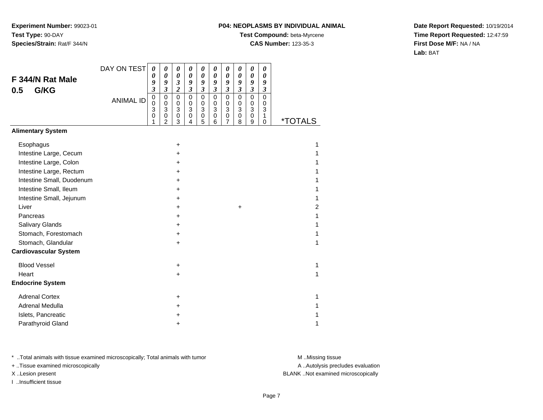## **P04: NEOPLASMS BY INDIVIDUAL ANIMAL**

**Test Compound:** beta-Myrcene

**CAS Number:** 123-35-3

**Date Report Requested:** 10/19/2014**Time Report Requested:** 12:47:59**First Dose M/F:** NA / NA**Lab:** BAT

|                              | DAY ON TEST      | $\boldsymbol{\theta}$                  | 0                                                                                  | 0                                                                 | $\boldsymbol{\theta}$           | 0                                                                       | 0                               | 0                                                      | 0                                                    | $\boldsymbol{\theta}$                                        | 0                                                   |                       |
|------------------------------|------------------|----------------------------------------|------------------------------------------------------------------------------------|-------------------------------------------------------------------|---------------------------------|-------------------------------------------------------------------------|---------------------------------|--------------------------------------------------------|------------------------------------------------------|--------------------------------------------------------------|-----------------------------------------------------|-----------------------|
| F 344/N Rat Male             |                  | 0<br>9                                 | $\boldsymbol{\theta}$<br>9                                                         | $\boldsymbol{\theta}$<br>$\mathfrak{z}$                           | 0<br>9                          | $\boldsymbol{\theta}$<br>9                                              | $\pmb{\theta}$<br>9             | $\boldsymbol{\theta}$<br>9                             | 0<br>9                                               | $\boldsymbol{\theta}$<br>9                                   | 0<br>9                                              |                       |
| G/KG<br>0.5                  |                  | $\overline{\mathbf{3}}$                | $\boldsymbol{\mathfrak{z}}$                                                        | $\overline{2}$                                                    | $\boldsymbol{\mathfrak{z}}$     | $\mathfrak{z}$                                                          | $\overline{\mathbf{3}}$         | $\mathfrak{z}$                                         | $\mathfrak{z}$                                       | $\boldsymbol{\mathfrak{z}}$                                  | $\mathfrak{z}$                                      |                       |
|                              | <b>ANIMAL ID</b> | $\mathbf 0$<br>$\Omega$<br>3<br>0<br>1 | $\mathbf 0$<br>$\pmb{0}$<br>$\ensuremath{\mathsf{3}}$<br>$\,0\,$<br>$\overline{2}$ | $\mathbf 0$<br>$\mathbf 0$<br>$\ensuremath{\mathsf{3}}$<br>0<br>3 | $\mathsf 0$<br>0<br>3<br>0<br>4 | $\mathsf 0$<br>$\mathbf 0$<br>$\ensuremath{\mathsf{3}}$<br>$\,0\,$<br>5 | $\mathsf 0$<br>0<br>3<br>0<br>6 | $\mathbf 0$<br>$\mathbf 0$<br>3<br>0<br>$\overline{7}$ | $\mathbf 0$<br>$\mathbf 0$<br>$\mathbf{3}$<br>0<br>8 | $\mathbf 0$<br>$\pmb{0}$<br>3<br>$\,0\,$<br>$\boldsymbol{9}$ | $\mathbf 0$<br>$\mathbf 0$<br>3<br>1<br>$\mathbf 0$ | <i><b>*TOTALS</b></i> |
| <b>Alimentary System</b>     |                  |                                        |                                                                                    |                                                                   |                                 |                                                                         |                                 |                                                        |                                                      |                                                              |                                                     |                       |
| Esophagus                    |                  |                                        |                                                                                    | +                                                                 |                                 |                                                                         |                                 |                                                        |                                                      |                                                              |                                                     | 1                     |
| Intestine Large, Cecum       |                  |                                        |                                                                                    | +                                                                 |                                 |                                                                         |                                 |                                                        |                                                      |                                                              |                                                     |                       |
| Intestine Large, Colon       |                  |                                        |                                                                                    | $\ddot{}$                                                         |                                 |                                                                         |                                 |                                                        |                                                      |                                                              |                                                     |                       |
| Intestine Large, Rectum      |                  |                                        |                                                                                    | +                                                                 |                                 |                                                                         |                                 |                                                        |                                                      |                                                              |                                                     |                       |
| Intestine Small, Duodenum    |                  |                                        |                                                                                    | $\ddot{}$                                                         |                                 |                                                                         |                                 |                                                        |                                                      |                                                              |                                                     |                       |
| Intestine Small, Ileum       |                  |                                        |                                                                                    | +                                                                 |                                 |                                                                         |                                 |                                                        |                                                      |                                                              |                                                     |                       |
| Intestine Small, Jejunum     |                  |                                        |                                                                                    | +                                                                 |                                 |                                                                         |                                 |                                                        |                                                      |                                                              |                                                     |                       |
| Liver                        |                  |                                        |                                                                                    | +                                                                 |                                 |                                                                         |                                 |                                                        | $\ddot{}$                                            |                                                              |                                                     | 2                     |
| Pancreas                     |                  |                                        |                                                                                    | $\ddot{}$                                                         |                                 |                                                                         |                                 |                                                        |                                                      |                                                              |                                                     |                       |
| Salivary Glands              |                  |                                        |                                                                                    | +                                                                 |                                 |                                                                         |                                 |                                                        |                                                      |                                                              |                                                     |                       |
| Stomach, Forestomach         |                  |                                        |                                                                                    | +                                                                 |                                 |                                                                         |                                 |                                                        |                                                      |                                                              |                                                     |                       |
| Stomach, Glandular           |                  |                                        |                                                                                    | $\ddot{}$                                                         |                                 |                                                                         |                                 |                                                        |                                                      |                                                              |                                                     |                       |
| <b>Cardiovascular System</b> |                  |                                        |                                                                                    |                                                                   |                                 |                                                                         |                                 |                                                        |                                                      |                                                              |                                                     |                       |
| <b>Blood Vessel</b>          |                  |                                        |                                                                                    | +                                                                 |                                 |                                                                         |                                 |                                                        |                                                      |                                                              |                                                     | 1                     |
| Heart                        |                  |                                        |                                                                                    | +                                                                 |                                 |                                                                         |                                 |                                                        |                                                      |                                                              |                                                     | 1                     |
| <b>Endocrine System</b>      |                  |                                        |                                                                                    |                                                                   |                                 |                                                                         |                                 |                                                        |                                                      |                                                              |                                                     |                       |
| <b>Adrenal Cortex</b>        |                  |                                        |                                                                                    | $\ddot{}$                                                         |                                 |                                                                         |                                 |                                                        |                                                      |                                                              |                                                     | 1                     |
| Adrenal Medulla              |                  |                                        |                                                                                    | +                                                                 |                                 |                                                                         |                                 |                                                        |                                                      |                                                              |                                                     |                       |
| Islets, Pancreatic           |                  |                                        |                                                                                    | +                                                                 |                                 |                                                                         |                                 |                                                        |                                                      |                                                              |                                                     |                       |
| Parathyroid Gland            |                  |                                        |                                                                                    | +                                                                 |                                 |                                                                         |                                 |                                                        |                                                      |                                                              |                                                     | 1                     |

\* ..Total animals with tissue examined microscopically; Total animals with tumor **M** . Missing tissue M ..Missing tissue

+ ..Tissue examined microscopically

I ..Insufficient tissue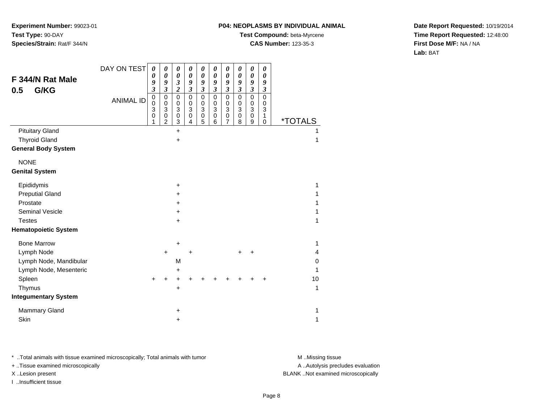## **P04: NEOPLASMS BY INDIVIDUAL ANIMAL**

**Test Compound:** beta-Myrcene

**CAS Number:** 123-35-3

**Date Report Requested:** 10/19/2014**Time Report Requested:** 12:48:00**First Dose M/F:** NA / NA**Lab:** BAT

|                             | DAY ON TEST      | 0                          | 0                                    | 0                                             | 0                                    | 0                           | 0                                                 | 0                                    | 0                                               | 0                                    | 0                          |                       |    |
|-----------------------------|------------------|----------------------------|--------------------------------------|-----------------------------------------------|--------------------------------------|-----------------------------|---------------------------------------------------|--------------------------------------|-------------------------------------------------|--------------------------------------|----------------------------|-----------------------|----|
| F 344/N Rat Male            |                  | 0<br>9                     | 0<br>9                               | $\boldsymbol{\theta}$<br>$\boldsymbol{\beta}$ | $\boldsymbol{\theta}$<br>9           | $\boldsymbol{\theta}$<br>9  | $\boldsymbol{\theta}$<br>9                        | $\boldsymbol{\theta}$<br>9           | $\boldsymbol{\theta}$<br>9                      | 0<br>9                               | $\boldsymbol{\theta}$<br>9 |                       |    |
| G/KG<br>0.5                 |                  | $\overline{\mathbf{3}}$    | $\overline{\mathbf{3}}$              | $\overline{\mathbf{c}}$                       | $\boldsymbol{\mathfrak{z}}$          | $\boldsymbol{\mathfrak{z}}$ | $\mathfrak{z}$                                    | $\boldsymbol{\beta}$                 | $\boldsymbol{\mathfrak{z}}$                     | $\boldsymbol{\mathfrak{z}}$          | 3                          |                       |    |
|                             | <b>ANIMAL ID</b> | $\mathbf 0$<br>0<br>3<br>0 | $\mathbf 0$<br>$\mathbf 0$<br>3<br>0 | $\mathbf 0$<br>0<br>3<br>0                    | $\mathbf 0$<br>$\mathbf 0$<br>3<br>0 | $\mathbf 0$<br>0<br>3<br>0  | $\mathsf 0$<br>$\mathbf 0$<br>$\mathfrak{S}$<br>0 | $\mathbf 0$<br>$\mathbf 0$<br>3<br>0 | $\mathsf 0$<br>0<br>$\overline{3}$<br>$\pmb{0}$ | $\mathbf 0$<br>0<br>3<br>$\mathbf 0$ | 0<br>0<br>3<br>1           |                       |    |
|                             |                  |                            | $\overline{c}$                       | 3                                             | 4                                    | 5                           | 6                                                 | 7                                    | 8                                               | 9                                    | $\mathbf 0$                | <i><b>*TOTALS</b></i> |    |
| <b>Pituitary Gland</b>      |                  |                            |                                      | $\ddot{}$                                     |                                      |                             |                                                   |                                      |                                                 |                                      |                            |                       |    |
| <b>Thyroid Gland</b>        |                  |                            |                                      | +                                             |                                      |                             |                                                   |                                      |                                                 |                                      |                            |                       | 1  |
| <b>General Body System</b>  |                  |                            |                                      |                                               |                                      |                             |                                                   |                                      |                                                 |                                      |                            |                       |    |
| <b>NONE</b>                 |                  |                            |                                      |                                               |                                      |                             |                                                   |                                      |                                                 |                                      |                            |                       |    |
| <b>Genital System</b>       |                  |                            |                                      |                                               |                                      |                             |                                                   |                                      |                                                 |                                      |                            |                       |    |
| Epididymis                  |                  |                            |                                      | +                                             |                                      |                             |                                                   |                                      |                                                 |                                      |                            |                       | 1  |
| <b>Preputial Gland</b>      |                  |                            |                                      | ٠                                             |                                      |                             |                                                   |                                      |                                                 |                                      |                            |                       |    |
| Prostate                    |                  |                            |                                      | +                                             |                                      |                             |                                                   |                                      |                                                 |                                      |                            |                       |    |
| <b>Seminal Vesicle</b>      |                  |                            |                                      | +                                             |                                      |                             |                                                   |                                      |                                                 |                                      |                            |                       |    |
| <b>Testes</b>               |                  |                            |                                      | $\ddot{}$                                     |                                      |                             |                                                   |                                      |                                                 |                                      |                            |                       | 1  |
| <b>Hematopoietic System</b> |                  |                            |                                      |                                               |                                      |                             |                                                   |                                      |                                                 |                                      |                            |                       |    |
| <b>Bone Marrow</b>          |                  |                            |                                      | +                                             |                                      |                             |                                                   |                                      |                                                 |                                      |                            |                       | 1  |
| Lymph Node                  |                  |                            | $\ddot{}$                            |                                               | +                                    |                             |                                                   |                                      | +                                               | +                                    |                            |                       | 4  |
| Lymph Node, Mandibular      |                  |                            |                                      | M                                             |                                      |                             |                                                   |                                      |                                                 |                                      |                            |                       | 0  |
| Lymph Node, Mesenteric      |                  |                            |                                      | +                                             |                                      |                             |                                                   |                                      |                                                 |                                      |                            |                       | 1  |
| Spleen                      |                  | $\ddot{}$                  |                                      | +                                             |                                      |                             |                                                   |                                      |                                                 |                                      |                            |                       | 10 |
| Thymus                      |                  |                            |                                      | +                                             |                                      |                             |                                                   |                                      |                                                 |                                      |                            |                       | 1  |
| <b>Integumentary System</b> |                  |                            |                                      |                                               |                                      |                             |                                                   |                                      |                                                 |                                      |                            |                       |    |
| <b>Mammary Gland</b>        |                  |                            |                                      | +                                             |                                      |                             |                                                   |                                      |                                                 |                                      |                            |                       | 1  |
| Skin                        |                  |                            |                                      | +                                             |                                      |                             |                                                   |                                      |                                                 |                                      |                            |                       | 1  |

\* ..Total animals with tissue examined microscopically; Total animals with tumor **M** . Missing tissue M ..Missing tissue

+ ..Tissue examined microscopically

I ..Insufficient tissue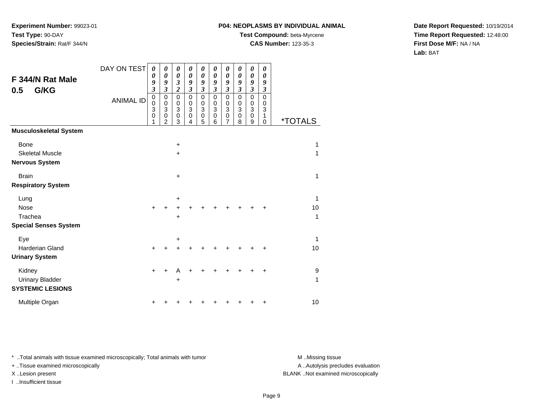## **P04: NEOPLASMS BY INDIVIDUAL ANIMAL**

**Test Compound:** beta-Myrcene

**CAS Number:** 123-35-3

**Date Report Requested:** 10/19/2014**Time Report Requested:** 12:48:00**First Dose M/F:** NA / NA**Lab:** BAT

| F 344/N Rat Male<br>G/KG<br>0.5                             | DAY ON TEST      | $\boldsymbol{\theta}$<br>0<br>9<br>$\mathfrak{z}$ | 0<br>0<br>9<br>$\mathfrak{z}$                                                        | 0<br>$\pmb{\theta}$<br>$\overline{\mathbf{3}}$<br>$\boldsymbol{2}$ | 0<br>0<br>9<br>3                          | $\boldsymbol{\theta}$<br>$\boldsymbol{\theta}$<br>9<br>$\boldsymbol{\mathfrak{z}}$ | 0<br>0<br>9<br>$\boldsymbol{\beta}$                 | 0<br>$\boldsymbol{\theta}$<br>9<br>$\boldsymbol{\beta}$                                       | $\boldsymbol{\theta}$<br>$\boldsymbol{\theta}$<br>9<br>$\boldsymbol{\beta}$ | $\boldsymbol{\theta}$<br>0<br>9<br>$\boldsymbol{\beta}$        | 0<br>$\boldsymbol{\theta}$<br>9<br>$\boldsymbol{\mathfrak{z}}$                   |                       |
|-------------------------------------------------------------|------------------|---------------------------------------------------|--------------------------------------------------------------------------------------|--------------------------------------------------------------------|-------------------------------------------|------------------------------------------------------------------------------------|-----------------------------------------------------|-----------------------------------------------------------------------------------------------|-----------------------------------------------------------------------------|----------------------------------------------------------------|----------------------------------------------------------------------------------|-----------------------|
|                                                             | <b>ANIMAL ID</b> | $\pmb{0}$<br>$\mathsf 0$<br>3<br>$\mathbf 0$<br>1 | $\mathbf 0$<br>$\mathbf 0$<br>$\ensuremath{\mathsf{3}}$<br>$\,0\,$<br>$\overline{2}$ | $\mathsf 0$<br>0<br>$\ensuremath{\mathsf{3}}$<br>$\mathbf 0$<br>3  | $\mathbf 0$<br>$\mathbf 0$<br>3<br>0<br>4 | $\mathbf 0$<br>$\mathbf 0$<br>3<br>$\pmb{0}$<br>5                                  | $\mathbf 0$<br>$\mathbf 0$<br>3<br>$\mathbf 0$<br>6 | $\mathbf 0$<br>$\mathbf 0$<br>$\ensuremath{\mathsf{3}}$<br>$\boldsymbol{0}$<br>$\overline{7}$ | $\mathbf 0$<br>0<br>$\sqrt{3}$<br>$\pmb{0}$<br>8                            | $\mathbf 0$<br>$\pmb{0}$<br>$\overline{3}$<br>$\mathbf 0$<br>9 | $\mathbf 0$<br>$\boldsymbol{0}$<br>$\ensuremath{\mathsf{3}}$<br>1<br>$\mathbf 0$ | <i><b>*TOTALS</b></i> |
| <b>Musculoskeletal System</b>                               |                  |                                                   |                                                                                      |                                                                    |                                           |                                                                                    |                                                     |                                                                                               |                                                                             |                                                                |                                                                                  |                       |
| <b>Bone</b><br><b>Skeletal Muscle</b>                       |                  |                                                   |                                                                                      | $\ddot{}$<br>$\ddot{}$                                             |                                           |                                                                                    |                                                     |                                                                                               |                                                                             |                                                                |                                                                                  | 1<br>1                |
| <b>Nervous System</b>                                       |                  |                                                   |                                                                                      |                                                                    |                                           |                                                                                    |                                                     |                                                                                               |                                                                             |                                                                |                                                                                  |                       |
| <b>Brain</b><br><b>Respiratory System</b>                   |                  |                                                   |                                                                                      | $\ddot{}$                                                          |                                           |                                                                                    |                                                     |                                                                                               |                                                                             |                                                                |                                                                                  | 1                     |
| Lung                                                        |                  |                                                   |                                                                                      | +                                                                  |                                           |                                                                                    |                                                     |                                                                                               |                                                                             |                                                                |                                                                                  | 1                     |
| Nose                                                        |                  | $\ddot{}$                                         | +                                                                                    | +                                                                  |                                           |                                                                                    |                                                     |                                                                                               |                                                                             |                                                                | $\ddot{}$                                                                        | 10                    |
| Trachea<br><b>Special Senses System</b>                     |                  |                                                   |                                                                                      | +                                                                  |                                           |                                                                                    |                                                     |                                                                                               |                                                                             |                                                                |                                                                                  | 1                     |
| Eye                                                         |                  |                                                   |                                                                                      | +                                                                  |                                           |                                                                                    |                                                     |                                                                                               |                                                                             |                                                                |                                                                                  | 1                     |
| <b>Harderian Gland</b><br><b>Urinary System</b>             |                  | $\ddot{}$                                         |                                                                                      | +                                                                  |                                           |                                                                                    |                                                     |                                                                                               |                                                                             |                                                                | ٠                                                                                | 10                    |
| Kidney<br><b>Urinary Bladder</b><br><b>SYSTEMIC LESIONS</b> |                  | $\ddot{}$                                         |                                                                                      | А<br>+                                                             |                                           |                                                                                    |                                                     |                                                                                               |                                                                             |                                                                | $\ddot{}$                                                                        | 9<br>1                |
| Multiple Organ                                              |                  | +                                                 |                                                                                      |                                                                    |                                           |                                                                                    |                                                     |                                                                                               |                                                                             | +                                                              | +                                                                                | 10                    |

\* ..Total animals with tissue examined microscopically; Total animals with tumor **M** . Missing tissue M ..Missing tissue

+ ..Tissue examined microscopically

I ..Insufficient tissue

A ..Autolysis precludes evaluation

X ..Lesion present BLANK ..Not examined microscopically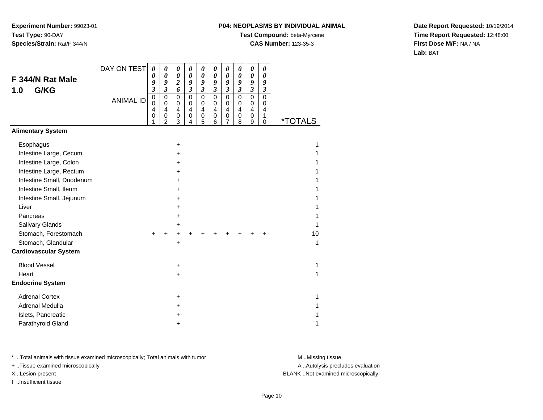## **P04: NEOPLASMS BY INDIVIDUAL ANIMAL**

**Test Compound:** beta-Myrcene

**CAS Number:** 123-35-3

**Date Report Requested:** 10/19/2014**Time Report Requested:** 12:48:00**First Dose M/F:** NA / NA**Lab:** BAT

|                              | DAY ON TEST      | 0                       | $\boldsymbol{\theta}$      | 0                                       | 0                          | 0                   | 0                          | $\boldsymbol{\theta}$ | 0                          | 0                          | 0                       |                       |
|------------------------------|------------------|-------------------------|----------------------------|-----------------------------------------|----------------------------|---------------------|----------------------------|-----------------------|----------------------------|----------------------------|-------------------------|-----------------------|
| F 344/N Rat Male             |                  | 0<br>9                  | $\boldsymbol{\theta}$<br>9 | $\boldsymbol{\theta}$<br>$\overline{2}$ | $\boldsymbol{\theta}$<br>9 | $\pmb{\theta}$<br>9 | $\boldsymbol{\theta}$<br>9 | 0<br>9                | $\boldsymbol{\theta}$<br>9 | 0<br>9                     | $\pmb{\theta}$<br>9     |                       |
| G/KG<br>1.0                  |                  | $\overline{\mathbf{3}}$ | $\mathfrak{z}$             | 6                                       | $\mathfrak{z}$             | $\mathfrak{z}$      | $\mathfrak{z}$             | $\boldsymbol{\beta}$  | $\mathfrak{z}$             | $\mathfrak{z}$             | $\overline{\mathbf{3}}$ |                       |
|                              | <b>ANIMAL ID</b> | $\mathbf 0$<br>0        | $\mathbf 0$<br>0           | $\mathbf 0$<br>$\pmb{0}$                | 0<br>$\mathbf 0$           | $\mathsf 0$<br>0    | $\mathbf 0$<br>0           | $\mathbf 0$<br>0      | $\mathbf 0$<br>0           | $\mathbf 0$<br>$\mathbf 0$ | 0<br>0                  |                       |
|                              |                  | 4                       | $\overline{4}$             | 4                                       | $\overline{4}$             | 4                   | $\overline{4}$             | 4                     | 4                          | $\overline{4}$             | 4                       |                       |
|                              |                  | 0<br>1                  | 0<br>$\overline{2}$        | $\mathbf 0$<br>3                        | 0<br>$\overline{4}$        | 0<br>5              | 0<br>$\,6$                 | 0<br>$\overline{7}$   | $\mathbf 0$<br>8           | 0<br>9                     | 1<br>0                  | <i><b>*TOTALS</b></i> |
| <b>Alimentary System</b>     |                  |                         |                            |                                         |                            |                     |                            |                       |                            |                            |                         |                       |
| Esophagus                    |                  |                         |                            | $\ddot{}$                               |                            |                     |                            |                       |                            |                            |                         | 1                     |
| Intestine Large, Cecum       |                  |                         |                            | ٠                                       |                            |                     |                            |                       |                            |                            |                         |                       |
| Intestine Large, Colon       |                  |                         |                            | +                                       |                            |                     |                            |                       |                            |                            |                         |                       |
| Intestine Large, Rectum      |                  |                         |                            | $\div$                                  |                            |                     |                            |                       |                            |                            |                         |                       |
| Intestine Small, Duodenum    |                  |                         |                            | $\div$                                  |                            |                     |                            |                       |                            |                            |                         |                       |
| Intestine Small, Ileum       |                  |                         |                            | ٠                                       |                            |                     |                            |                       |                            |                            |                         |                       |
| Intestine Small, Jejunum     |                  |                         |                            | +                                       |                            |                     |                            |                       |                            |                            |                         |                       |
| Liver                        |                  |                         |                            | ٠                                       |                            |                     |                            |                       |                            |                            |                         |                       |
| Pancreas                     |                  |                         |                            | +                                       |                            |                     |                            |                       |                            |                            |                         |                       |
| Salivary Glands              |                  |                         |                            | ٠                                       |                            |                     |                            |                       |                            |                            |                         | 1                     |
| Stomach, Forestomach         |                  |                         |                            |                                         |                            |                     |                            |                       |                            |                            |                         | 10                    |
| Stomach, Glandular           |                  |                         |                            | +                                       |                            |                     |                            |                       |                            |                            |                         | 1                     |
| <b>Cardiovascular System</b> |                  |                         |                            |                                         |                            |                     |                            |                       |                            |                            |                         |                       |
| <b>Blood Vessel</b>          |                  |                         |                            | +                                       |                            |                     |                            |                       |                            |                            |                         | 1                     |
| Heart                        |                  |                         |                            | $\pm$                                   |                            |                     |                            |                       |                            |                            |                         | 1                     |
| <b>Endocrine System</b>      |                  |                         |                            |                                         |                            |                     |                            |                       |                            |                            |                         |                       |
| <b>Adrenal Cortex</b>        |                  |                         |                            | +                                       |                            |                     |                            |                       |                            |                            |                         | 1                     |
| Adrenal Medulla              |                  |                         |                            | +                                       |                            |                     |                            |                       |                            |                            |                         |                       |
| Islets, Pancreatic           |                  |                         |                            |                                         |                            |                     |                            |                       |                            |                            |                         |                       |
| Parathyroid Gland            |                  |                         |                            | ٠                                       |                            |                     |                            |                       |                            |                            |                         | 1                     |

\* ..Total animals with tissue examined microscopically; Total animals with tumor **M** . Missing tissue M ..Missing tissue

+ ..Tissue examined microscopically

I ..Insufficient tissue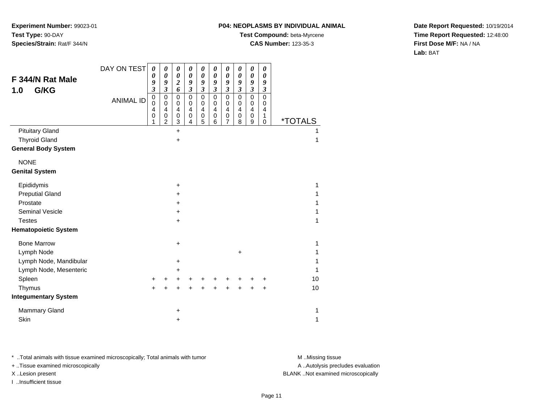### **P04: NEOPLASMS BY INDIVIDUAL ANIMAL**

**Test Compound:** beta-Myrcene

**CAS Number:** 123-35-3

**Date Report Requested:** 10/19/2014**Time Report Requested:** 12:48:00**First Dose M/F:** NA / NA**Lab:** BAT

|                             | DAY ON TEST      | 0                        | 0                          | 0                                         | 0                          | 0                                         | 0                          | 0                          | 0                          | 0                                                | 0                          |                       |
|-----------------------------|------------------|--------------------------|----------------------------|-------------------------------------------|----------------------------|-------------------------------------------|----------------------------|----------------------------|----------------------------|--------------------------------------------------|----------------------------|-----------------------|
| F 344/N Rat Male            |                  | $\pmb{\theta}$<br>9      | $\boldsymbol{\theta}$<br>9 | $\boldsymbol{\theta}$<br>$\boldsymbol{2}$ | $\boldsymbol{\theta}$<br>9 | $\boldsymbol{\theta}$<br>9                | $\boldsymbol{\theta}$<br>9 | $\boldsymbol{\theta}$<br>9 | $\boldsymbol{\theta}$<br>9 | $\boldsymbol{\theta}$<br>9                       | $\boldsymbol{\theta}$<br>9 |                       |
| G/KG<br>1.0                 |                  | $\overline{\mathbf{3}}$  | $\overline{\mathbf{3}}$    | 6                                         | $\mathfrak{z}$             | $\mathfrak{z}$                            | $\mathfrak{z}$             | $\mathfrak{z}$             | $\mathfrak{z}$             | $\mathfrak{z}$                                   | $\boldsymbol{\beta}$       |                       |
|                             | <b>ANIMAL ID</b> | $\pmb{0}$<br>$\mathsf 0$ | 0<br>$\mathbf 0$           | $\mathbf 0$<br>$\mathbf 0$                | $\mathbf 0$<br>$\mathbf 0$ | $\mathbf 0$<br>$\mathbf 0$                | $\mathbf 0$<br>$\pmb{0}$   | $\mathbf 0$<br>$\mathbf 0$ | $\mathbf 0$<br>$\mathbf 0$ | $\overline{0}$<br>$\pmb{0}$                      | $\overline{0}$<br>0        |                       |
|                             |                  | 4<br>0<br>1              | 4<br>0<br>$\overline{c}$   | 4<br>$\,0\,$<br>3                         | 4<br>0<br>4                | $\overline{\mathbf{4}}$<br>$\pmb{0}$<br>5 | 4<br>0<br>6                | 4<br>0<br>7                | $\overline{4}$<br>0<br>8   | $\overline{\mathbf{4}}$<br>0<br>$\boldsymbol{9}$ | 4<br>1<br>$\mathbf 0$      | <i><b>*TOTALS</b></i> |
| <b>Pituitary Gland</b>      |                  |                          |                            | $\ddot{}$                                 |                            |                                           |                            |                            |                            |                                                  |                            | 1                     |
| <b>Thyroid Gland</b>        |                  |                          |                            | $\ddot{}$                                 |                            |                                           |                            |                            |                            |                                                  |                            | 1                     |
| <b>General Body System</b>  |                  |                          |                            |                                           |                            |                                           |                            |                            |                            |                                                  |                            |                       |
| <b>NONE</b>                 |                  |                          |                            |                                           |                            |                                           |                            |                            |                            |                                                  |                            |                       |
| <b>Genital System</b>       |                  |                          |                            |                                           |                            |                                           |                            |                            |                            |                                                  |                            |                       |
| Epididymis                  |                  |                          |                            | $\ddot{}$                                 |                            |                                           |                            |                            |                            |                                                  |                            | 1                     |
| <b>Preputial Gland</b>      |                  |                          |                            | +                                         |                            |                                           |                            |                            |                            |                                                  |                            | 1                     |
| Prostate                    |                  |                          |                            | +                                         |                            |                                           |                            |                            |                            |                                                  |                            | 1                     |
| <b>Seminal Vesicle</b>      |                  |                          |                            | $\ddot{}$                                 |                            |                                           |                            |                            |                            |                                                  |                            | 1                     |
| <b>Testes</b>               |                  |                          |                            | $\ddot{}$                                 |                            |                                           |                            |                            |                            |                                                  |                            | 1                     |
| <b>Hematopoietic System</b> |                  |                          |                            |                                           |                            |                                           |                            |                            |                            |                                                  |                            |                       |
| <b>Bone Marrow</b>          |                  |                          |                            | +                                         |                            |                                           |                            |                            |                            |                                                  |                            | 1                     |
| Lymph Node                  |                  |                          |                            |                                           |                            |                                           |                            |                            | $\ddot{}$                  |                                                  |                            | 1                     |
| Lymph Node, Mandibular      |                  |                          |                            | +                                         |                            |                                           |                            |                            |                            |                                                  |                            | 1                     |
| Lymph Node, Mesenteric      |                  |                          |                            | +                                         |                            |                                           |                            |                            |                            |                                                  |                            | 1                     |
| Spleen                      |                  | $\ddot{}$                |                            | +                                         |                            |                                           |                            |                            |                            |                                                  | ٠                          | 10                    |
| Thymus                      |                  | $\ddot{}$                |                            | +                                         |                            |                                           |                            | +                          | $\ddot{}$                  |                                                  | $\ddot{}$                  | 10                    |
| <b>Integumentary System</b> |                  |                          |                            |                                           |                            |                                           |                            |                            |                            |                                                  |                            |                       |
| <b>Mammary Gland</b>        |                  |                          |                            | +                                         |                            |                                           |                            |                            |                            |                                                  |                            | 1                     |
| Skin                        |                  |                          |                            | +                                         |                            |                                           |                            |                            |                            |                                                  |                            | 1                     |

\* ..Total animals with tissue examined microscopically; Total animals with tumor **M** . Missing tissue M ..Missing tissue

+ ..Tissue examined microscopically

I ..Insufficient tissue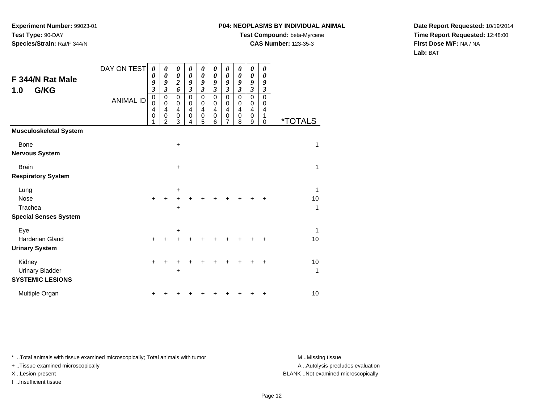## **P04: NEOPLASMS BY INDIVIDUAL ANIMAL**

**Test Compound:** beta-Myrcene

**CAS Number:** 123-35-3

**Date Report Requested:** 10/19/2014**Time Report Requested:** 12:48:00**First Dose M/F:** NA / NA**Lab:** BAT

| F 344/N Rat Male<br>G/KG<br>1.0 | DAY ON TEST<br><b>ANIMAL ID</b> | 0<br>0<br>9<br>$\mathfrak{z}$<br>$\pmb{0}$<br>$\mathbf 0$<br>4<br>$\mathbf 0$<br>1 | 0<br>0<br>9<br>$\mathfrak{z}$<br>$\mathbf 0$<br>$\mathbf 0$<br>4<br>$\mathbf 0$<br>$\overline{2}$ | 0<br>$\boldsymbol{\theta}$<br>$\overline{\mathbf{c}}$<br>6<br>$\mathbf 0$<br>$\mathbf 0$<br>$\overline{4}$<br>$\mathbf 0$<br>3 | 0<br>0<br>9<br>$\mathfrak{z}$<br>$\mathbf 0$<br>0<br>4<br>$\mathbf 0$<br>4 | 0<br>$\boldsymbol{\theta}$<br>9<br>$\overline{\mathbf{3}}$<br>0<br>0<br>4<br>0<br>5 | 0<br>$\boldsymbol{\theta}$<br>9<br>$\mathfrak{z}$<br>$\mathbf 0$<br>$\mathbf 0$<br>$\overline{4}$<br>$\mathbf 0$<br>6 | 0<br>0<br>9<br>$\mathfrak{z}$<br>$\mathbf 0$<br>$\mathbf 0$<br>4<br>$\mathbf 0$<br>7 | 0<br>0<br>9<br>$\mathfrak{z}$<br>$\mathbf 0$<br>$\mathbf 0$<br>4<br>$\mathbf 0$<br>8 | 0<br>0<br>9<br>$\mathfrak{z}$<br>$\mathbf 0$<br>$\mathbf 0$<br>$\overline{4}$<br>$\mathbf 0$<br>9 | 0<br>0<br>9<br>$\mathfrak{z}$<br>$\mathbf 0$<br>0<br>$\overline{4}$<br>1<br>$\mathbf 0$ | <i><b>*TOTALS</b></i> |
|---------------------------------|---------------------------------|------------------------------------------------------------------------------------|---------------------------------------------------------------------------------------------------|--------------------------------------------------------------------------------------------------------------------------------|----------------------------------------------------------------------------|-------------------------------------------------------------------------------------|-----------------------------------------------------------------------------------------------------------------------|--------------------------------------------------------------------------------------|--------------------------------------------------------------------------------------|---------------------------------------------------------------------------------------------------|-----------------------------------------------------------------------------------------|-----------------------|
| <b>Musculoskeletal System</b>   |                                 |                                                                                    |                                                                                                   |                                                                                                                                |                                                                            |                                                                                     |                                                                                                                       |                                                                                      |                                                                                      |                                                                                                   |                                                                                         |                       |
| <b>Bone</b>                     |                                 |                                                                                    |                                                                                                   | $\ddot{}$                                                                                                                      |                                                                            |                                                                                     |                                                                                                                       |                                                                                      |                                                                                      |                                                                                                   |                                                                                         | 1                     |
| <b>Nervous System</b>           |                                 |                                                                                    |                                                                                                   |                                                                                                                                |                                                                            |                                                                                     |                                                                                                                       |                                                                                      |                                                                                      |                                                                                                   |                                                                                         |                       |
| <b>Brain</b>                    |                                 |                                                                                    |                                                                                                   | $\ddot{}$                                                                                                                      |                                                                            |                                                                                     |                                                                                                                       |                                                                                      |                                                                                      |                                                                                                   |                                                                                         | 1                     |
| <b>Respiratory System</b>       |                                 |                                                                                    |                                                                                                   |                                                                                                                                |                                                                            |                                                                                     |                                                                                                                       |                                                                                      |                                                                                      |                                                                                                   |                                                                                         |                       |
| Lung                            |                                 |                                                                                    |                                                                                                   | +                                                                                                                              |                                                                            |                                                                                     |                                                                                                                       |                                                                                      |                                                                                      |                                                                                                   |                                                                                         | 1                     |
| Nose                            |                                 | $\ddot{}$                                                                          |                                                                                                   |                                                                                                                                |                                                                            |                                                                                     |                                                                                                                       |                                                                                      |                                                                                      |                                                                                                   | +                                                                                       | 10                    |
| Trachea                         |                                 |                                                                                    |                                                                                                   | $\ddot{}$                                                                                                                      |                                                                            |                                                                                     |                                                                                                                       |                                                                                      |                                                                                      |                                                                                                   |                                                                                         | 1                     |
| <b>Special Senses System</b>    |                                 |                                                                                    |                                                                                                   |                                                                                                                                |                                                                            |                                                                                     |                                                                                                                       |                                                                                      |                                                                                      |                                                                                                   |                                                                                         |                       |
| Eye                             |                                 |                                                                                    |                                                                                                   | +                                                                                                                              |                                                                            |                                                                                     |                                                                                                                       |                                                                                      |                                                                                      |                                                                                                   |                                                                                         | 1                     |
| <b>Harderian Gland</b>          |                                 | $+$                                                                                |                                                                                                   |                                                                                                                                |                                                                            |                                                                                     |                                                                                                                       |                                                                                      |                                                                                      |                                                                                                   | +                                                                                       | 10                    |
| <b>Urinary System</b>           |                                 |                                                                                    |                                                                                                   |                                                                                                                                |                                                                            |                                                                                     |                                                                                                                       |                                                                                      |                                                                                      |                                                                                                   |                                                                                         |                       |
| Kidney                          |                                 | $\ddot{}$                                                                          |                                                                                                   |                                                                                                                                |                                                                            |                                                                                     |                                                                                                                       |                                                                                      |                                                                                      |                                                                                                   | ٠                                                                                       | 10                    |
| <b>Urinary Bladder</b>          |                                 |                                                                                    |                                                                                                   | +                                                                                                                              |                                                                            |                                                                                     |                                                                                                                       |                                                                                      |                                                                                      |                                                                                                   |                                                                                         | 1                     |
| <b>SYSTEMIC LESIONS</b>         |                                 |                                                                                    |                                                                                                   |                                                                                                                                |                                                                            |                                                                                     |                                                                                                                       |                                                                                      |                                                                                      |                                                                                                   |                                                                                         |                       |
| Multiple Organ                  |                                 |                                                                                    |                                                                                                   |                                                                                                                                |                                                                            |                                                                                     |                                                                                                                       |                                                                                      |                                                                                      |                                                                                                   | +                                                                                       | 10                    |

\* ..Total animals with tissue examined microscopically; Total animals with tumor **M** . Missing tissue M ..Missing tissue

+ ..Tissue examined microscopically

I ..Insufficient tissue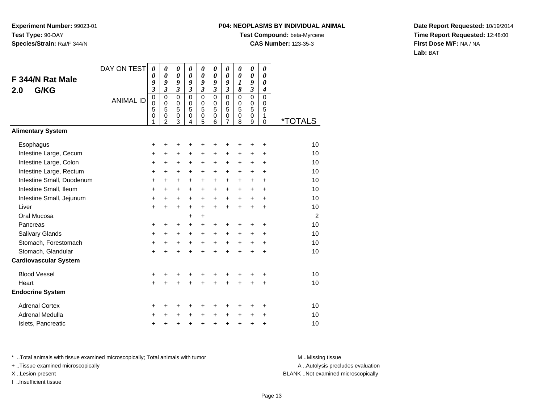# **P04: NEOPLASMS BY INDIVIDUAL ANIMAL**

**Test Compound:** beta-Myrcene

**CAS Number:** 123-35-3

**Date Report Requested:** 10/19/2014**Time Report Requested:** 12:48:00**First Dose M/F:** NA / NA**Lab:** BAT

|                              | DAY ON TEST      | 0                       | 0                                  | 0                          | 0                       | 0                     | 0                          | $\boldsymbol{\theta}$      | 0                          | 0                          | 0                                |                       |
|------------------------------|------------------|-------------------------|------------------------------------|----------------------------|-------------------------|-----------------------|----------------------------|----------------------------|----------------------------|----------------------------|----------------------------------|-----------------------|
| F 344/N Rat Male             |                  | 0<br>9                  | $\boldsymbol{\theta}$<br>9         | $\boldsymbol{\theta}$<br>9 | 0<br>9                  | 0<br>9                | $\boldsymbol{\theta}$<br>9 | $\boldsymbol{\theta}$<br>9 | 0<br>$\boldsymbol{l}$      | $\boldsymbol{\theta}$<br>9 | $\boldsymbol{\theta}$<br>0       |                       |
| G/KG<br>2.0                  |                  | $\overline{\mathbf{3}}$ | $\overline{\mathbf{3}}$            | $\mathfrak{z}$             | $\overline{\mathbf{3}}$ | 3                     | $\mathfrak{z}$             | $\mathfrak{z}$             | 8                          | $\overline{\mathbf{3}}$    | $\boldsymbol{4}$                 |                       |
|                              | <b>ANIMAL ID</b> | 0<br>$\mathbf 0$        | $\mathbf 0$<br>$\mathbf 0$         | $\mathbf 0$<br>$\pmb{0}$   | $\Omega$<br>$\mathbf 0$ | $\mathbf 0$<br>0      | $\Omega$<br>$\mathbf 0$    | $\mathbf 0$<br>$\pmb{0}$   | $\mathbf 0$<br>$\mathbf 0$ | $\mathbf 0$<br>$\mathbf 0$ | $\mathbf 0$<br>$\mathbf 0$       |                       |
|                              |                  | 5<br>0<br>1             | 5<br>$\mathbf 0$<br>$\overline{2}$ | 5<br>$\mathbf 0$<br>3      | 5<br>0<br>4             | 5<br>$\mathbf 0$<br>5 | 5<br>0<br>6                | 5<br>$\pmb{0}$<br>7        | 5<br>0<br>8                | 5<br>0<br>9                | 5<br>$\mathbf{1}$<br>$\mathbf 0$ | <i><b>*TOTALS</b></i> |
| <b>Alimentary System</b>     |                  |                         |                                    |                            |                         |                       |                            |                            |                            |                            |                                  |                       |
| Esophagus                    |                  | +                       | +                                  | +                          | ٠                       | ٠                     | +                          |                            |                            | +                          | +                                | 10                    |
| Intestine Large, Cecum       |                  | +                       | +                                  | +                          | +                       | +                     | +                          | +                          | +                          | $\ddot{}$                  | +                                | 10                    |
| Intestine Large, Colon       |                  | +                       | $\ddot{}$                          | $\ddot{}$                  | $\ddot{}$               | +                     | $\ddot{}$                  | +                          | $\ddot{}$                  | $\ddot{}$                  | $\ddot{}$                        | 10                    |
| Intestine Large, Rectum      |                  | +                       | $\ddot{}$                          | $\ddot{}$                  | $\ddot{}$               | $\ddot{}$             | $\ddot{}$                  | $\ddot{}$                  | $\ddot{}$                  | +                          | $\ddot{}$                        | 10                    |
| Intestine Small, Duodenum    |                  | $\ddot{}$               | $\ddot{}$                          | $\ddot{}$                  | $\ddot{}$               | $+$                   | $\ddot{}$                  | $\ddot{}$                  | +                          | $\ddot{}$                  | $\ddot{}$                        | 10                    |
| Intestine Small, Ileum       |                  | +                       | $\ddot{}$                          | $\ddot{}$                  | $\ddot{}$               | $\ddot{}$             | $\ddot{}$                  | $\ddot{}$                  | +                          | $\ddot{}$                  | $\ddot{}$                        | 10                    |
| Intestine Small, Jejunum     |                  | +                       | +                                  | $\ddot{}$                  | $\ddot{}$               | $\ddot{}$             | $\ddot{}$                  | $\ddot{}$                  | +                          | $\pm$                      | $\ddot{}$                        | 10                    |
| Liver                        |                  | $\ddot{}$               | $\ddot{}$                          | $\ddot{}$                  | $\ddot{}$               | $+$                   | $\ddot{}$                  | $+$                        | $\ddot{}$                  | $\ddot{}$                  | $\ddot{}$                        | 10                    |
| Oral Mucosa                  |                  |                         |                                    |                            | +                       | $\ddot{}$             |                            |                            |                            |                            |                                  | $\overline{2}$        |
| Pancreas                     |                  | +                       | +                                  | +                          | $\ddot{}$               | $\pm$                 | +                          | $\ddot{}$                  | +                          | +                          | +                                | 10                    |
| Salivary Glands              |                  | +                       | $\ddot{}$                          | $\ddot{}$                  | $\ddot{}$               | $+$                   | $\ddot{}$                  | $\ddot{}$                  | $\ddot{}$                  | +                          | +                                | 10                    |
| Stomach, Forestomach         |                  | +                       | $\ddot{}$                          | $\ddot{}$                  | $\ddot{}$               | $+$                   | $+$                        | $\ddot{}$                  | $\ddot{}$                  | $\ddot{}$                  | +                                | 10                    |
| Stomach, Glandular           |                  | $\ddot{}$               | $\ddot{}$                          | $\ddot{}$                  | ÷                       | $\ddot{}$             | $\ddot{}$                  | $\ddot{}$                  | $\ddot{}$                  | $\ddot{}$                  | $\ddot{}$                        | 10                    |
| <b>Cardiovascular System</b> |                  |                         |                                    |                            |                         |                       |                            |                            |                            |                            |                                  |                       |
| <b>Blood Vessel</b>          |                  | +                       | +                                  | +                          | +                       | +                     | +                          | +                          | +                          | +                          | +                                | 10                    |
| Heart                        |                  | $\ddot{}$               | $\ddot{}$                          | $\ddot{}$                  |                         | $\ddot{}$             | $\ddot{}$                  |                            | ÷                          | $\ddot{}$                  | $\ddot{}$                        | 10                    |
| <b>Endocrine System</b>      |                  |                         |                                    |                            |                         |                       |                            |                            |                            |                            |                                  |                       |
| <b>Adrenal Cortex</b>        |                  | +                       | +                                  | +                          | ٠                       | ٠                     | ÷                          |                            | ٠                          | +                          | $\ddot{}$                        | 10                    |
| Adrenal Medulla              |                  | +                       | +                                  | +                          | +                       | $\pm$                 | $\ddot{}$                  | $\ddot{}$                  | $\pm$                      | +                          | +                                | 10                    |
| Islets, Pancreatic           |                  | +                       | +                                  | $\pmb{+}$                  | +                       | $\ddot{}$             | $\ddot{}$                  | $\ddot{}$                  | $\ddot{}$                  | $\pmb{+}$                  | +                                | 10                    |

\* ..Total animals with tissue examined microscopically; Total animals with tumor **M** . Missing tissue M ..Missing tissue

+ ..Tissue examined microscopically

I ..Insufficient tissue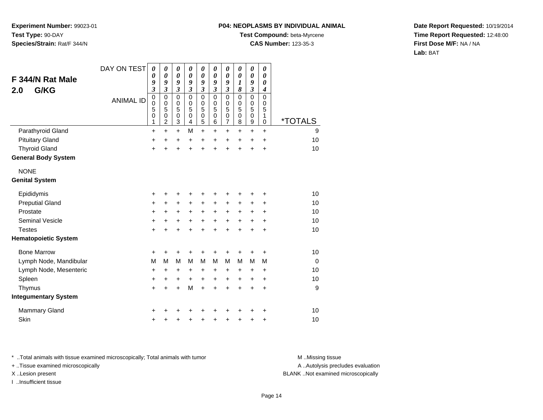#### **P04: NEOPLASMS BY INDIVIDUAL ANIMAL**

**Test Compound:** beta-Myrcene

**CAS Number:** 123-35-3

**Date Report Requested:** 10/19/2014**Time Report Requested:** 12:48:00**First Dose M/F:** NA / NA**Lab:** BAT

| F 344/N Rat Male<br>G/KG<br>2.0 | DAY ON TEST<br><b>ANIMAL ID</b> | 0<br>0<br>9<br>$\overline{\mathbf{3}}$<br>$\mathbf 0$ | 0<br>$\boldsymbol{\theta}$<br>9<br>$\overline{\mathbf{3}}$<br>$\mathbf 0$ | $\boldsymbol{\theta}$<br>$\boldsymbol{\theta}$<br>9<br>$\mathfrak{z}$<br>$\mathbf 0$ | 0<br>$\boldsymbol{\theta}$<br>9<br>$\mathfrak{z}$<br>$\mathbf 0$ | $\boldsymbol{\theta}$<br>$\boldsymbol{\theta}$<br>9<br>$\boldsymbol{\mathfrak{z}}$<br>$\mathbf 0$ | 0<br>0<br>9<br>$\boldsymbol{\mathfrak{z}}$<br>$\mathbf 0$ | 0<br>0<br>9<br>$\mathfrak{z}$<br>0    | 0<br>$\boldsymbol{\theta}$<br>1<br>8<br>$\mathbf 0$ | 0<br>$\boldsymbol{\theta}$<br>9<br>3<br>$\mathbf 0$ | 0<br>$\boldsymbol{\theta}$<br>0<br>$\boldsymbol{4}$<br>$\mathbf 0$ |                       |
|---------------------------------|---------------------------------|-------------------------------------------------------|---------------------------------------------------------------------------|--------------------------------------------------------------------------------------|------------------------------------------------------------------|---------------------------------------------------------------------------------------------------|-----------------------------------------------------------|---------------------------------------|-----------------------------------------------------|-----------------------------------------------------|--------------------------------------------------------------------|-----------------------|
|                                 |                                 | 0<br>5<br>0<br>1                                      | $\mathbf 0$<br>5<br>0<br>$\overline{c}$                                   | 0<br>5<br>$\mathbf 0$<br>3                                                           | 0<br>5<br>$\mathbf 0$<br>4                                       | 0<br>5<br>$\mathbf 0$<br>5                                                                        | $\mathbf 0$<br>5<br>0<br>6                                | 0<br>5<br>$\pmb{0}$<br>$\overline{7}$ | 0<br>5<br>$\mathbf 0$<br>8                          | 0<br>5<br>$\mathsf 0$<br>9                          | $\mathbf 0$<br>5<br>1<br>0                                         | <i><b>*TOTALS</b></i> |
| Parathyroid Gland               |                                 | $\ddot{}$                                             | $\ddot{}$                                                                 | $\ddot{}$                                                                            | M                                                                | $\ddot{}$                                                                                         | $\ddot{}$                                                 | $\ddot{}$                             | $\ddot{}$                                           | +                                                   | $+$                                                                | 9                     |
| <b>Pituitary Gland</b>          |                                 | +                                                     | +                                                                         | +                                                                                    | $\ddot{}$                                                        | +                                                                                                 | +                                                         | +                                     | +                                                   | +                                                   | $\ddot{}$                                                          | 10                    |
| <b>Thyroid Gland</b>            |                                 | +                                                     | +                                                                         | $\ddot{}$                                                                            | +                                                                | $\ddot{}$                                                                                         | +                                                         | $\ddot{}$                             | $\ddot{}$                                           | $\ddot{}$                                           | $\ddot{}$                                                          | 10                    |
| <b>General Body System</b>      |                                 |                                                       |                                                                           |                                                                                      |                                                                  |                                                                                                   |                                                           |                                       |                                                     |                                                     |                                                                    |                       |
| <b>NONE</b>                     |                                 |                                                       |                                                                           |                                                                                      |                                                                  |                                                                                                   |                                                           |                                       |                                                     |                                                     |                                                                    |                       |
| <b>Genital System</b>           |                                 |                                                       |                                                                           |                                                                                      |                                                                  |                                                                                                   |                                                           |                                       |                                                     |                                                     |                                                                    |                       |
| Epididymis                      |                                 | +                                                     | +                                                                         | +                                                                                    | ٠                                                                | +                                                                                                 | +                                                         | +                                     | +                                                   | +                                                   | $\ddot{}$                                                          | 10                    |
| <b>Preputial Gland</b>          |                                 | +                                                     | +                                                                         | $\ddot{}$                                                                            | +                                                                | +                                                                                                 | +                                                         | +                                     | +                                                   | +                                                   | $\ddot{}$                                                          | 10                    |
| Prostate                        |                                 | +                                                     | $\ddot{}$                                                                 | +                                                                                    | $\ddot{}$                                                        | $\ddot{}$                                                                                         | $\ddot{}$                                                 | $\ddot{}$                             | $\ddot{}$                                           | +                                                   | $\ddot{}$                                                          | 10                    |
| <b>Seminal Vesicle</b>          |                                 | $\ddot{}$                                             | $\ddot{}$                                                                 | $\ddot{}$                                                                            | $\ddot{}$                                                        | $\ddot{}$                                                                                         | $\ddot{}$                                                 | $\ddot{}$                             | $\ddot{}$                                           | +                                                   | $\ddot{}$                                                          | 10                    |
| <b>Testes</b>                   |                                 | $\ddot{}$                                             | $\ddot{}$                                                                 | $\ddot{}$                                                                            | $\ddot{}$                                                        | $\ddot{}$                                                                                         | $\ddot{}$                                                 | $\ddot{}$                             | $\ddot{}$                                           | $\ddot{}$                                           | $\ddot{}$                                                          | 10                    |
| <b>Hematopoietic System</b>     |                                 |                                                       |                                                                           |                                                                                      |                                                                  |                                                                                                   |                                                           |                                       |                                                     |                                                     |                                                                    |                       |
| <b>Bone Marrow</b>              |                                 | $\ddot{}$                                             | +                                                                         | +                                                                                    |                                                                  | +                                                                                                 |                                                           | +                                     | +                                                   | +                                                   | +                                                                  | 10                    |
| Lymph Node, Mandibular          |                                 | M                                                     | M                                                                         | M                                                                                    | M                                                                | M                                                                                                 | М                                                         | M                                     | м                                                   | M                                                   | М                                                                  | $\Omega$              |
| Lymph Node, Mesenteric          |                                 | +                                                     | +                                                                         | +                                                                                    | +                                                                | $\ddot{}$                                                                                         | +                                                         | +                                     | +                                                   | +                                                   | $\ddot{}$                                                          | 10                    |
| Spleen                          |                                 | $\ddot{}$                                             | +                                                                         | $\ddot{}$                                                                            | $\ddot{}$                                                        | $\ddot{}$                                                                                         | +                                                         | $\ddot{}$                             | $\ddot{}$                                           | +                                                   | $\ddot{}$                                                          | 10                    |
| Thymus                          |                                 | $\ddot{}$                                             | +                                                                         | $\ddot{}$                                                                            | M                                                                | $\ddot{}$                                                                                         | $\ddot{}$                                                 | $\ddot{}$                             | $\ddot{}$                                           | $\ddot{}$                                           | $+$                                                                | 9                     |
| <b>Integumentary System</b>     |                                 |                                                       |                                                                           |                                                                                      |                                                                  |                                                                                                   |                                                           |                                       |                                                     |                                                     |                                                                    |                       |
| <b>Mammary Gland</b>            |                                 | ٠                                                     |                                                                           |                                                                                      |                                                                  |                                                                                                   |                                                           |                                       |                                                     | +                                                   | ٠                                                                  | 10                    |
| Skin                            |                                 | +                                                     |                                                                           | +                                                                                    |                                                                  | +                                                                                                 |                                                           | +                                     | +                                                   | +                                                   | +                                                                  | 10                    |

\* ..Total animals with tissue examined microscopically; Total animals with tumor **M** . Missing tissue M ..Missing tissue

+ ..Tissue examined microscopically

I ..Insufficient tissue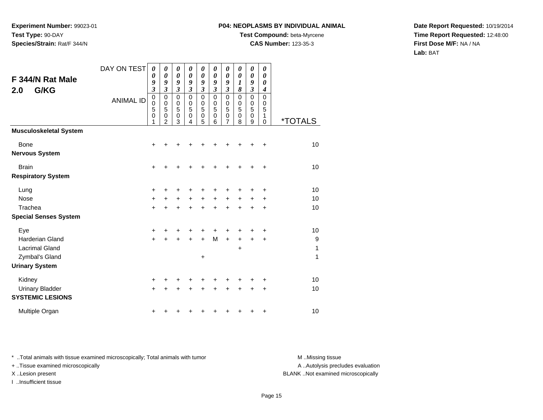## **P04: NEOPLASMS BY INDIVIDUAL ANIMAL**

**Test Compound:** beta-Myrcene

**CAS Number:** 123-35-3

**Date Report Requested:** 10/19/2014**Time Report Requested:** 12:48:00**First Dose M/F:** NA / NA**Lab:** BAT

| F 344/N Rat Male<br>G/KG<br>2.0                                                                   | DAY ON TEST<br><b>ANIMAL ID</b> | 0<br>0<br>9<br>3<br>0<br>0<br>5<br>0 | 0<br>$\boldsymbol{\theta}$<br>9<br>3<br>0<br>0<br>5<br>0<br>2 | 0<br>$\boldsymbol{\theta}$<br>9<br>$\mathfrak{z}$<br>$\mathbf 0$<br>0<br>5<br>$\mathbf 0$<br>3 | 0<br>$\boldsymbol{\theta}$<br>9<br>$\mathfrak{z}$<br>$\mathbf 0$<br>0<br>5<br>$\mathbf 0$<br>4 | 0<br>0<br>9<br>$\mathfrak{z}$<br>0<br>0<br>5<br>$\mathbf 0$<br>5 | 0<br>$\boldsymbol{\theta}$<br>9<br>$\boldsymbol{\beta}$<br>$\mathbf 0$<br>$\mathbf 0$<br>5<br>$\mathbf 0$<br>6 | 0<br>$\boldsymbol{\theta}$<br>9<br>$\overline{\mathbf{3}}$<br>0<br>0<br>$\overline{5}$<br>$\mathbf 0$<br>7 | 0<br>$\boldsymbol{\theta}$<br>$\boldsymbol{l}$<br>8<br>0<br>0<br>5<br>$\mathbf 0$<br>8 | 0<br>$\boldsymbol{\theta}$<br>9<br>$\mathfrak{z}$<br>0<br>0<br>5<br>0<br>9 | $\boldsymbol{\theta}$<br>$\boldsymbol{\theta}$<br>$\boldsymbol{\theta}$<br>$\boldsymbol{4}$<br>0<br>0<br>5<br>1<br>$\mathbf 0$ | <i><b>*TOTALS</b></i> |
|---------------------------------------------------------------------------------------------------|---------------------------------|--------------------------------------|---------------------------------------------------------------|------------------------------------------------------------------------------------------------|------------------------------------------------------------------------------------------------|------------------------------------------------------------------|----------------------------------------------------------------------------------------------------------------|------------------------------------------------------------------------------------------------------------|----------------------------------------------------------------------------------------|----------------------------------------------------------------------------|--------------------------------------------------------------------------------------------------------------------------------|-----------------------|
| <b>Musculoskeletal System</b>                                                                     |                                 |                                      |                                                               |                                                                                                |                                                                                                |                                                                  |                                                                                                                |                                                                                                            |                                                                                        |                                                                            |                                                                                                                                |                       |
| <b>Bone</b><br><b>Nervous System</b>                                                              |                                 | +                                    |                                                               |                                                                                                |                                                                                                |                                                                  | +                                                                                                              |                                                                                                            | +                                                                                      | +                                                                          | +                                                                                                                              | 10                    |
| <b>Brain</b><br><b>Respiratory System</b>                                                         |                                 | $\ddot{}$                            |                                                               |                                                                                                |                                                                                                |                                                                  |                                                                                                                |                                                                                                            | +                                                                                      | +                                                                          | $\ddot{}$                                                                                                                      | 10                    |
| Lung<br><b>Nose</b>                                                                               |                                 | +                                    |                                                               |                                                                                                |                                                                                                | ٠                                                                | +<br>$\ddot{}$                                                                                                 | +                                                                                                          | +                                                                                      | +                                                                          | +                                                                                                                              | 10<br>10              |
| Trachea                                                                                           |                                 | $\ddot{}$<br>÷                       | +                                                             | $\pm$                                                                                          | $\ddot{}$                                                                                      | $\ddot{}$<br>$\ddot{}$                                           | $\ddot{}$                                                                                                      | $\ddot{}$<br>$\ddot{}$                                                                                     | $\ddot{}$<br>$\ddot{}$                                                                 | +<br>$\ddot{}$                                                             | $\ddot{}$<br>+                                                                                                                 | 10                    |
| <b>Special Senses System</b>                                                                      |                                 |                                      |                                                               |                                                                                                |                                                                                                |                                                                  |                                                                                                                |                                                                                                            |                                                                                        |                                                                            |                                                                                                                                |                       |
| Eye<br><b>Harderian Gland</b><br><b>Lacrimal Gland</b><br>Zymbal's Gland<br><b>Urinary System</b> |                                 | $\ddot{}$<br>$\ddot{}$               |                                                               |                                                                                                | $\ddot{}$                                                                                      | +<br>$+$<br>+                                                    | +<br>M                                                                                                         | +<br>$\ddot{}$                                                                                             | +<br>$\ddot{}$<br>$\ddot{}$                                                            | +<br>$\ddot{}$                                                             | $\ddot{}$<br>$\ddot{}$                                                                                                         | 10<br>9<br>1<br>1     |
|                                                                                                   |                                 |                                      |                                                               |                                                                                                |                                                                                                |                                                                  |                                                                                                                |                                                                                                            |                                                                                        |                                                                            |                                                                                                                                |                       |
| Kidney<br><b>Urinary Bladder</b><br><b>SYSTEMIC LESIONS</b>                                       |                                 | +<br>$\ddot{}$                       |                                                               |                                                                                                |                                                                                                | +                                                                | +                                                                                                              | +                                                                                                          | +                                                                                      | +                                                                          | +<br>+                                                                                                                         | 10<br>10              |
| Multiple Organ                                                                                    |                                 | +                                    |                                                               |                                                                                                |                                                                                                | ٠                                                                | ٠                                                                                                              | +                                                                                                          | +                                                                                      | +                                                                          | +                                                                                                                              | 10                    |

\* ..Total animals with tissue examined microscopically; Total animals with tumor **M** . Missing tissue M ..Missing tissue

+ ..Tissue examined microscopically

I ..Insufficient tissue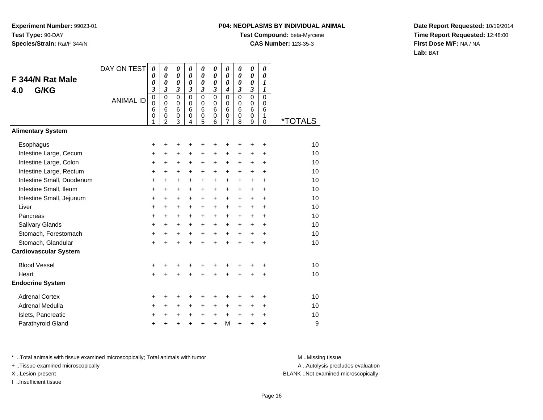# **P04: NEOPLASMS BY INDIVIDUAL ANIMAL**

**Test Compound:** beta-Myrcene

**CAS Number:** 123-35-3

**Date Report Requested:** 10/19/2014**Time Report Requested:** 12:48:00**First Dose M/F:** NA / NA**Lab:** BAT

| F 344/N Rat Male<br>G/KG<br>4.0 | DAY ON TEST<br><b>ANIMAL ID</b> | 0<br>0<br>0<br>3<br>0<br>$\mathbf 0$<br>6<br>$\mathbf 0$<br>1 | 0<br>$\boldsymbol{\theta}$<br>$\boldsymbol{\theta}$<br>$\mathfrak{z}$<br>$\mathbf 0$<br>$\mathbf 0$<br>6<br>$\pmb{0}$<br>$\overline{2}$ | 0<br>0<br>0<br>$\mathfrak{z}$<br>$\mathbf 0$<br>$\mathbf 0$<br>6<br>$\mathbf 0$<br>3 | 0<br>0<br>$\boldsymbol{\theta}$<br>$\mathfrak{z}$<br>$\Omega$<br>$\Omega$<br>6<br>$\mathbf 0$<br>4 | 0<br>$\boldsymbol{\theta}$<br>$\boldsymbol{\theta}$<br>3<br>$\mathbf 0$<br>$\mathbf 0$<br>6<br>$\mathbf 0$<br>5 | 0<br>0<br>$\boldsymbol{\theta}$<br>$\mathfrak{z}$<br>$\Omega$<br>$\mathbf 0$<br>6<br>$\mathbf 0$<br>6 | 0<br>0<br>$\boldsymbol{\theta}$<br>$\boldsymbol{4}$<br>$\mathbf 0$<br>$\mathbf 0$<br>6<br>0<br>$\overline{7}$ | 0<br>$\boldsymbol{\theta}$<br>0<br>$\overline{\mathbf{3}}$<br>$\Omega$<br>0<br>6<br>$\mathbf 0$<br>8 | 0<br>$\boldsymbol{\theta}$<br>0<br>3<br>0<br>$\mathbf 0$<br>6<br>$\mathbf 0$<br>9 | 0<br>0<br>1<br>$\boldsymbol{l}$<br>0<br>$\mathbf 0$<br>6<br>1<br>0 | <i><b>*TOTALS</b></i> |
|---------------------------------|---------------------------------|---------------------------------------------------------------|-----------------------------------------------------------------------------------------------------------------------------------------|--------------------------------------------------------------------------------------|----------------------------------------------------------------------------------------------------|-----------------------------------------------------------------------------------------------------------------|-------------------------------------------------------------------------------------------------------|---------------------------------------------------------------------------------------------------------------|------------------------------------------------------------------------------------------------------|-----------------------------------------------------------------------------------|--------------------------------------------------------------------|-----------------------|
| <b>Alimentary System</b>        |                                 |                                                               |                                                                                                                                         |                                                                                      |                                                                                                    |                                                                                                                 |                                                                                                       |                                                                                                               |                                                                                                      |                                                                                   |                                                                    |                       |
| Esophagus                       |                                 | +                                                             | +                                                                                                                                       | +                                                                                    | +                                                                                                  | +                                                                                                               | +                                                                                                     | +                                                                                                             | +                                                                                                    | +                                                                                 | +                                                                  | 10                    |
| Intestine Large, Cecum          |                                 | +                                                             | +                                                                                                                                       | $\ddot{}$                                                                            | +                                                                                                  | $\ddot{}$                                                                                                       | $\ddot{}$                                                                                             | $\ddot{}$                                                                                                     | +                                                                                                    | $\ddot{}$                                                                         | $\ddot{}$                                                          | 10                    |
| Intestine Large, Colon          |                                 | $\ddot{}$                                                     | $\ddot{}$                                                                                                                               | +                                                                                    | +                                                                                                  | $\ddot{}$                                                                                                       | +                                                                                                     | $\ddot{}$                                                                                                     | +                                                                                                    | $\ddot{}$                                                                         | $\ddot{}$                                                          | 10                    |
| Intestine Large, Rectum         |                                 | +                                                             | $\ddot{}$                                                                                                                               | $\ddot{}$                                                                            | $\ddot{}$                                                                                          | $\ddot{}$                                                                                                       | $\ddot{}$                                                                                             | $\ddot{}$                                                                                                     | $\ddot{}$                                                                                            | $\ddot{}$                                                                         | $\ddot{}$                                                          | 10                    |
| Intestine Small, Duodenum       |                                 | $\ddot{}$                                                     | $\ddot{}$                                                                                                                               | $\ddot{}$                                                                            | $\ddot{}$                                                                                          | $\ddot{}$                                                                                                       | $+$                                                                                                   | $\ddot{}$                                                                                                     | $\ddot{}$                                                                                            | $\ddot{}$                                                                         | $\ddot{}$                                                          | 10                    |
| Intestine Small, Ileum          |                                 | +                                                             | +                                                                                                                                       | +                                                                                    | +                                                                                                  | +                                                                                                               | $\ddot{}$                                                                                             | $\ddot{}$                                                                                                     | +                                                                                                    | +                                                                                 | +                                                                  | 10                    |
| Intestine Small, Jejunum        |                                 | +                                                             | $\ddot{}$                                                                                                                               | $\ddot{}$                                                                            | $\ddot{}$                                                                                          | +                                                                                                               | $\ddot{}$                                                                                             | $\ddot{}$                                                                                                     | $\ddot{}$                                                                                            | +                                                                                 | $\ddot{}$                                                          | 10                    |
| Liver                           |                                 | +                                                             | $\ddot{}$                                                                                                                               | $\ddot{}$                                                                            | $\ddot{}$                                                                                          | $\ddot{}$                                                                                                       | $\ddot{}$                                                                                             | $\ddot{}$                                                                                                     | $\ddot{}$                                                                                            | $\ddot{}$                                                                         | +                                                                  | 10                    |
| Pancreas                        |                                 | $\ddot{}$                                                     | $\ddot{}$                                                                                                                               | $\ddot{}$                                                                            | $\ddot{}$                                                                                          | $\ddot{}$                                                                                                       | $\ddot{}$                                                                                             | $\ddot{}$                                                                                                     | $\ddot{}$                                                                                            | $\ddot{}$                                                                         | $\ddot{}$                                                          | 10                    |
| Salivary Glands                 |                                 | +                                                             | +                                                                                                                                       | +                                                                                    | +                                                                                                  | +                                                                                                               | $\ddot{}$                                                                                             | $\ddot{}$                                                                                                     | +                                                                                                    | +                                                                                 | +                                                                  | 10                    |
| Stomach, Forestomach            |                                 | $\ddot{}$                                                     | $\ddot{}$                                                                                                                               | $\ddot{}$                                                                            | $\ddot{}$                                                                                          | $\ddot{}$                                                                                                       | $+$                                                                                                   | $+$                                                                                                           | $\ddot{}$                                                                                            | $\ddot{}$                                                                         | $\ddot{}$                                                          | 10                    |
| Stomach, Glandular              |                                 | $\ddot{}$                                                     | $\ddot{}$                                                                                                                               | $\ddot{}$                                                                            | $\ddot{}$                                                                                          | $\ddot{}$                                                                                                       | $\ddot{}$                                                                                             | $\ddot{}$                                                                                                     | $\ddot{}$                                                                                            | $\ddot{}$                                                                         | $\ddot{}$                                                          | 10                    |
| <b>Cardiovascular System</b>    |                                 |                                                               |                                                                                                                                         |                                                                                      |                                                                                                    |                                                                                                                 |                                                                                                       |                                                                                                               |                                                                                                      |                                                                                   |                                                                    |                       |
| <b>Blood Vessel</b>             |                                 | +                                                             |                                                                                                                                         | +                                                                                    | +                                                                                                  | +                                                                                                               | +                                                                                                     | +                                                                                                             | +                                                                                                    | +                                                                                 | +                                                                  | 10                    |
| Heart                           |                                 | $\ddot{}$                                                     |                                                                                                                                         | $\ddot{}$                                                                            | $\ddot{}$                                                                                          | $\ddot{}$                                                                                                       | $\ddot{}$                                                                                             | $\ddot{}$                                                                                                     | $\ddot{}$                                                                                            | +                                                                                 | +                                                                  | 10                    |
| <b>Endocrine System</b>         |                                 |                                                               |                                                                                                                                         |                                                                                      |                                                                                                    |                                                                                                                 |                                                                                                       |                                                                                                               |                                                                                                      |                                                                                   |                                                                    |                       |
| <b>Adrenal Cortex</b>           |                                 | +                                                             | +                                                                                                                                       | +                                                                                    | +                                                                                                  | +                                                                                                               | +                                                                                                     | +                                                                                                             | +                                                                                                    | +                                                                                 | +                                                                  | 10                    |
| Adrenal Medulla                 |                                 | +                                                             | $\ddot{}$                                                                                                                               | +                                                                                    | +                                                                                                  | +                                                                                                               | +                                                                                                     | $\ddot{}$                                                                                                     | +                                                                                                    | +                                                                                 | +                                                                  | 10                    |
| Islets, Pancreatic              |                                 | +                                                             | +                                                                                                                                       | +                                                                                    | +                                                                                                  | +                                                                                                               | $\ddot{}$                                                                                             | $+$                                                                                                           | $\ddot{}$                                                                                            | +                                                                                 | +                                                                  | 10                    |
| Parathyroid Gland               |                                 | $\ddot{}$                                                     |                                                                                                                                         | $\ddot{}$                                                                            | $\ddot{}$                                                                                          | $\ddot{}$                                                                                                       | $\ddot{}$                                                                                             | M                                                                                                             | $\ddot{}$                                                                                            | $\ddot{}$                                                                         | $\ddot{}$                                                          | 9                     |

\* ..Total animals with tissue examined microscopically; Total animals with tumor **M** . Missing tissue M ..Missing tissue

+ ..Tissue examined microscopically

I ..Insufficient tissue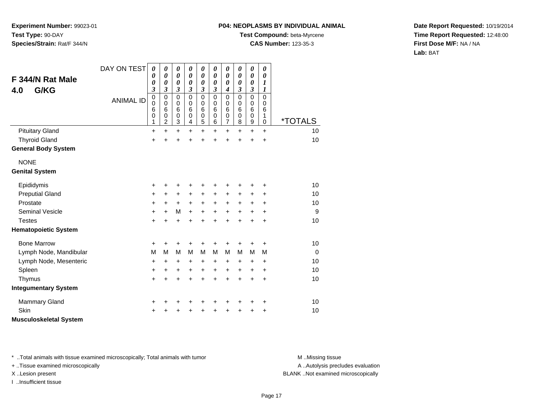#### **P04: NEOPLASMS BY INDIVIDUAL ANIMAL**

**Test Compound:** beta-Myrcene

**CAS Number:** 123-35-3

**Date Report Requested:** 10/19/2014**Time Report Requested:** 12:48:00**First Dose M/F:** NA / NA**Lab:** BAT

| F 344/N Rat Male<br>G/KG<br>4.0 | DAY ON TEST      | 0<br>0<br>$\boldsymbol{\theta}$<br>3      | 0<br>$\boldsymbol{\theta}$<br>0<br>3                | 0<br>$\boldsymbol{\theta}$<br>$\boldsymbol{\theta}$<br>$\mathfrak{z}$ | 0<br>$\boldsymbol{\theta}$<br>$\boldsymbol{\theta}$<br>3 | 0<br>$\boldsymbol{\theta}$<br>$\boldsymbol{\theta}$<br>$\boldsymbol{\beta}$ | 0<br>0<br>0<br>3                          | 0<br>$\boldsymbol{\theta}$<br>$\boldsymbol{\theta}$<br>$\boldsymbol{4}$ | 0<br>$\boldsymbol{\theta}$<br>$\boldsymbol{\theta}$<br>3 | $\boldsymbol{\theta}$<br>$\pmb{\theta}$<br>$\boldsymbol{\theta}$<br>$\boldsymbol{\beta}$ | 0<br>$\boldsymbol{\theta}$<br>1<br>1      |                       |
|---------------------------------|------------------|-------------------------------------------|-----------------------------------------------------|-----------------------------------------------------------------------|----------------------------------------------------------|-----------------------------------------------------------------------------|-------------------------------------------|-------------------------------------------------------------------------|----------------------------------------------------------|------------------------------------------------------------------------------------------|-------------------------------------------|-----------------------|
|                                 | <b>ANIMAL ID</b> | $\mathbf 0$<br>$\mathbf 0$<br>6<br>0<br>1 | $\mathbf 0$<br>$\mathbf 0$<br>6<br>$\mathbf 0$<br>2 | $\mathbf 0$<br>$\mathbf 0$<br>6<br>$\mathbf 0$<br>3                   | 0<br>0<br>6<br>0<br>4                                    | $\mathbf 0$<br>$\pmb{0}$<br>$6\phantom{1}6$<br>$\mathbf 0$<br>5             | $\mathbf 0$<br>0<br>6<br>$\mathbf 0$<br>6 | $\mathbf 0$<br>$\pmb{0}$<br>6<br>$\mathbf 0$<br>$\overline{7}$          | $\mathbf 0$<br>0<br>6<br>0<br>8                          | $\pmb{0}$<br>$\mathbf 0$<br>$\,6$<br>$\mathbf 0$<br>9                                    | $\mathbf 0$<br>0<br>6<br>1<br>$\mathbf 0$ | <i><b>*TOTALS</b></i> |
| <b>Pituitary Gland</b>          |                  | $\ddot{}$                                 | $\ddot{}$                                           | $\ddot{}$                                                             | $\ddot{}$                                                | $\ddot{}$                                                                   | $\ddot{}$                                 | $\ddot{}$                                                               | $\ddot{}$                                                | $\ddot{}$                                                                                | $\ddot{}$                                 | 10                    |
| <b>Thyroid Gland</b>            |                  | +                                         | +                                                   | +                                                                     | +                                                        | +                                                                           | +                                         | +                                                                       | +                                                        | +                                                                                        | $\ddot{}$                                 | 10                    |
| <b>General Body System</b>      |                  |                                           |                                                     |                                                                       |                                                          |                                                                             |                                           |                                                                         |                                                          |                                                                                          |                                           |                       |
| <b>NONE</b>                     |                  |                                           |                                                     |                                                                       |                                                          |                                                                             |                                           |                                                                         |                                                          |                                                                                          |                                           |                       |
| <b>Genital System</b>           |                  |                                           |                                                     |                                                                       |                                                          |                                                                             |                                           |                                                                         |                                                          |                                                                                          |                                           |                       |
| Epididymis                      |                  | +                                         | +                                                   | +                                                                     | +                                                        | +                                                                           | +                                         | +                                                                       |                                                          | +                                                                                        | +                                         | 10                    |
| <b>Preputial Gland</b>          |                  | +                                         | +                                                   | +                                                                     | +                                                        | $\ddot{}$                                                                   | +                                         | +                                                                       | +                                                        | $\ddot{}$                                                                                | +                                         | 10                    |
| Prostate                        |                  | +                                         | $\ddot{}$                                           | $\ddot{}$                                                             | $\ddot{}$                                                | $\ddot{}$                                                                   | $\ddot{}$                                 | $\ddot{}$                                                               | +                                                        | $\ddot{}$                                                                                | $\ddot{}$                                 | 10                    |
| <b>Seminal Vesicle</b>          |                  | +                                         | $\ddot{}$                                           | M                                                                     | $\ddot{}$                                                | $\ddot{}$                                                                   | $\ddot{}$                                 | $\ddot{}$                                                               | +                                                        | $\ddot{}$                                                                                | $\ddot{}$                                 | 9                     |
| <b>Testes</b>                   |                  | $\ddot{}$                                 | $\ddot{}$                                           | $\ddot{}$                                                             | $\ddot{}$                                                | $\ddot{}$                                                                   | $\ddot{}$                                 | $\ddot{}$                                                               | $\ddot{}$                                                | $\ddot{}$                                                                                | $\ddot{}$                                 | 10                    |
| <b>Hematopoietic System</b>     |                  |                                           |                                                     |                                                                       |                                                          |                                                                             |                                           |                                                                         |                                                          |                                                                                          |                                           |                       |
| <b>Bone Marrow</b>              |                  | +                                         | ٠                                                   | ٠                                                                     | +                                                        | ٠                                                                           | +                                         | ٠                                                                       | +                                                        | +                                                                                        | +                                         | 10                    |
| Lymph Node, Mandibular          |                  | M                                         | M                                                   | M                                                                     | M                                                        | M                                                                           | M                                         | M                                                                       | M                                                        | M                                                                                        | M                                         | $\overline{0}$        |
| Lymph Node, Mesenteric          |                  | +                                         | $\ddot{}$                                           | $\ddot{}$                                                             | $\ddot{}$                                                | $\ddot{}$                                                                   | +                                         | $\ddot{}$                                                               | +                                                        | $\ddot{}$                                                                                | +                                         | 10                    |
| Spleen                          |                  | +                                         | +                                                   | $\ddot{}$                                                             | $\ddot{}$                                                | +                                                                           | +                                         | +                                                                       | +                                                        | $\ddot{}$                                                                                | $\ddot{}$                                 | 10                    |
| Thymus                          |                  | $\ddot{}$                                 | $\ddot{}$                                           | $\ddot{}$                                                             | $\ddot{}$                                                | $\ddot{}$                                                                   | $\ddot{}$                                 | $\ddot{}$                                                               | $\ddot{}$                                                | $\ddot{}$                                                                                | $\ddot{}$                                 | 10                    |
| <b>Integumentary System</b>     |                  |                                           |                                                     |                                                                       |                                                          |                                                                             |                                           |                                                                         |                                                          |                                                                                          |                                           |                       |
| <b>Mammary Gland</b>            |                  | +                                         | +                                                   | +                                                                     | +                                                        | +                                                                           | +                                         | +                                                                       | +                                                        | +                                                                                        | +                                         | 10                    |
| Skin                            |                  | +                                         |                                                     | +                                                                     | +                                                        | +                                                                           |                                           | +                                                                       |                                                          | +                                                                                        | +                                         | 10                    |
| <b>Musculoskeletal System</b>   |                  |                                           |                                                     |                                                                       |                                                          |                                                                             |                                           |                                                                         |                                                          |                                                                                          |                                           |                       |

\* ..Total animals with tissue examined microscopically; Total animals with tumor **M** . Missing tissue M ..Missing tissue

+ ..Tissue examined microscopically

I ..Insufficient tissue

A ..Autolysis precludes evaluation

X ..Lesion present BLANK ..Not examined microscopically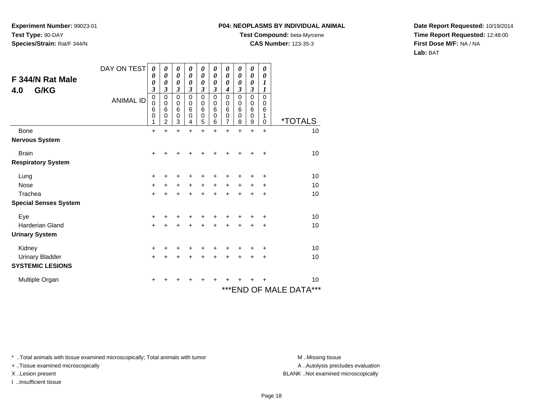#### **P04: NEOPLASMS BY INDIVIDUAL ANIMAL**

**Test Compound:** beta-Myrcene

**CAS Number:** 123-35-3

**Date Report Requested:** 10/19/2014**Time Report Requested:** 12:48:00**First Dose M/F:** NA / NA**Lab:** BAT

| F 344/N Rat Male<br>G/KG<br>4.0 | DAY ON TEST<br><b>ANIMAL ID</b> | 0<br>0<br>0<br>$\overline{\mathbf{3}}$<br>0<br>0<br>6<br>0<br>1 | 0<br>0<br>0<br>3<br>0<br>0<br>6<br>0<br>$\overline{2}$ | 0<br>0<br>0<br>3<br>0<br>0<br>6<br>$\mathbf 0$<br>3 | 0<br>$\boldsymbol{\theta}$<br>$\boldsymbol{\theta}$<br>3<br>0<br>0<br>6<br>0<br>4 | 0<br>0<br>0<br>3<br>0<br>0<br>6<br>$\mathsf 0$<br>5 | 0<br>0<br>0<br>3<br>$\mathbf 0$<br>0<br>6<br>0<br>6 | 0<br>0<br>0<br>4<br>0<br>0<br>6<br>0<br>$\overline{7}$ | 0<br>$\boldsymbol{\theta}$<br>0<br>3<br>$\mathbf 0$<br>0<br>6<br>0<br>8 | 0<br>0<br>0<br>3<br>0<br>0<br>$6\phantom{1}6$<br>0<br>9 | 0<br>0<br>1<br>1<br>$\mathbf 0$<br>0<br>6<br>1<br>0 | <i><b>*TOTALS</b></i>      |
|---------------------------------|---------------------------------|-----------------------------------------------------------------|--------------------------------------------------------|-----------------------------------------------------|-----------------------------------------------------------------------------------|-----------------------------------------------------|-----------------------------------------------------|--------------------------------------------------------|-------------------------------------------------------------------------|---------------------------------------------------------|-----------------------------------------------------|----------------------------|
| Bone                            |                                 | $\ddot{}$                                                       | $\ddot{}$                                              | $\ddot{}$                                           | $\ddot{}$                                                                         | $\ddot{}$                                           | $\ddot{}$                                           | $\ddot{}$                                              | $\ddot{}$                                                               | $\ddot{}$                                               | $\ddot{}$                                           | 10                         |
| <b>Nervous System</b>           |                                 |                                                                 |                                                        |                                                     |                                                                                   |                                                     |                                                     |                                                        |                                                                         |                                                         |                                                     |                            |
| <b>Brain</b>                    |                                 | +                                                               |                                                        |                                                     |                                                                                   |                                                     |                                                     |                                                        |                                                                         |                                                         | ÷                                                   | 10                         |
| <b>Respiratory System</b>       |                                 |                                                                 |                                                        |                                                     |                                                                                   |                                                     |                                                     |                                                        |                                                                         |                                                         |                                                     |                            |
| Lung                            |                                 | +                                                               | +                                                      | +                                                   |                                                                                   | +                                                   |                                                     |                                                        |                                                                         |                                                         | +                                                   | 10                         |
| <b>Nose</b>                     |                                 | $+$                                                             | +                                                      | $\ddot{}$                                           | $\ddot{}$                                                                         | $+$                                                 | $\ddot{}$                                           | $\ddot{}$                                              | $\ddot{}$                                                               | $\ddot{}$                                               | +                                                   | 10                         |
| Trachea                         |                                 | $+$                                                             | $\ddot{}$                                              | $\ddot{}$                                           | $\ddot{}$                                                                         | $+$                                                 | $\ddot{}$                                           | $+$                                                    | $+$                                                                     | $+$                                                     | $\ddot{}$                                           | 10                         |
| <b>Special Senses System</b>    |                                 |                                                                 |                                                        |                                                     |                                                                                   |                                                     |                                                     |                                                        |                                                                         |                                                         |                                                     |                            |
| Eye                             |                                 | +                                                               |                                                        |                                                     |                                                                                   |                                                     |                                                     |                                                        |                                                                         |                                                         | ÷                                                   | 10                         |
| <b>Harderian Gland</b>          |                                 | $\ddot{}$                                                       | +                                                      | $\ddot{}$                                           | $\ddot{}$                                                                         | $\ddot{}$                                           | ÷                                                   | $\ddot{}$                                              | ÷                                                                       | $\div$                                                  | $\ddot{}$                                           | 10                         |
| <b>Urinary System</b>           |                                 |                                                                 |                                                        |                                                     |                                                                                   |                                                     |                                                     |                                                        |                                                                         |                                                         |                                                     |                            |
| Kidney                          |                                 | +                                                               | +                                                      | +                                                   |                                                                                   | +                                                   | ٠                                                   | +                                                      |                                                                         |                                                         | ÷                                                   | 10                         |
| <b>Urinary Bladder</b>          |                                 | $\ddot{}$                                                       | +                                                      | $\ddot{}$                                           |                                                                                   | $\ddot{}$                                           |                                                     | $\ddot{}$                                              | $\ddot{}$                                                               |                                                         | $\ddot{}$                                           | 10                         |
| <b>SYSTEMIC LESIONS</b>         |                                 |                                                                 |                                                        |                                                     |                                                                                   |                                                     |                                                     |                                                        |                                                                         |                                                         |                                                     |                            |
| Multiple Organ                  |                                 | +                                                               | +                                                      | +                                                   | +                                                                                 | ٠                                                   | +                                                   | +                                                      |                                                                         |                                                         | $\ddot{}$                                           | 10                         |
|                                 |                                 |                                                                 |                                                        |                                                     |                                                                                   |                                                     |                                                     |                                                        |                                                                         |                                                         |                                                     | ***<br>***END OF MALE DATA |

\* ..Total animals with tissue examined microscopically; Total animals with tumor **M** . Missing tissue M ..Missing tissue

+ ..Tissue examined microscopically

I ..Insufficient tissue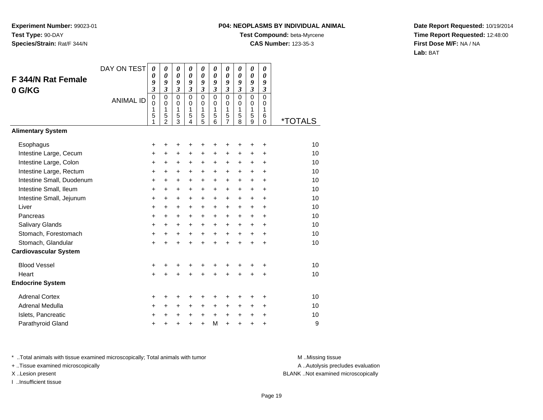# **P04: NEOPLASMS BY INDIVIDUAL ANIMAL**

**Test Compound:** beta-Myrcene

**CAS Number:** 123-35-3

**Date Report Requested:** 10/19/2014**Time Report Requested:** 12:48:00**First Dose M/F:** NA / NA**Lab:** BAT

| <b>F 344/N Rat Female</b><br>0 G/KG | DAY ON TEST<br><b>ANIMAL ID</b> | 0<br>0<br>9<br>3<br>0<br>$\mathbf 0$<br>1<br>5<br>1 | 0<br>0<br>9<br>$\overline{\mathbf{3}}$<br>$\mathbf 0$<br>$\mathbf 0$<br>1<br>5<br>$\mathfrak{p}$ | $\boldsymbol{\theta}$<br>$\boldsymbol{\theta}$<br>9<br>$\overline{\mathbf{3}}$<br>$\mathbf 0$<br>$\pmb{0}$<br>1<br>5<br>$\overline{3}$ | 0<br>0<br>9<br>$\mathfrak{z}$<br>$\mathbf 0$<br>$\mathbf 0$<br>1<br>5<br>$\mathbf{A}$ | 0<br>0<br>9<br>$\overline{\mathbf{3}}$<br>$\mathsf 0$<br>$\mathbf 0$<br>$\mathbf{1}$<br>5<br>$\overline{5}$ | 0<br>$\boldsymbol{\theta}$<br>9<br>$\mathfrak{z}$<br>$\mathbf 0$<br>$\mathbf 0$<br>1<br>5<br>6 | 0<br>$\boldsymbol{\theta}$<br>9<br>$\mathfrak{z}$<br>$\mathbf 0$<br>$\mathbf 0$<br>1<br>5<br>$\overline{7}$ | 0<br>0<br>9<br>$\mathfrak{z}$<br>$\mathbf 0$<br>$\mathbf 0$<br>1<br>5<br>8 | 0<br>$\boldsymbol{\theta}$<br>9<br>$\overline{\mathbf{3}}$<br>$\overline{0}$<br>0<br>1<br>5<br>$\overline{9}$ | 0<br>0<br>9<br>$\mathfrak{z}$<br>$\Omega$<br>0<br>1<br>6<br>$\Omega$ | <i><b>*TOTALS</b></i> |
|-------------------------------------|---------------------------------|-----------------------------------------------------|--------------------------------------------------------------------------------------------------|----------------------------------------------------------------------------------------------------------------------------------------|---------------------------------------------------------------------------------------|-------------------------------------------------------------------------------------------------------------|------------------------------------------------------------------------------------------------|-------------------------------------------------------------------------------------------------------------|----------------------------------------------------------------------------|---------------------------------------------------------------------------------------------------------------|----------------------------------------------------------------------|-----------------------|
| <b>Alimentary System</b>            |                                 |                                                     |                                                                                                  |                                                                                                                                        |                                                                                       |                                                                                                             |                                                                                                |                                                                                                             |                                                                            |                                                                                                               |                                                                      |                       |
| Esophagus                           |                                 | +                                                   | +                                                                                                | +                                                                                                                                      | +                                                                                     | +                                                                                                           | +                                                                                              | +                                                                                                           | +                                                                          | +                                                                                                             | +                                                                    | 10                    |
| Intestine Large, Cecum              |                                 | +                                                   | $\ddot{}$                                                                                        | $\ddot{}$                                                                                                                              | $\ddot{}$                                                                             | $\ddot{}$                                                                                                   | $\ddot{}$                                                                                      | $\ddot{}$                                                                                                   | $\ddot{}$                                                                  | +                                                                                                             | +                                                                    | 10                    |
| Intestine Large, Colon              |                                 | +                                                   | +                                                                                                | +                                                                                                                                      | +                                                                                     | $\pm$                                                                                                       | ٠                                                                                              | $\ddot{}$                                                                                                   | $\pm$                                                                      | $\pm$                                                                                                         | +                                                                    | 10                    |
| Intestine Large, Rectum             |                                 | +                                                   | +                                                                                                | $\ddot{}$                                                                                                                              | $\ddot{}$                                                                             | $\ddot{}$                                                                                                   | $\ddot{}$                                                                                      | $\ddot{}$                                                                                                   | $\ddot{}$                                                                  | $\ddot{}$                                                                                                     | $\ddot{}$                                                            | 10                    |
| Intestine Small, Duodenum           |                                 | +                                                   | +                                                                                                | +                                                                                                                                      | $\ddot{}$                                                                             | $\ddot{}$                                                                                                   | $\ddot{}$                                                                                      | $\ddot{}$                                                                                                   | $\ddot{}$                                                                  | $\ddot{}$                                                                                                     | $\ddot{}$                                                            | 10                    |
| Intestine Small, Ileum              |                                 | +                                                   | $\ddot{}$                                                                                        | $\ddot{}$                                                                                                                              | $\ddot{}$                                                                             | $\ddot{}$                                                                                                   | $\ddot{}$                                                                                      | $\ddot{}$                                                                                                   | $\ddot{}$                                                                  | $\ddot{}$                                                                                                     | $\ddot{}$                                                            | 10                    |
| Intestine Small, Jejunum            |                                 | +                                                   | +                                                                                                | +                                                                                                                                      | +                                                                                     | +                                                                                                           | +                                                                                              | +                                                                                                           | +                                                                          | +                                                                                                             | +                                                                    | 10                    |
| Liver                               |                                 | $\ddot{}$                                           | $\ddot{}$                                                                                        | $\ddot{}$                                                                                                                              | $\ddot{}$                                                                             | $+$                                                                                                         | $\ddot{}$                                                                                      | $\ddot{}$                                                                                                   | $\ddot{}$                                                                  | $\ddot{}$                                                                                                     | $\ddot{}$                                                            | 10                    |
| Pancreas                            |                                 | +                                                   | +                                                                                                | $\ddot{}$                                                                                                                              | $+$                                                                                   | $\ddot{}$                                                                                                   | $\ddot{}$                                                                                      | $\ddot{}$                                                                                                   | $\ddot{}$                                                                  | $\ddot{}$                                                                                                     | +                                                                    | 10                    |
| Salivary Glands                     |                                 | +                                                   | +                                                                                                | +                                                                                                                                      | $\ddot{}$                                                                             | $\ddot{}$                                                                                                   | +                                                                                              | +                                                                                                           | +                                                                          | +                                                                                                             | +                                                                    | 10                    |
| Stomach, Forestomach                |                                 | $\ddot{}$                                           | +                                                                                                | +                                                                                                                                      | +                                                                                     | $\ddot{}$                                                                                                   | $\ddot{}$                                                                                      | $\ddot{}$                                                                                                   | $\ddot{}$                                                                  | +                                                                                                             | $\ddot{}$                                                            | 10                    |
| Stomach, Glandular                  |                                 | $\ddot{}$                                           |                                                                                                  |                                                                                                                                        |                                                                                       | $\ddot{}$                                                                                                   | $\ddot{}$                                                                                      | $\ddot{}$                                                                                                   | $\ddot{}$                                                                  | $\ddot{}$                                                                                                     | $\ddot{}$                                                            | 10                    |
| <b>Cardiovascular System</b>        |                                 |                                                     |                                                                                                  |                                                                                                                                        |                                                                                       |                                                                                                             |                                                                                                |                                                                                                             |                                                                            |                                                                                                               |                                                                      |                       |
| <b>Blood Vessel</b>                 |                                 | +                                                   | +                                                                                                | +                                                                                                                                      | +                                                                                     | +                                                                                                           | +                                                                                              | +                                                                                                           | ٠                                                                          | +                                                                                                             | +                                                                    | 10                    |
| Heart                               |                                 | $\ddot{}$                                           |                                                                                                  |                                                                                                                                        |                                                                                       | Ŧ.                                                                                                          | ÷                                                                                              | $\ddot{}$                                                                                                   | $\ddot{}$                                                                  | $\ddot{}$                                                                                                     | $\ddot{}$                                                            | 10                    |
| <b>Endocrine System</b>             |                                 |                                                     |                                                                                                  |                                                                                                                                        |                                                                                       |                                                                                                             |                                                                                                |                                                                                                             |                                                                            |                                                                                                               |                                                                      |                       |
| <b>Adrenal Cortex</b>               |                                 | +                                                   | +                                                                                                | +                                                                                                                                      | +                                                                                     | +                                                                                                           | +                                                                                              | +                                                                                                           | +                                                                          | +                                                                                                             | +                                                                    | 10                    |
| Adrenal Medulla                     |                                 | +                                                   | +                                                                                                | +                                                                                                                                      | +                                                                                     | +                                                                                                           | +                                                                                              | +                                                                                                           | +                                                                          | +                                                                                                             | +                                                                    | 10                    |
| Islets, Pancreatic                  |                                 | +                                                   | +                                                                                                | +                                                                                                                                      | +                                                                                     | $\ddot{}$                                                                                                   | $\ddot{}$                                                                                      | +                                                                                                           | $\ddot{}$                                                                  | +                                                                                                             | +                                                                    | 10                    |
| Parathyroid Gland                   |                                 | +                                                   |                                                                                                  |                                                                                                                                        |                                                                                       | $\ddot{}$                                                                                                   | M                                                                                              | $\ddot{}$                                                                                                   | +                                                                          | +                                                                                                             | +                                                                    | 9                     |

\* ..Total animals with tissue examined microscopically; Total animals with tumor **M** . Missing tissue M ..Missing tissue

+ ..Tissue examined microscopically

I ..Insufficient tissue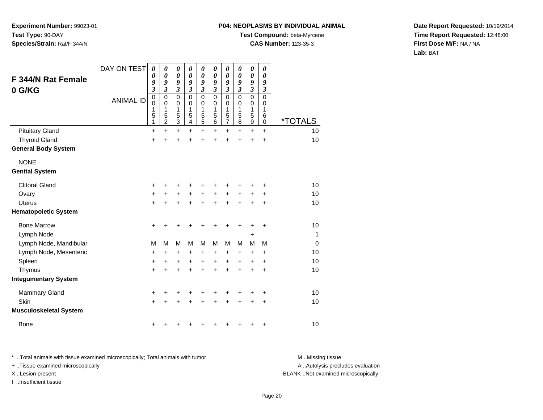#### **P04: NEOPLASMS BY INDIVIDUAL ANIMAL**

**Test Compound:** beta-Myrcene

**CAS Number:** 123-35-3

**Date Report Requested:** 10/19/2014**Time Report Requested:** 12:48:00**First Dose M/F:** NA / NA**Lab:** BAT

| <b>F 344/N Rat Female</b><br>0 G/KG | DAY ON TEST<br><b>ANIMAL ID</b> | $\boldsymbol{\theta}$<br>0<br>9<br>$\overline{\mathbf{3}}$<br>$\pmb{0}$<br>0<br>1<br>5<br>1 | 0<br>$\boldsymbol{\theta}$<br>9<br>$\mathfrak{z}$<br>$\mathbf 0$<br>$\mathbf 0$<br>1<br>5<br>$\overline{c}$ | 0<br>0<br>9<br>$\mathfrak{z}$<br>0<br>0<br>1<br>5<br>3 | 0<br>0<br>9<br>$\mathfrak{z}$<br>$\mathbf{0}$<br>0<br>1<br>5<br>4 | 0<br>0<br>9<br>$\boldsymbol{\beta}$<br>$\mathbf 0$<br>0<br>1<br>$\frac{5}{5}$ | 0<br>$\boldsymbol{\theta}$<br>9<br>3<br>$\mathbf 0$<br>0<br>1<br>$\mathbf 5$<br>6 | $\pmb{\theta}$<br>0<br>9<br>$\boldsymbol{\mathfrak{z}}$<br>$\mathbf 0$<br>0<br>1<br>$\frac{5}{7}$ | 0<br>0<br>9<br>3<br>$\mathbf{0}$<br>0<br>1<br>5<br>8 | 0<br>0<br>9<br>$\mathfrak{z}$<br>0<br>0<br>1<br>5<br>9 | 0<br>0<br>9<br>$\boldsymbol{\beta}$<br>$\Omega$<br>0<br>1<br>6<br>0 | <i><b>*TOTALS</b></i> |
|-------------------------------------|---------------------------------|---------------------------------------------------------------------------------------------|-------------------------------------------------------------------------------------------------------------|--------------------------------------------------------|-------------------------------------------------------------------|-------------------------------------------------------------------------------|-----------------------------------------------------------------------------------|---------------------------------------------------------------------------------------------------|------------------------------------------------------|--------------------------------------------------------|---------------------------------------------------------------------|-----------------------|
| <b>Pituitary Gland</b>              |                                 | +                                                                                           | $\ddot{}$                                                                                                   | $\ddot{}$                                              | $\ddot{}$                                                         | +                                                                             | $\ddot{}$                                                                         | $+$                                                                                               | $\ddot{}$                                            | $\ddot{}$                                              | $\ddot{}$                                                           | 10                    |
| <b>Thyroid Gland</b>                |                                 | $\ddot{}$                                                                                   |                                                                                                             | +                                                      | $\ddot{}$                                                         | $\ddot{}$                                                                     | $\ddot{}$                                                                         | $\ddot{}$                                                                                         | +                                                    | +                                                      | $\ddot{}$                                                           | 10                    |
| <b>General Body System</b>          |                                 |                                                                                             |                                                                                                             |                                                        |                                                                   |                                                                               |                                                                                   |                                                                                                   |                                                      |                                                        |                                                                     |                       |
| <b>NONE</b>                         |                                 |                                                                                             |                                                                                                             |                                                        |                                                                   |                                                                               |                                                                                   |                                                                                                   |                                                      |                                                        |                                                                     |                       |
| <b>Genital System</b>               |                                 |                                                                                             |                                                                                                             |                                                        |                                                                   |                                                                               |                                                                                   |                                                                                                   |                                                      |                                                        |                                                                     |                       |
| <b>Clitoral Gland</b>               |                                 | +                                                                                           | ٠                                                                                                           | +                                                      | +                                                                 | +                                                                             |                                                                                   | ٠                                                                                                 | ٠                                                    | ٠                                                      | +                                                                   | 10                    |
| Ovary                               |                                 | $\ddot{}$                                                                                   |                                                                                                             | $\ddot{}$                                              | $\ddot{}$                                                         | +                                                                             | $\ddot{}$                                                                         | $\ddot{}$                                                                                         | $\ddot{}$                                            | +                                                      | +                                                                   | 10                    |
| <b>Uterus</b>                       |                                 | $\ddot{}$                                                                                   |                                                                                                             | $\ddot{}$                                              | $\ddot{}$                                                         | $\ddot{}$                                                                     | $\ddot{}$                                                                         | $\ddot{}$                                                                                         | ÷                                                    | $\ddot{}$                                              | $\ddot{}$                                                           | 10                    |
| <b>Hematopoietic System</b>         |                                 |                                                                                             |                                                                                                             |                                                        |                                                                   |                                                                               |                                                                                   |                                                                                                   |                                                      |                                                        |                                                                     |                       |
| <b>Bone Marrow</b>                  |                                 | +                                                                                           |                                                                                                             | +                                                      | +                                                                 | +                                                                             | +                                                                                 | +                                                                                                 | +                                                    |                                                        | +                                                                   | 10                    |
| Lymph Node                          |                                 |                                                                                             |                                                                                                             |                                                        |                                                                   |                                                                               |                                                                                   |                                                                                                   |                                                      | +                                                      |                                                                     | 1                     |
| Lymph Node, Mandibular              |                                 | М                                                                                           | M                                                                                                           | M                                                      | М                                                                 | M                                                                             | м                                                                                 | M                                                                                                 | м                                                    | M                                                      | M                                                                   | $\Omega$              |
| Lymph Node, Mesenteric              |                                 | +                                                                                           | +                                                                                                           | +                                                      | +                                                                 | +                                                                             | +                                                                                 | +                                                                                                 | +                                                    | +                                                      | +                                                                   | 10                    |
| Spleen                              |                                 | +                                                                                           | +                                                                                                           | +                                                      | +                                                                 | +                                                                             | $\pm$                                                                             | $\ddot{}$                                                                                         | $\pm$                                                | +                                                      | +                                                                   | 10                    |
| Thymus                              |                                 | +                                                                                           |                                                                                                             | $\ddot{}$                                              | $\ddot{}$                                                         | $\ddot{}$                                                                     | $\ddot{}$                                                                         | $\ddot{}$                                                                                         | $\ddot{}$                                            | +                                                      | $\ddot{}$                                                           | 10                    |
| <b>Integumentary System</b>         |                                 |                                                                                             |                                                                                                             |                                                        |                                                                   |                                                                               |                                                                                   |                                                                                                   |                                                      |                                                        |                                                                     |                       |
| <b>Mammary Gland</b>                |                                 | $\ddot{}$                                                                                   | ٠                                                                                                           | +                                                      | +                                                                 | +                                                                             | +                                                                                 | +                                                                                                 | ٠                                                    | +                                                      | +                                                                   | 10                    |
| Skin                                |                                 | $\ddot{}$                                                                                   |                                                                                                             | +                                                      |                                                                   | $\ddot{}$                                                                     |                                                                                   | +                                                                                                 | +                                                    | +                                                      | $\ddot{}$                                                           | 10                    |
| <b>Musculoskeletal System</b>       |                                 |                                                                                             |                                                                                                             |                                                        |                                                                   |                                                                               |                                                                                   |                                                                                                   |                                                      |                                                        |                                                                     |                       |
| <b>Bone</b>                         |                                 | +                                                                                           |                                                                                                             |                                                        | ٠                                                                 | ٠                                                                             |                                                                                   |                                                                                                   | +                                                    | +                                                      | +                                                                   | 10                    |

\* ..Total animals with tissue examined microscopically; Total animals with tumor **M** . Missing tissue M ..Missing tissue + ..Tissue examined microscopically X ..Lesion present BLANK ..Not examined microscopically

I ..Insufficient tissue

A ..Autolysis precludes evaluation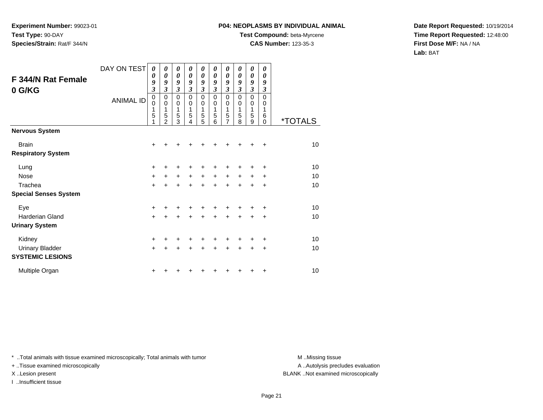## **P04: NEOPLASMS BY INDIVIDUAL ANIMAL**

**Test Compound:** beta-Myrcene

**CAS Number:** 123-35-3

**Date Report Requested:** 10/19/2014**Time Report Requested:** 12:48:00**First Dose M/F:** NA / NA**Lab:** BAT

| F 344/N Rat Female<br>0 G/KG | DAY ON TEST      | 0<br>0<br>9<br>$\overline{\mathbf{3}}$    | 0<br>0<br>9<br>$\overline{\mathbf{3}}$                 | 0<br>0<br>9<br>$\mathfrak{z}$             | 0<br>$\boldsymbol{\theta}$<br>9<br>3      | 0<br>$\boldsymbol{\theta}$<br>9<br>$\mathfrak{z}$ | 0<br>0<br>9<br>3      | 0<br>$\boldsymbol{\theta}$<br>9<br>3 | 0<br>0<br>9<br>3      | 0<br>$\boldsymbol{\theta}$<br>9<br>3 | 0<br>$\boldsymbol{\theta}$<br>9<br>$\mathfrak{z}$ |                       |
|------------------------------|------------------|-------------------------------------------|--------------------------------------------------------|-------------------------------------------|-------------------------------------------|---------------------------------------------------|-----------------------|--------------------------------------|-----------------------|--------------------------------------|---------------------------------------------------|-----------------------|
|                              | <b>ANIMAL ID</b> | $\mathbf 0$<br>$\mathbf 0$<br>1<br>5<br>1 | $\mathbf 0$<br>$\mathbf 0$<br>1<br>5<br>$\overline{2}$ | $\mathbf 0$<br>$\mathbf 0$<br>1<br>5<br>3 | $\mathbf 0$<br>$\mathbf 0$<br>1<br>5<br>4 | $\mathbf 0$<br>$\mathbf 0$<br>1<br>5<br>5         | 0<br>0<br>1<br>5<br>6 | 0<br>0<br>1<br>$\frac{5}{7}$         | 0<br>0<br>1<br>5<br>8 | 0<br>$\mathbf 0$<br>1<br>5<br>9      | $\mathbf 0$<br>0<br>1<br>6<br>$\Omega$            | <i><b>*TOTALS</b></i> |
| <b>Nervous System</b>        |                  |                                           |                                                        |                                           |                                           |                                                   |                       |                                      |                       |                                      |                                                   |                       |
| <b>Brain</b>                 |                  | $\ddot{}$                                 | +                                                      | +                                         |                                           |                                                   |                       |                                      |                       |                                      | $\ddot{}$                                         | 10                    |
| <b>Respiratory System</b>    |                  |                                           |                                                        |                                           |                                           |                                                   |                       |                                      |                       |                                      |                                                   |                       |
| Lung                         |                  | +                                         | +                                                      | +                                         | +                                         | +                                                 |                       | +                                    |                       |                                      | ٠                                                 | 10                    |
| <b>Nose</b>                  |                  | $\ddot{}$                                 | +                                                      | +                                         | $\ddot{}$                                 | $\ddot{}$                                         | +                     | $\ddot{}$                            | +                     | +                                    | ٠                                                 | 10                    |
| Trachea                      |                  | $\ddot{}$                                 | +                                                      | +                                         | $\div$                                    | +                                                 | $\div$                | $\pm$                                | $\div$                | +                                    | $\ddot{}$                                         | 10                    |
| <b>Special Senses System</b> |                  |                                           |                                                        |                                           |                                           |                                                   |                       |                                      |                       |                                      |                                                   |                       |
| Eye                          |                  | $\ddot{}$                                 |                                                        | +                                         |                                           |                                                   |                       |                                      |                       |                                      | +                                                 | 10                    |
| Harderian Gland              |                  | $\ddot{}$                                 | $\ddot{}$                                              | $\ddot{}$                                 | $\ddot{}$                                 | $\ddot{}$                                         | $\ddot{}$             | $\ddot{}$                            | $\ddot{}$             | $\ddot{}$                            | $\ddot{}$                                         | 10                    |
| <b>Urinary System</b>        |                  |                                           |                                                        |                                           |                                           |                                                   |                       |                                      |                       |                                      |                                                   |                       |
| Kidney                       |                  | +                                         |                                                        |                                           |                                           |                                                   |                       |                                      |                       |                                      | +                                                 | 10                    |
| <b>Urinary Bladder</b>       |                  | $\ddot{}$                                 | +                                                      | $\ddot{}$                                 | $\ddot{}$                                 | $\ddot{}$                                         | $\ddot{}$             | $\ddot{}$                            | $\ddot{}$             | +                                    | $\ddot{}$                                         | 10                    |
| <b>SYSTEMIC LESIONS</b>      |                  |                                           |                                                        |                                           |                                           |                                                   |                       |                                      |                       |                                      |                                                   |                       |
| Multiple Organ               |                  | +                                         |                                                        |                                           |                                           |                                                   |                       |                                      |                       | +                                    | +                                                 | 10                    |

\* ..Total animals with tissue examined microscopically; Total animals with tumor **M** . Missing tissue M ..Missing tissue

+ ..Tissue examined microscopically

X ..Lesion present BLANK ..Not examined microscopically

I ..Insufficient tissue

A ..Autolysis precludes evaluation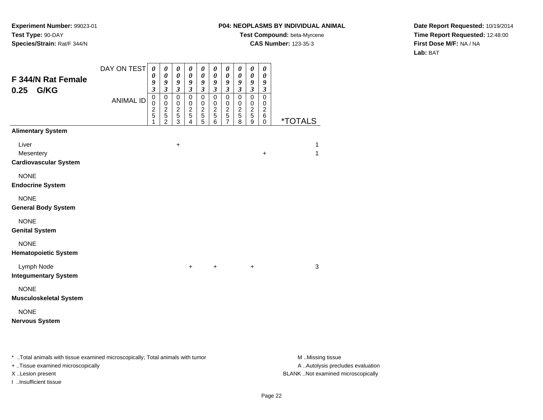## **P04: NEOPLASMS BY INDIVIDUAL ANIMAL**

**Test Compound:** beta-Myrcene

**CAS Number:** 123-35-3

**Date Report Requested:** 10/19/2014**Time Report Requested:** 12:48:00**First Dose M/F:** NA / NA**Lab:** BAT

| F 344/N Rat Female<br>G/KG<br>0.25                 | DAY ON TEST      | 0<br>0<br>9<br>$\boldsymbol{\mathfrak{z}}$           | 0<br>$\pmb{\theta}$<br>9<br>$\boldsymbol{\beta}$          | $\boldsymbol{\theta}$<br>$\pmb{\theta}$<br>$\boldsymbol{g}$<br>$\boldsymbol{\beta}$ | $\boldsymbol{\theta}$<br>$\pmb{\theta}$<br>$\boldsymbol{g}$<br>$\boldsymbol{\beta}$ | 0<br>$\pmb{\theta}$<br>9<br>$\boldsymbol{\beta}$            | $\boldsymbol{\theta}$<br>$\pmb{\theta}$<br>9<br>$\boldsymbol{\mathfrak{z}}$ | $\boldsymbol{\theta}$<br>$\pmb{\theta}$<br>9<br>$\boldsymbol{\mathfrak{z}}$ | $\pmb{\theta}$<br>$\boldsymbol{\theta}$<br>$\boldsymbol{g}$<br>$\mathfrak{z}$ | $\pmb{\theta}$<br>$\pmb{\theta}$<br>$\pmb{9}$<br>$\mathfrak{z}$ | $\boldsymbol{\theta}$<br>$\pmb{\theta}$<br>9<br>$\boldsymbol{\beta}$ |                              |
|----------------------------------------------------|------------------|------------------------------------------------------|-----------------------------------------------------------|-------------------------------------------------------------------------------------|-------------------------------------------------------------------------------------|-------------------------------------------------------------|-----------------------------------------------------------------------------|-----------------------------------------------------------------------------|-------------------------------------------------------------------------------|-----------------------------------------------------------------|----------------------------------------------------------------------|------------------------------|
|                                                    | <b>ANIMAL ID</b> | $\pmb{0}$<br>$\mathbf 0$<br>$\overline{c}$<br>5<br>1 | $\pmb{0}$<br>$\pmb{0}$<br>$\frac{2}{5}$<br>$\overline{2}$ | $\pmb{0}$<br>$\pmb{0}$<br>$\sqrt{2}$<br>$\,$ 5 $\,$<br>3                            | $\pmb{0}$<br>$\pmb{0}$<br>$rac{2}{5}$<br>4                                          | $\mathbf 0$<br>$\pmb{0}$<br>$\frac{2}{5}$<br>$\overline{5}$ | $\pmb{0}$<br>$\pmb{0}$<br>$\frac{2}{5}$<br>6                                | $\mathbf 0$<br>$\,0\,$<br>$\frac{2}{5}$<br>$\overline{7}$                   | $\pmb{0}$<br>$\mathbf 0$<br>$\sqrt{2}$<br>$\sqrt{5}$<br>8                     | $\pmb{0}$<br>$\pmb{0}$<br>$\frac{2}{5}$<br>$\boldsymbol{9}$     | $\pmb{0}$<br>$\mathbf 0$<br>$\boldsymbol{2}$<br>$\,6$<br>0           | <u>*TOTALS</u>               |
| <b>Alimentary System</b>                           |                  |                                                      |                                                           |                                                                                     |                                                                                     |                                                             |                                                                             |                                                                             |                                                                               |                                                                 |                                                                      |                              |
| Liver<br>Mesentery<br><b>Cardiovascular System</b> |                  |                                                      |                                                           | $\ddot{}$                                                                           |                                                                                     |                                                             |                                                                             |                                                                             |                                                                               |                                                                 | $\ddot{}$                                                            | $\mathbf{1}$<br>$\mathbf{1}$ |
| <b>NONE</b><br><b>Endocrine System</b>             |                  |                                                      |                                                           |                                                                                     |                                                                                     |                                                             |                                                                             |                                                                             |                                                                               |                                                                 |                                                                      |                              |
| <b>NONE</b><br><b>General Body System</b>          |                  |                                                      |                                                           |                                                                                     |                                                                                     |                                                             |                                                                             |                                                                             |                                                                               |                                                                 |                                                                      |                              |
| <b>NONE</b><br><b>Genital System</b>               |                  |                                                      |                                                           |                                                                                     |                                                                                     |                                                             |                                                                             |                                                                             |                                                                               |                                                                 |                                                                      |                              |
| <b>NONE</b><br><b>Hematopoietic System</b>         |                  |                                                      |                                                           |                                                                                     |                                                                                     |                                                             |                                                                             |                                                                             |                                                                               |                                                                 |                                                                      |                              |
| Lymph Node<br><b>Integumentary System</b>          |                  |                                                      |                                                           |                                                                                     | $+$                                                                                 |                                                             | $\ddot{}$                                                                   |                                                                             |                                                                               | $\ddot{}$                                                       |                                                                      | 3                            |
| <b>NONE</b><br><b>Musculoskeletal System</b>       |                  |                                                      |                                                           |                                                                                     |                                                                                     |                                                             |                                                                             |                                                                             |                                                                               |                                                                 |                                                                      |                              |
| <b>NONE</b><br><b>Nervous System</b>               |                  |                                                      |                                                           |                                                                                     |                                                                                     |                                                             |                                                                             |                                                                             |                                                                               |                                                                 |                                                                      |                              |
|                                                    |                  |                                                      |                                                           |                                                                                     |                                                                                     |                                                             |                                                                             |                                                                             |                                                                               |                                                                 |                                                                      |                              |

\* ..Total animals with tissue examined microscopically; Total animals with tumor **M** . Missing tissue M ..Missing tissue

+ ..Tissue examined microscopically

I ..Insufficient tissue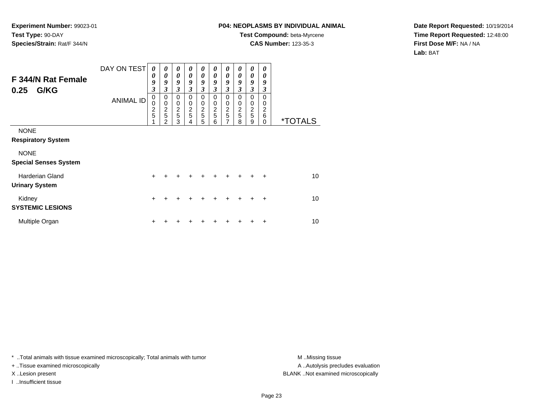## **P04: NEOPLASMS BY INDIVIDUAL ANIMAL**

**Test Compound:** beta-Myrcene**CAS Number:** 123-35-3

**Date Report Requested:** 10/19/2014**Time Report Requested:** 12:48:00**First Dose M/F:** NA / NA**Lab:** BAT

| F 344/N Rat Female<br>G/KG<br>0.25              | DAY ON TEST      | 0<br>0<br>9<br>3                     | 0<br>0<br>9<br>3                       | 0<br>0<br>9<br>3                                       | 0<br>0<br>9<br>$\mathfrak{z}$                     | 0<br>0<br>9<br>3                                          | 0<br>0<br>9<br>3                                 | 0<br>0<br>9<br>3                          | 0<br>0<br>9<br>3                                | 0<br>0<br>9<br>3                   | $\boldsymbol{\theta}$<br>0<br>9<br>3 |                       |
|-------------------------------------------------|------------------|--------------------------------------|----------------------------------------|--------------------------------------------------------|---------------------------------------------------|-----------------------------------------------------------|--------------------------------------------------|-------------------------------------------|-------------------------------------------------|------------------------------------|--------------------------------------|-----------------------|
|                                                 | <b>ANIMAL ID</b> | 0<br>$\Omega$<br>$\overline{c}$<br>5 | 0<br>$\mathbf 0$<br>$\frac{2}{5}$<br>っ | $\mathbf 0$<br>$\mathbf 0$<br>$\overline{c}$<br>5<br>3 | $\mathbf 0$<br>$\mathbf 0$<br>$\overline{c}$<br>5 | $\mathbf 0$<br>0<br>$\overline{2}$<br>$\overline{5}$<br>5 | $\mathbf 0$<br>$\mathbf 0$<br>$\frac{2}{5}$<br>6 | $\Omega$<br>0<br>$\overline{c}$<br>5<br>7 | 0<br>0<br>$\overline{c}$<br>$\overline{5}$<br>8 | 0<br>0<br>$\overline{c}$<br>5<br>9 | $\Omega$<br>0<br>2<br>6<br>0         | <i><b>*TOTALS</b></i> |
| <b>NONE</b><br><b>Respiratory System</b>        |                  |                                      |                                        |                                                        |                                                   |                                                           |                                                  |                                           |                                                 |                                    |                                      |                       |
| <b>NONE</b><br><b>Special Senses System</b>     |                  |                                      |                                        |                                                        |                                                   |                                                           |                                                  |                                           |                                                 |                                    |                                      |                       |
| <b>Harderian Gland</b><br><b>Urinary System</b> |                  | $\ddot{}$                            |                                        |                                                        |                                                   |                                                           |                                                  |                                           |                                                 | +                                  | ÷                                    | 10                    |
| Kidney<br><b>SYSTEMIC LESIONS</b>               |                  | $\ddot{}$                            |                                        |                                                        |                                                   |                                                           |                                                  | ٠                                         | ٠                                               | +                                  | $\ddot{}$                            | 10                    |
| Multiple Organ                                  |                  | ÷                                    |                                        |                                                        |                                                   |                                                           |                                                  |                                           |                                                 | +                                  | ÷                                    | 10                    |

\* ..Total animals with tissue examined microscopically; Total animals with tumor **M** . Missing tissue M ..Missing tissue

+ ..Tissue examined microscopically

I ..Insufficient tissue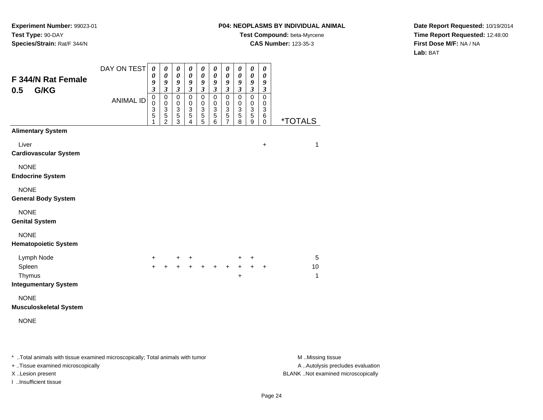## **P04: NEOPLASMS BY INDIVIDUAL ANIMAL**

**Test Compound:** beta-Myrcene

**CAS Number:** 123-35-3

**Date Report Requested:** 10/19/2014**Time Report Requested:** 12:48:00**First Dose M/F:** NA / NA**Lab:** BAT

| F 344/N Rat Female<br>G/KG<br>0.5          | DAY ON TEST      | $\boldsymbol{\theta}$<br>0<br>9<br>$\mathfrak{z}$    | $\pmb{\theta}$<br>$\pmb{\theta}$<br>9<br>$\overline{\mathbf{3}}$                          | 0<br>$\boldsymbol{\theta}$<br>9<br>$\mathfrak{z}$            | $\boldsymbol{\theta}$<br>$\boldsymbol{\theta}$<br>9<br>$\mathfrak{z}$ | $\boldsymbol{\theta}$<br>0<br>9<br>$\boldsymbol{\mathfrak{z}}$             | $\pmb{\theta}$<br>$\boldsymbol{\theta}$<br>9<br>$\mathfrak{z}$ | 0<br>$\pmb{\theta}$<br>9<br>$\overline{\mathbf{3}}$                  | 0<br>$\boldsymbol{\theta}$<br>9<br>$\mathfrak{z}$                              | $\pmb{\theta}$<br>$\boldsymbol{\theta}$<br>9<br>$\overline{\mathbf{3}}$ | $\boldsymbol{\theta}$<br>$\boldsymbol{\theta}$<br>9<br>$\mathfrak{z}$ |                       |
|--------------------------------------------|------------------|------------------------------------------------------|-------------------------------------------------------------------------------------------|--------------------------------------------------------------|-----------------------------------------------------------------------|----------------------------------------------------------------------------|----------------------------------------------------------------|----------------------------------------------------------------------|--------------------------------------------------------------------------------|-------------------------------------------------------------------------|-----------------------------------------------------------------------|-----------------------|
|                                            | <b>ANIMAL ID</b> | $\pmb{0}$<br>$\mathbf 0$<br>3<br>$\overline{5}$<br>1 | $\mathbf 0$<br>$\pmb{0}$<br>$\ensuremath{\mathsf{3}}$<br>$\overline{5}$<br>$\overline{c}$ | $\mathbf 0$<br>$\mathbf 0$<br>$\sqrt{3}$<br>$\,$ 5 $\,$<br>3 | $\pmb{0}$<br>$\pmb{0}$<br>$\frac{3}{5}$<br>$\overline{4}$             | $\pmb{0}$<br>$\pmb{0}$<br>$\ensuremath{\mathsf{3}}$<br>$\overline{5}$<br>5 | $\mathsf 0$<br>$\pmb{0}$<br>$\frac{3}{5}$<br>6                 | 0<br>$\mathbf 0$<br>$\ensuremath{\mathsf{3}}$<br>5<br>$\overline{7}$ | $\mathbf 0$<br>$\mathbf 0$<br>$\ensuremath{\mathsf{3}}$<br>$\overline{5}$<br>8 | $\mathbf 0$<br>0<br>$\ensuremath{\mathsf{3}}$<br>$\sqrt{5}$<br>9        | $\mathbf 0$<br>0<br>$\ensuremath{\mathsf{3}}$<br>6<br>0               | <i><b>*TOTALS</b></i> |
| <b>Alimentary System</b>                   |                  |                                                      |                                                                                           |                                                              |                                                                       |                                                                            |                                                                |                                                                      |                                                                                |                                                                         |                                                                       |                       |
| Liver<br><b>Cardiovascular System</b>      |                  |                                                      |                                                                                           |                                                              |                                                                       |                                                                            |                                                                |                                                                      |                                                                                |                                                                         | $\ddot{}$                                                             | 1                     |
| <b>NONE</b><br><b>Endocrine System</b>     |                  |                                                      |                                                                                           |                                                              |                                                                       |                                                                            |                                                                |                                                                      |                                                                                |                                                                         |                                                                       |                       |
| <b>NONE</b><br><b>General Body System</b>  |                  |                                                      |                                                                                           |                                                              |                                                                       |                                                                            |                                                                |                                                                      |                                                                                |                                                                         |                                                                       |                       |
| <b>NONE</b><br><b>Genital System</b>       |                  |                                                      |                                                                                           |                                                              |                                                                       |                                                                            |                                                                |                                                                      |                                                                                |                                                                         |                                                                       |                       |
| <b>NONE</b><br><b>Hematopoietic System</b> |                  |                                                      |                                                                                           |                                                              |                                                                       |                                                                            |                                                                |                                                                      |                                                                                |                                                                         |                                                                       |                       |
| Lymph Node                                 |                  | $+$                                                  |                                                                                           | +                                                            | $\ddot{}$                                                             |                                                                            |                                                                |                                                                      | +                                                                              | +                                                                       |                                                                       | 5                     |
| Spleen                                     |                  | $+$                                                  | $+$                                                                                       | $\ddot{+}$                                                   |                                                                       | $+ + +$                                                                    |                                                                | $+$                                                                  | $+$                                                                            | $+$                                                                     | $\ddot{}$                                                             | 10<br>1               |
| Thymus<br><b>Integumentary System</b>      |                  |                                                      |                                                                                           |                                                              |                                                                       |                                                                            |                                                                |                                                                      | +                                                                              |                                                                         |                                                                       |                       |
| <b>NONE</b>                                |                  |                                                      |                                                                                           |                                                              |                                                                       |                                                                            |                                                                |                                                                      |                                                                                |                                                                         |                                                                       |                       |
| <b>Musculoskeletal System</b>              |                  |                                                      |                                                                                           |                                                              |                                                                       |                                                                            |                                                                |                                                                      |                                                                                |                                                                         |                                                                       |                       |
| <b>NONE</b>                                |                  |                                                      |                                                                                           |                                                              |                                                                       |                                                                            |                                                                |                                                                      |                                                                                |                                                                         |                                                                       |                       |
|                                            |                  |                                                      |                                                                                           |                                                              |                                                                       |                                                                            |                                                                |                                                                      |                                                                                |                                                                         |                                                                       |                       |
|                                            |                  |                                                      |                                                                                           |                                                              |                                                                       |                                                                            |                                                                |                                                                      |                                                                                |                                                                         |                                                                       |                       |

\* ..Total animals with tissue examined microscopically; Total animals with tumor **M** . Missing tissue M ..Missing tissue

+ ..Tissue examined microscopically

I ..Insufficient tissue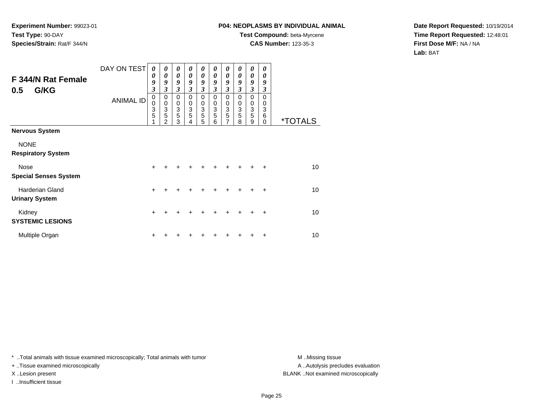# **P04: NEOPLASMS BY INDIVIDUAL ANIMAL**

**Test Compound:** beta-Myrcene**CAS Number:** 123-35-3

**Date Report Requested:** 10/19/2014**Time Report Requested:** 12:48:01**First Dose M/F:** NA / NA**Lab:** BAT

| F 344/N Rat Female<br>G/KG<br>0.5               | DAY ON TEST      | 0<br>0<br>9<br>3 | 0<br>0<br>9<br>3                | 0<br>$\boldsymbol{\theta}$<br>9<br>$\mathfrak{z}$  | 0<br>$\boldsymbol{\theta}$<br>9<br>3 | 0<br>$\boldsymbol{\theta}$<br>9<br>$\mathfrak{z}$    | 0<br>0<br>9<br>3      | 0<br>0<br>9<br>$\mathfrak{z}$                 | 0<br>0<br>9<br>3      | 0<br>0<br>9<br>$\mathfrak{z}$        | 0<br>0<br>9<br>3             |                       |
|-------------------------------------------------|------------------|------------------|---------------------------------|----------------------------------------------------|--------------------------------------|------------------------------------------------------|-----------------------|-----------------------------------------------|-----------------------|--------------------------------------|------------------------------|-----------------------|
|                                                 | <b>ANIMAL ID</b> | 0<br>0<br>3<br>5 | 0<br>$\mathbf 0$<br>3<br>5<br>2 | $\mathbf 0$<br>$\pmb{0}$<br>$\mathbf{3}$<br>5<br>3 | $\Omega$<br>0<br>3<br>5              | $\mathbf 0$<br>$\pmb{0}$<br>$\overline{3}$<br>5<br>5 | 0<br>0<br>3<br>5<br>6 | 0<br>0<br>$\ensuremath{\mathsf{3}}$<br>5<br>7 | 0<br>0<br>3<br>5<br>8 | 0<br>$\pmb{0}$<br>$\frac{3}{5}$<br>9 | 0<br>0<br>3<br>6<br>$\Omega$ | <i><b>*TOTALS</b></i> |
| <b>Nervous System</b>                           |                  |                  |                                 |                                                    |                                      |                                                      |                       |                                               |                       |                                      |                              |                       |
| <b>NONE</b><br><b>Respiratory System</b>        |                  |                  |                                 |                                                    |                                      |                                                      |                       |                                               |                       |                                      |                              |                       |
| Nose<br><b>Special Senses System</b>            |                  | $\ddot{}$        |                                 |                                                    |                                      |                                                      |                       |                                               |                       |                                      | $\ddot{}$                    | 10                    |
| <b>Harderian Gland</b><br><b>Urinary System</b> |                  | $\ddot{}$        |                                 |                                                    |                                      |                                                      |                       | +                                             | +                     |                                      | $\div$                       | 10                    |
| Kidney<br><b>SYSTEMIC LESIONS</b>               |                  | $\ddot{}$        |                                 |                                                    |                                      |                                                      |                       |                                               |                       |                                      | ٠                            | 10                    |
| Multiple Organ                                  |                  |                  |                                 |                                                    |                                      |                                                      |                       |                                               |                       |                                      |                              | 10                    |

\* ..Total animals with tissue examined microscopically; Total animals with tumor **M** . Missing tissue M ..Missing tissue

+ ..Tissue examined microscopically

I ..Insufficient tissue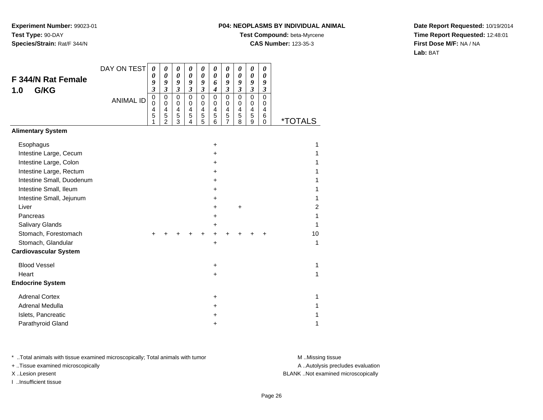### **P04: NEOPLASMS BY INDIVIDUAL ANIMAL**

**Test Compound:** beta-Myrcene

**CAS Number:** 123-35-3

**Date Report Requested:** 10/19/2014**Time Report Requested:** 12:48:01**First Dose M/F:** NA / NA**Lab:** BAT

| <b>F 344/N Rat Female</b><br>G/KG<br>1.0 | DAY ON TEST      | $\boldsymbol{\theta}$<br>0<br>9<br>$\overline{\mathbf{3}}$<br>$\mathbf 0$ | 0<br>$\boldsymbol{\theta}$<br>9<br>$\overline{\mathbf{3}}$<br>$\mathbf 0$ | 0<br>$\boldsymbol{\theta}$<br>9<br>$\boldsymbol{\mathfrak{z}}$<br>$\mathbf 0$ | $\boldsymbol{\theta}$<br>0<br>9<br>$\mathfrak{z}$<br>$\mathbf 0$ | 0<br>$\pmb{\theta}$<br>9<br>$\mathfrak{z}$<br>$\mathbf 0$ | 0<br>$\boldsymbol{\theta}$<br>6<br>$\boldsymbol{4}$<br>$\mathbf 0$ | 0<br>$\boldsymbol{\theta}$<br>9<br>$\mathfrak{z}$<br>$\pmb{0}$ | $\boldsymbol{\theta}$<br>0<br>9<br>$\mathfrak{z}$<br>$\mathbf 0$ | $\boldsymbol{\theta}$<br>$\boldsymbol{\theta}$<br>9<br>$\mathfrak{z}$<br>$\mathbf 0$ | 0<br>0<br>9<br>$\mathfrak{z}$<br>$\mathbf 0$ |                       |
|------------------------------------------|------------------|---------------------------------------------------------------------------|---------------------------------------------------------------------------|-------------------------------------------------------------------------------|------------------------------------------------------------------|-----------------------------------------------------------|--------------------------------------------------------------------|----------------------------------------------------------------|------------------------------------------------------------------|--------------------------------------------------------------------------------------|----------------------------------------------|-----------------------|
|                                          | <b>ANIMAL ID</b> | 0<br>$\overline{4}$<br>5<br>1                                             | $\mathbf 0$<br>$\overline{4}$<br>5<br>$\overline{2}$                      | $\pmb{0}$<br>4<br>5<br>3                                                      | $\pmb{0}$<br>$\overline{4}$<br>5<br>4                            | 0<br>4<br>5<br>$\overline{5}$                             | 0<br>4<br>5<br>6                                                   | 0<br>4<br>$\mathbf 5$<br>$\overline{7}$                        | 0<br>$\overline{\mathbf{4}}$<br>5<br>8                           | 0<br>$\overline{\mathbf{4}}$<br>5<br>9                                               | 0<br>4<br>6<br>$\Omega$                      | <i><b>*TOTALS</b></i> |
| <b>Alimentary System</b>                 |                  |                                                                           |                                                                           |                                                                               |                                                                  |                                                           |                                                                    |                                                                |                                                                  |                                                                                      |                                              |                       |
| Esophagus                                |                  |                                                                           |                                                                           |                                                                               |                                                                  |                                                           | +                                                                  |                                                                |                                                                  |                                                                                      |                                              | 1                     |
| Intestine Large, Cecum                   |                  |                                                                           |                                                                           |                                                                               |                                                                  |                                                           | $\ddot{}$                                                          |                                                                |                                                                  |                                                                                      |                                              | 1                     |
| Intestine Large, Colon                   |                  |                                                                           |                                                                           |                                                                               |                                                                  |                                                           | $\pm$                                                              |                                                                |                                                                  |                                                                                      |                                              | 1                     |
| Intestine Large, Rectum                  |                  |                                                                           |                                                                           |                                                                               |                                                                  |                                                           | +                                                                  |                                                                |                                                                  |                                                                                      |                                              | 1                     |
| Intestine Small, Duodenum                |                  |                                                                           |                                                                           |                                                                               |                                                                  |                                                           | $\pm$                                                              |                                                                |                                                                  |                                                                                      |                                              | 1                     |
| Intestine Small, Ileum                   |                  |                                                                           |                                                                           |                                                                               |                                                                  |                                                           | $\pm$                                                              |                                                                |                                                                  |                                                                                      |                                              | 1                     |
| Intestine Small, Jejunum                 |                  |                                                                           |                                                                           |                                                                               |                                                                  |                                                           | $\pm$                                                              |                                                                |                                                                  |                                                                                      |                                              | 1                     |
| Liver                                    |                  |                                                                           |                                                                           |                                                                               |                                                                  |                                                           | +                                                                  |                                                                | $\ddot{}$                                                        |                                                                                      |                                              | $\overline{c}$        |
| Pancreas                                 |                  |                                                                           |                                                                           |                                                                               |                                                                  |                                                           | +                                                                  |                                                                |                                                                  |                                                                                      |                                              | 1                     |
| Salivary Glands                          |                  |                                                                           |                                                                           |                                                                               |                                                                  |                                                           | +                                                                  |                                                                |                                                                  |                                                                                      |                                              | 1                     |
| Stomach, Forestomach                     |                  | ÷                                                                         |                                                                           |                                                                               |                                                                  |                                                           | +                                                                  |                                                                |                                                                  |                                                                                      |                                              | 10                    |
| Stomach, Glandular                       |                  |                                                                           |                                                                           |                                                                               |                                                                  |                                                           | +                                                                  |                                                                |                                                                  |                                                                                      |                                              | 1                     |
| <b>Cardiovascular System</b>             |                  |                                                                           |                                                                           |                                                                               |                                                                  |                                                           |                                                                    |                                                                |                                                                  |                                                                                      |                                              |                       |
| <b>Blood Vessel</b>                      |                  |                                                                           |                                                                           |                                                                               |                                                                  |                                                           | $\ddot{}$                                                          |                                                                |                                                                  |                                                                                      |                                              | 1                     |
| Heart                                    |                  |                                                                           |                                                                           |                                                                               |                                                                  |                                                           | +                                                                  |                                                                |                                                                  |                                                                                      |                                              | 1                     |
| <b>Endocrine System</b>                  |                  |                                                                           |                                                                           |                                                                               |                                                                  |                                                           |                                                                    |                                                                |                                                                  |                                                                                      |                                              |                       |
| <b>Adrenal Cortex</b>                    |                  |                                                                           |                                                                           |                                                                               |                                                                  |                                                           | $\ddot{}$                                                          |                                                                |                                                                  |                                                                                      |                                              | 1                     |
| Adrenal Medulla                          |                  |                                                                           |                                                                           |                                                                               |                                                                  |                                                           | ٠                                                                  |                                                                |                                                                  |                                                                                      |                                              | 1                     |
| Islets, Pancreatic                       |                  |                                                                           |                                                                           |                                                                               |                                                                  |                                                           | +                                                                  |                                                                |                                                                  |                                                                                      |                                              | 1                     |
| Parathyroid Gland                        |                  |                                                                           |                                                                           |                                                                               |                                                                  |                                                           | +                                                                  |                                                                |                                                                  |                                                                                      |                                              | 1                     |

\* ..Total animals with tissue examined microscopically; Total animals with tumor **M** . Missing tissue M ..Missing tissue

+ ..Tissue examined microscopically

I ..Insufficient tissue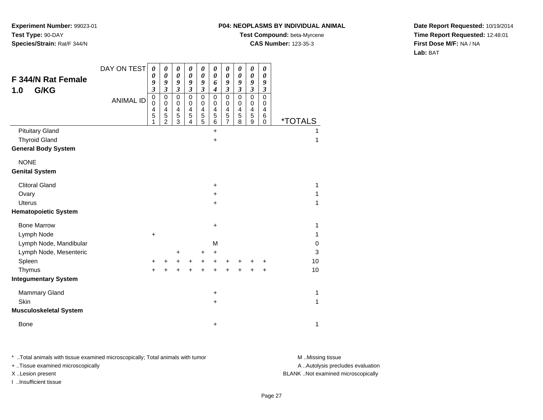#### **P04: NEOPLASMS BY INDIVIDUAL ANIMAL**

**Test Compound:** beta-Myrcene

**CAS Number:** 123-35-3

**Date Report Requested:** 10/19/2014**Time Report Requested:** 12:48:01**First Dose M/F:** NA / NA**Lab:** BAT

|                               | DAY ON TEST      | 0                          | 0                        | 0                             | 0                          | 0                          | 0                          | 0                          | 0                          | 0                        | 0                           |                       |    |
|-------------------------------|------------------|----------------------------|--------------------------|-------------------------------|----------------------------|----------------------------|----------------------------|----------------------------|----------------------------|--------------------------|-----------------------------|-----------------------|----|
| <b>F 344/N Rat Female</b>     |                  | 0<br>9                     | 0<br>9                   | $\pmb{\theta}$<br>9           | $\boldsymbol{\theta}$<br>9 | $\boldsymbol{\theta}$<br>9 | $\boldsymbol{\theta}$<br>6 | $\boldsymbol{\theta}$<br>9 | $\boldsymbol{\theta}$<br>9 | 0<br>9                   | 0<br>9                      |                       |    |
| G/KG<br>1.0                   |                  | $\mathfrak{z}$             | $\mathfrak{z}$           | $\overline{\mathbf{3}}$       | $\mathfrak{z}$             | $\mathfrak{z}$             | $\boldsymbol{4}$           | $\mathfrak{z}$             | $\mathfrak{z}$             | $\boldsymbol{\beta}$     | $\boldsymbol{\mathfrak{z}}$ |                       |    |
|                               | <b>ANIMAL ID</b> | $\mathbf 0$<br>$\mathbf 0$ | $\pmb{0}$<br>$\mathbf 0$ | $\mathbf 0$<br>0              | $\mathbf 0$<br>$\mathbf 0$ | $\pmb{0}$<br>$\pmb{0}$     | $\mathbf 0$<br>$\mathbf 0$ | $\mathbf 0$<br>$\mathbf 0$ | $\mathsf 0$<br>$\mathbf 0$ | $\mathbf 0$<br>$\pmb{0}$ | $\mathbf 0$<br>0            |                       |    |
|                               |                  | 4                          | $\overline{4}$           | 4                             | 4                          | 4                          | 4                          | 4                          | $\overline{4}$             | $\overline{\mathbf{4}}$  | 4                           |                       |    |
|                               |                  | 5<br>1                     | 5<br>$\overline{2}$      | $\mathbf 5$<br>$\overline{3}$ | 5<br>4                     | 5<br>5                     | 5<br>6                     | 5<br>$\overline{7}$        | $\sqrt{5}$<br>8            | 5<br>9                   | 6<br>$\mathbf 0$            | <i><b>*TOTALS</b></i> |    |
| <b>Pituitary Gland</b>        |                  |                            |                          |                               |                            |                            | $\ddot{}$                  |                            |                            |                          |                             |                       | 1  |
| <b>Thyroid Gland</b>          |                  |                            |                          |                               |                            |                            | +                          |                            |                            |                          |                             |                       | 1  |
| <b>General Body System</b>    |                  |                            |                          |                               |                            |                            |                            |                            |                            |                          |                             |                       |    |
| <b>NONE</b>                   |                  |                            |                          |                               |                            |                            |                            |                            |                            |                          |                             |                       |    |
| <b>Genital System</b>         |                  |                            |                          |                               |                            |                            |                            |                            |                            |                          |                             |                       |    |
| <b>Clitoral Gland</b>         |                  |                            |                          |                               |                            |                            | $\ddot{}$                  |                            |                            |                          |                             |                       | 1  |
| Ovary                         |                  |                            |                          |                               |                            |                            | +                          |                            |                            |                          |                             |                       | 1  |
| Uterus                        |                  |                            |                          |                               |                            |                            | +                          |                            |                            |                          |                             |                       | 1  |
| <b>Hematopoietic System</b>   |                  |                            |                          |                               |                            |                            |                            |                            |                            |                          |                             |                       |    |
| <b>Bone Marrow</b>            |                  |                            |                          |                               |                            |                            | +                          |                            |                            |                          |                             |                       | 1  |
| Lymph Node                    |                  | $\ddot{}$                  |                          |                               |                            |                            |                            |                            |                            |                          |                             |                       | 1  |
| Lymph Node, Mandibular        |                  |                            |                          |                               |                            |                            | M                          |                            |                            |                          |                             |                       | 0  |
| Lymph Node, Mesenteric        |                  |                            |                          | +                             |                            | +                          | +                          |                            |                            |                          |                             |                       | 3  |
| Spleen                        |                  | +                          | +                        | +                             | +                          | +                          | +                          | +                          | ٠                          |                          | +                           |                       | 10 |
| Thymus                        |                  | $\ddot{}$                  |                          | +                             | $\ddot{}$                  | $\ddot{}$                  | $\ddot{}$                  | +                          | +                          |                          | +                           |                       | 10 |
| <b>Integumentary System</b>   |                  |                            |                          |                               |                            |                            |                            |                            |                            |                          |                             |                       |    |
| <b>Mammary Gland</b>          |                  |                            |                          |                               |                            |                            | +                          |                            |                            |                          |                             |                       | 1  |
| Skin                          |                  |                            |                          |                               |                            |                            | $\ddot{}$                  |                            |                            |                          |                             |                       | 1  |
| <b>Musculoskeletal System</b> |                  |                            |                          |                               |                            |                            |                            |                            |                            |                          |                             |                       |    |
| <b>Bone</b>                   |                  |                            |                          |                               |                            |                            | +                          |                            |                            |                          |                             |                       | 1  |

\* ..Total animals with tissue examined microscopically; Total animals with tumor **M** . Missing tissue M ..Missing tissue

+ ..Tissue examined microscopically

I ..Insufficient tissue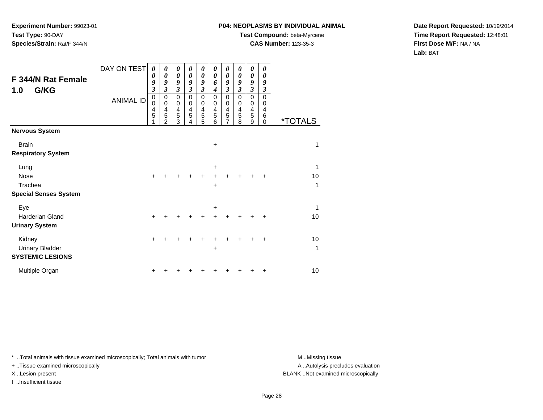### **P04: NEOPLASMS BY INDIVIDUAL ANIMAL**

**Test Compound:** beta-Myrcene

**CAS Number:** 123-35-3

**Date Report Requested:** 10/19/2014**Time Report Requested:** 12:48:01**First Dose M/F:** NA / NA**Lab:** BAT

| F 344/N Rat Female<br>G/KG<br>1.0                           | DAY ON TEST<br><b>ANIMAL ID</b> | $\boldsymbol{\theta}$<br>0<br>9<br>$\overline{\mathbf{3}}$<br>$\mathbf 0$<br>$\mathbf 0$<br>4<br>5<br>1 | 0<br>0<br>9<br>$\overline{\mathbf{3}}$<br>0<br>0<br>4<br>5<br>$\overline{2}$ | 0<br>$\boldsymbol{\theta}$<br>9<br>$\mathfrak{z}$<br>$\mathbf 0$<br>$\mathbf 0$<br>4<br>5<br>3 | 0<br>$\boldsymbol{\theta}$<br>9<br>$\overline{\mathbf{3}}$<br>$\mathbf 0$<br>0<br>4<br>5<br>4 | 0<br>$\boldsymbol{\theta}$<br>9<br>$\mathfrak{z}$<br>$\mathbf 0$<br>$\mathbf 0$<br>$\overline{4}$<br>$\sqrt{5}$<br>5 | 0<br>0<br>6<br>4<br>$\mathbf 0$<br>0<br>4<br>5<br>6 | 0<br>0<br>9<br>$\mathfrak{z}$<br>$\pmb{0}$<br>$\mathbf 0$<br>$\overline{\mathbf{4}}$<br>$\mathbf 5$<br>$\overline{7}$ | 0<br>0<br>9<br>$\mathfrak{z}$<br>$\mathbf 0$<br>0<br>4<br>5<br>8 | 0<br>0<br>9<br>$\mathfrak{z}$<br>0<br>0<br>4<br>5<br>9 | 0<br>0<br>9<br>3<br>$\Omega$<br>0<br>4<br>6<br>$\mathbf 0$ | <i><b>*TOTALS</b></i> |
|-------------------------------------------------------------|---------------------------------|---------------------------------------------------------------------------------------------------------|------------------------------------------------------------------------------|------------------------------------------------------------------------------------------------|-----------------------------------------------------------------------------------------------|----------------------------------------------------------------------------------------------------------------------|-----------------------------------------------------|-----------------------------------------------------------------------------------------------------------------------|------------------------------------------------------------------|--------------------------------------------------------|------------------------------------------------------------|-----------------------|
| <b>Nervous System</b>                                       |                                 |                                                                                                         |                                                                              |                                                                                                |                                                                                               |                                                                                                                      |                                                     |                                                                                                                       |                                                                  |                                                        |                                                            |                       |
| <b>Brain</b><br><b>Respiratory System</b>                   |                                 |                                                                                                         |                                                                              |                                                                                                |                                                                                               |                                                                                                                      | $\ddot{}$                                           |                                                                                                                       |                                                                  |                                                        |                                                            | 1                     |
| Lung                                                        |                                 |                                                                                                         |                                                                              |                                                                                                |                                                                                               |                                                                                                                      | $\ddot{}$                                           |                                                                                                                       |                                                                  |                                                        |                                                            | $\mathbf{1}$          |
| <b>Nose</b>                                                 |                                 | $\ddot{}$                                                                                               |                                                                              |                                                                                                | +                                                                                             | +                                                                                                                    | +                                                   |                                                                                                                       |                                                                  |                                                        | $\ddot{}$                                                  | 10                    |
| Trachea<br><b>Special Senses System</b>                     |                                 |                                                                                                         |                                                                              |                                                                                                |                                                                                               |                                                                                                                      | $+$                                                 |                                                                                                                       |                                                                  |                                                        |                                                            | $\mathbf 1$           |
| Eye                                                         |                                 |                                                                                                         |                                                                              |                                                                                                |                                                                                               |                                                                                                                      | $\ddot{}$                                           |                                                                                                                       |                                                                  |                                                        |                                                            | $\mathbf{1}$          |
| Harderian Gland                                             |                                 | $\ddot{}$                                                                                               |                                                                              |                                                                                                |                                                                                               |                                                                                                                      |                                                     |                                                                                                                       |                                                                  |                                                        | +                                                          | 10                    |
| <b>Urinary System</b>                                       |                                 |                                                                                                         |                                                                              |                                                                                                |                                                                                               |                                                                                                                      |                                                     |                                                                                                                       |                                                                  |                                                        |                                                            |                       |
| Kidney<br><b>Urinary Bladder</b><br><b>SYSTEMIC LESIONS</b> |                                 | $\ddot{}$                                                                                               |                                                                              |                                                                                                |                                                                                               |                                                                                                                      | $\ddot{}$                                           |                                                                                                                       |                                                                  |                                                        | +                                                          | 10<br>$\mathbf 1$     |
| Multiple Organ                                              |                                 | +                                                                                                       |                                                                              |                                                                                                |                                                                                               |                                                                                                                      |                                                     |                                                                                                                       |                                                                  |                                                        | ٠                                                          | 10                    |

\* ..Total animals with tissue examined microscopically; Total animals with tumor **M** . Missing tissue M ..Missing tissue

+ ..Tissue examined microscopically

I ..Insufficient tissue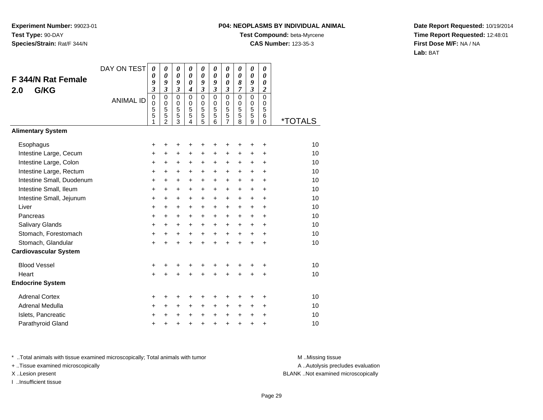## **P04: NEOPLASMS BY INDIVIDUAL ANIMAL**

**Test Compound:** beta-Myrcene

**CAS Number:** 123-35-3

**Date Report Requested:** 10/19/2014**Time Report Requested:** 12:48:01**First Dose M/F:** NA / NA**Lab:** BAT

| <b>F 344/N Rat Female</b><br>G/KG<br>2.0 | DAY ON TEST      | 0<br>0<br>9<br>$\boldsymbol{\beta}$     | 0<br>0<br>9<br>$\mathfrak{z}$                          | 0<br>0<br>9<br>$\mathfrak{z}$                          | 0<br>0<br>0<br>$\boldsymbol{4}$        | $\pmb{\theta}$<br>0<br>9<br>3   | 0<br>$\boldsymbol{\theta}$<br>9<br>$\overline{\mathbf{3}}$ | 0<br>0<br>0<br>3                         | 0<br>0<br>8<br>7                       | 0<br>0<br>9<br>$\overline{\mathbf{3}}$ | 0<br>0<br>$\boldsymbol{\theta}$<br>$\boldsymbol{2}$ |                       |
|------------------------------------------|------------------|-----------------------------------------|--------------------------------------------------------|--------------------------------------------------------|----------------------------------------|---------------------------------|------------------------------------------------------------|------------------------------------------|----------------------------------------|----------------------------------------|-----------------------------------------------------|-----------------------|
|                                          | <b>ANIMAL ID</b> | $\pmb{0}$<br>$\mathbf 0$<br>5<br>5<br>1 | $\mathbf 0$<br>$\mathbf 0$<br>5<br>5<br>$\overline{2}$ | $\mathbf 0$<br>$\mathbf 0$<br>5<br>5<br>$\overline{3}$ | $\mathbf 0$<br>$\Omega$<br>5<br>5<br>4 | $\mathbf 0$<br>0<br>5<br>5<br>5 | $\mathbf 0$<br>$\Omega$<br>5<br>5<br>6                     | $\mathbf 0$<br>0<br>5<br>$\sqrt{5}$<br>7 | $\mathbf 0$<br>$\Omega$<br>5<br>5<br>8 | 0<br>$\Omega$<br>5<br>5<br>9           | $\mathbf 0$<br>$\Omega$<br>5<br>6<br>0              | <i><b>*TOTALS</b></i> |
| <b>Alimentary System</b>                 |                  |                                         |                                                        |                                                        |                                        |                                 |                                                            |                                          |                                        |                                        |                                                     |                       |
| Esophagus                                |                  | +                                       | +                                                      | +                                                      | +                                      | ٠                               | +                                                          | +                                        |                                        | ٠                                      | +                                                   | 10                    |
| Intestine Large, Cecum                   |                  | +                                       | $\ddot{}$                                              | $\ddot{}$                                              | $\ddot{}$                              | $\ddot{}$                       | $\ddot{}$                                                  | $\ddot{}$                                | $\ddot{}$                              | $\ddot{}$                              | $\ddot{}$                                           | 10                    |
| Intestine Large, Colon                   |                  | $\ddot{}$                               | +                                                      | +                                                      | $\pm$                                  | $\ddot{}$                       | $\ddot{}$                                                  | +                                        | $\ddot{}$                              | $\pm$                                  | $\ddot{}$                                           | 10                    |
| Intestine Large, Rectum                  |                  | +                                       | +                                                      | +                                                      | +                                      | $\ddot{}$                       | +                                                          | +                                        | $\ddot{}$                              | $\ddot{}$                              | +                                                   | 10                    |
| Intestine Small, Duodenum                |                  | +                                       | $\ddot{}$                                              | +                                                      | $+$                                    | $\ddot{}$                       | $\ddot{}$                                                  | $\ddot{}$                                | $\ddot{}$                              | $\ddot{}$                              | $\ddot{}$                                           | 10                    |
| Intestine Small, Ileum                   |                  | +                                       | +                                                      | +                                                      | +                                      | $\ddot{}$                       | +                                                          | +                                        | +                                      | $\ddot{}$                              | +                                                   | 10                    |
| Intestine Small, Jejunum                 |                  | $\ddot{}$                               | $\ddot{}$                                              | $\ddot{}$                                              | $\ddot{}$                              | $\ddot{}$                       | $\ddot{}$                                                  | $\ddot{}$                                | $\ddot{}$                              | $\ddot{}$                              | $\ddot{}$                                           | 10                    |
| Liver                                    |                  | $\ddot{}$                               | $\ddot{}$                                              | +                                                      | $\ddot{}$                              | $\ddot{}$                       | +                                                          | $\ddot{}$                                | $\ddot{}$                              | $\ddot{}$                              | +                                                   | 10                    |
| Pancreas                                 |                  | $\ddot{}$                               | $\ddot{}$                                              | $\ddot{}$                                              | $\ddot{}$                              | $+$                             | $\ddot{}$                                                  | $\ddot{}$                                | $\ddot{}$                              | $\ddot{}$                              | $\ddot{}$                                           | 10                    |
| Salivary Glands                          |                  | +                                       | +                                                      | +                                                      | $\ddot{}$                              | $\pm$                           | $\pm$                                                      | $\pm$                                    | $\ddot{}$                              | $\pm$                                  | $\ddot{}$                                           | 10                    |
| Stomach, Forestomach                     |                  | $\ddot{}$                               | $\ddot{}$                                              | $\ddot{}$                                              | $\ddot{}$                              | $\ddot{}$                       | $\ddot{}$                                                  | $\ddot{}$                                | $\ddot{}$                              | $\ddot{}$                              | $\ddot{}$                                           | 10                    |
| Stomach, Glandular                       |                  | $\ddot{}$                               | ÷                                                      | $\ddot{}$                                              | $\ddot{}$                              | $+$                             | $\ddot{}$                                                  | $\ddot{}$                                | ÷                                      | $\ddot{}$                              | $\ddot{}$                                           | 10                    |
| <b>Cardiovascular System</b>             |                  |                                         |                                                        |                                                        |                                        |                                 |                                                            |                                          |                                        |                                        |                                                     |                       |
| <b>Blood Vessel</b>                      |                  | +                                       | +                                                      | +                                                      |                                        | +                               | +                                                          | +                                        |                                        | ٠                                      | +                                                   | 10                    |
| Heart                                    |                  | $\ddot{}$                               | $\ddot{}$                                              | $\ddot{}$                                              | $\ddot{}$                              | $\ddot{}$                       | $\ddot{}$                                                  | $\ddot{}$                                | $\ddot{}$                              | +                                      | +                                                   | 10                    |
| <b>Endocrine System</b>                  |                  |                                         |                                                        |                                                        |                                        |                                 |                                                            |                                          |                                        |                                        |                                                     |                       |
| <b>Adrenal Cortex</b>                    |                  | +                                       | +                                                      | +                                                      |                                        | ٠                               | +                                                          |                                          |                                        | +                                      | $\ddot{}$                                           | 10                    |
| Adrenal Medulla                          |                  | +                                       | $\ddot{}$                                              | $\ddot{}$                                              | $\ddot{}$                              | $\ddot{}$                       | $\ddot{}$                                                  | +                                        | $\ddot{}$                              | $\ddot{}$                              | $\ddot{}$                                           | 10                    |
| Islets, Pancreatic                       |                  | +                                       | +                                                      | +                                                      | $\pm$                                  | $\ddot{}$                       | +                                                          | $\ddot{}$                                | $\ddot{}$                              | +                                      | $\ddot{}$                                           | 10                    |
| Parathyroid Gland                        |                  | $\ddot{}$                               | +                                                      | +                                                      | $\ddot{}$                              | $\ddot{}$                       | +                                                          | $\ddot{}$                                | $\ddot{}$                              | $\ddot{}$                              | +                                                   | 10                    |

\* ..Total animals with tissue examined microscopically; Total animals with tumor **M** . Missing tissue M ..Missing tissue

+ ..Tissue examined microscopically

I ..Insufficient tissue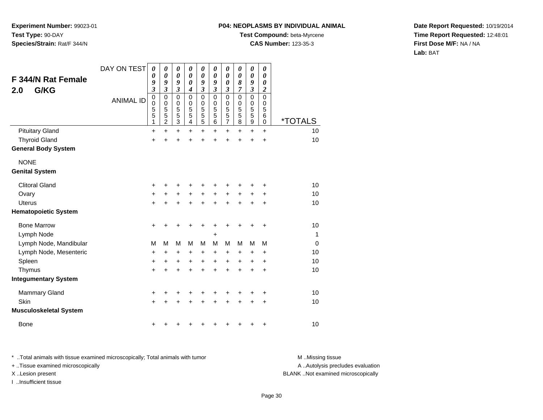#### **P04: NEOPLASMS BY INDIVIDUAL ANIMAL**

**Test Compound:** beta-Myrcene

**CAS Number:** 123-35-3

**Date Report Requested:** 10/19/2014**Time Report Requested:** 12:48:01**First Dose M/F:** NA / NA**Lab:** BAT

| <b>F 344/N Rat Female</b><br>G/KG<br>2.0 | DAY ON TEST<br><b>ANIMAL ID</b> | 0<br>0<br>9<br>$\overline{\mathbf{3}}$<br>0<br>$\boldsymbol{0}$<br>5<br>5<br>1 | 0<br>0<br>9<br>$\overline{\mathbf{3}}$<br>0<br>$\mathbf 0$<br>5<br>5<br>$\overline{c}$ | $\boldsymbol{\theta}$<br>$\boldsymbol{\theta}$<br>9<br>$\overline{\mathbf{3}}$<br>$\mathbf 0$<br>$\mathbf 0$<br>5<br>5<br>3 | 0<br>$\boldsymbol{\theta}$<br>$\boldsymbol{\theta}$<br>$\boldsymbol{4}$<br>$\mathbf 0$<br>$\mathbf 0$<br>$\sqrt{5}$<br>5<br>$\overline{\mathbf{4}}$ | $\boldsymbol{\theta}$<br>$\boldsymbol{\theta}$<br>9<br>$\mathfrak{z}$<br>$\mathbf 0$<br>0<br>5<br>5<br>5 | 0<br>0<br>9<br>$\mathfrak{z}$<br>$\mathbf 0$<br>$\mathbf 0$<br>5<br>5<br>6 | 0<br>0<br>0<br>$\boldsymbol{\mathfrak{z}}$<br>$\mathbf 0$<br>0<br>5<br>5<br>7 | 0<br>0<br>8<br>7<br>$\mathbf 0$<br>0<br>5<br>5<br>8 | 0<br>$\boldsymbol{\theta}$<br>9<br>$\mathfrak{z}$<br>$\mathbf 0$<br>$\mathbf 0$<br>$\frac{5}{5}$<br>$\overline{9}$ | 0<br>$\boldsymbol{\theta}$<br>0<br>$\boldsymbol{2}$<br>$\mathbf 0$<br>$\mathbf 0$<br>5<br>6<br>0 | <i><b>*TOTALS</b></i> |
|------------------------------------------|---------------------------------|--------------------------------------------------------------------------------|----------------------------------------------------------------------------------------|-----------------------------------------------------------------------------------------------------------------------------|-----------------------------------------------------------------------------------------------------------------------------------------------------|----------------------------------------------------------------------------------------------------------|----------------------------------------------------------------------------|-------------------------------------------------------------------------------|-----------------------------------------------------|--------------------------------------------------------------------------------------------------------------------|--------------------------------------------------------------------------------------------------|-----------------------|
| <b>Pituitary Gland</b>                   |                                 | $\ddot{}$                                                                      | $\ddot{}$                                                                              | $\ddot{}$                                                                                                                   | $\ddot{}$                                                                                                                                           | $\ddot{}$                                                                                                | $\ddot{}$                                                                  | $\ddot{}$                                                                     | $\ddot{}$                                           | $+$                                                                                                                | $\ddot{}$                                                                                        | 10                    |
| <b>Thyroid Gland</b>                     |                                 | +                                                                              | +                                                                                      | +                                                                                                                           | +                                                                                                                                                   | +                                                                                                        | +                                                                          | +                                                                             | +                                                   | $\ddot{}$                                                                                                          | $\ddot{}$                                                                                        | 10                    |
| <b>General Body System</b>               |                                 |                                                                                |                                                                                        |                                                                                                                             |                                                                                                                                                     |                                                                                                          |                                                                            |                                                                               |                                                     |                                                                                                                    |                                                                                                  |                       |
| <b>NONE</b><br><b>Genital System</b>     |                                 |                                                                                |                                                                                        |                                                                                                                             |                                                                                                                                                     |                                                                                                          |                                                                            |                                                                               |                                                     |                                                                                                                    |                                                                                                  |                       |
| <b>Clitoral Gland</b>                    |                                 | +                                                                              |                                                                                        | +                                                                                                                           |                                                                                                                                                     |                                                                                                          |                                                                            | +                                                                             |                                                     | +                                                                                                                  | +                                                                                                | 10                    |
| Ovary                                    |                                 | +                                                                              | $\pm$                                                                                  | +                                                                                                                           | +                                                                                                                                                   | $\ddot{}$                                                                                                | $+$                                                                        | +                                                                             | $\pm$                                               | $\ddot{}$                                                                                                          | $\ddot{}$                                                                                        | 10                    |
| <b>Uterus</b>                            |                                 | $\ddot{}$                                                                      |                                                                                        | +                                                                                                                           |                                                                                                                                                     | +                                                                                                        |                                                                            | $\ddot{}$                                                                     | $\ddot{}$                                           | $\ddot{}$                                                                                                          | $\ddot{}$                                                                                        | 10                    |
| <b>Hematopoietic System</b>              |                                 |                                                                                |                                                                                        |                                                                                                                             |                                                                                                                                                     |                                                                                                          |                                                                            |                                                                               |                                                     |                                                                                                                    |                                                                                                  |                       |
| <b>Bone Marrow</b>                       |                                 | +                                                                              | +                                                                                      | +                                                                                                                           | +                                                                                                                                                   | +                                                                                                        | +                                                                          | +                                                                             | +                                                   | +                                                                                                                  | +                                                                                                | 10                    |
| Lymph Node                               |                                 |                                                                                |                                                                                        |                                                                                                                             |                                                                                                                                                     |                                                                                                          | +                                                                          |                                                                               |                                                     |                                                                                                                    |                                                                                                  | $\mathbf{1}$          |
| Lymph Node, Mandibular                   |                                 | M                                                                              | M                                                                                      | M                                                                                                                           | M                                                                                                                                                   | м                                                                                                        | M                                                                          | M                                                                             | м                                                   | M                                                                                                                  | М                                                                                                | $\Omega$              |
| Lymph Node, Mesenteric                   |                                 | +                                                                              | $\pm$                                                                                  | +                                                                                                                           | +                                                                                                                                                   | +                                                                                                        | $\ddot{}$                                                                  | +                                                                             | +                                                   | +                                                                                                                  | $\ddot{}$                                                                                        | 10                    |
| Spleen                                   |                                 | +                                                                              | +                                                                                      | +                                                                                                                           | +                                                                                                                                                   | $\ddot{}$                                                                                                | $\ddot{}$                                                                  | +                                                                             | +                                                   | +                                                                                                                  | +                                                                                                | 10                    |
| Thymus                                   |                                 | +                                                                              |                                                                                        | +                                                                                                                           |                                                                                                                                                     | $\ddot{}$                                                                                                |                                                                            | $\ddot{}$                                                                     | $\ddot{}$                                           | $\ddot{}$                                                                                                          | $\ddot{}$                                                                                        | 10                    |
| <b>Integumentary System</b>              |                                 |                                                                                |                                                                                        |                                                                                                                             |                                                                                                                                                     |                                                                                                          |                                                                            |                                                                               |                                                     |                                                                                                                    |                                                                                                  |                       |
| <b>Mammary Gland</b>                     |                                 | +                                                                              | +                                                                                      | +                                                                                                                           | +                                                                                                                                                   | +                                                                                                        | +                                                                          | +                                                                             | +                                                   | +                                                                                                                  | +                                                                                                | 10                    |
| Skin                                     |                                 | $\ddot{}$                                                                      |                                                                                        | +                                                                                                                           |                                                                                                                                                     |                                                                                                          |                                                                            | +                                                                             | +                                                   | +                                                                                                                  | +                                                                                                | 10                    |
| <b>Musculoskeletal System</b>            |                                 |                                                                                |                                                                                        |                                                                                                                             |                                                                                                                                                     |                                                                                                          |                                                                            |                                                                               |                                                     |                                                                                                                    |                                                                                                  |                       |
| <b>Bone</b>                              |                                 | +                                                                              |                                                                                        |                                                                                                                             |                                                                                                                                                     |                                                                                                          |                                                                            | ٠                                                                             | +                                                   | +                                                                                                                  | +                                                                                                | 10                    |

\* ..Total animals with tissue examined microscopically; Total animals with tumor **M** . Missing tissue M ..Missing tissue + ..Tissue examined microscopically

I ..Insufficient tissue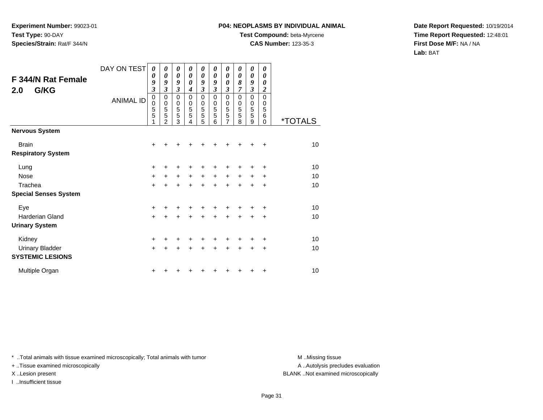### **P04: NEOPLASMS BY INDIVIDUAL ANIMAL**

**Test Compound:** beta-Myrcene

**CAS Number:** 123-35-3

**Date Report Requested:** 10/19/2014**Time Report Requested:** 12:48:01**First Dose M/F:** NA / NA**Lab:** BAT

| F 344/N Rat Female<br>G/KG<br>2.0         | DAY ON TEST<br><b>ANIMAL ID</b> | $\boldsymbol{\theta}$<br>0<br>9<br>$\boldsymbol{\beta}$<br>$\mathbf 0$<br>$\mathbf 0$<br>5<br>$\overline{5}$<br>1 | 0<br>0<br>9<br>3<br>0<br>$\mathbf 0$<br>5<br>5<br>$\mathcal{P}$ | 0<br>0<br>9<br>3<br>0<br>0<br>$\frac{5}{5}$<br>3 | 0<br>0<br>0<br>4<br>$\mathbf 0$<br>0<br>5<br>5<br>4 | 0<br>0<br>9<br>3<br>$\mathbf 0$<br>0<br>5<br>5<br>5 | 0<br>$\boldsymbol{\theta}$<br>9<br>$\mathfrak{z}$<br>$\mathbf 0$<br>$\mathbf 0$<br>5<br>5<br>6 | 0<br>0<br>0<br>$\mathfrak{z}$<br>$\mathbf 0$<br>$\mathbf 0$<br>5<br>5<br>7 | 0<br>0<br>8<br>7<br>$\mathbf 0$<br>$\mathbf 0$<br>5<br>5<br>8 | 0<br>0<br>9<br>3<br>$\mathbf 0$<br>$\mathbf 0$<br>5<br>5<br>9 | 0<br>0<br>0<br>2<br>$\mathbf 0$<br>$\mathbf 0$<br>5<br>6<br>$\Omega$ | <i><b>*TOTALS</b></i> |
|-------------------------------------------|---------------------------------|-------------------------------------------------------------------------------------------------------------------|-----------------------------------------------------------------|--------------------------------------------------|-----------------------------------------------------|-----------------------------------------------------|------------------------------------------------------------------------------------------------|----------------------------------------------------------------------------|---------------------------------------------------------------|---------------------------------------------------------------|----------------------------------------------------------------------|-----------------------|
| <b>Nervous System</b>                     |                                 |                                                                                                                   |                                                                 |                                                  |                                                     |                                                     |                                                                                                |                                                                            |                                                               |                                                               |                                                                      |                       |
| <b>Brain</b><br><b>Respiratory System</b> |                                 | +                                                                                                                 |                                                                 |                                                  |                                                     |                                                     |                                                                                                |                                                                            |                                                               |                                                               | +                                                                    | 10                    |
| Lung                                      |                                 | +                                                                                                                 |                                                                 |                                                  |                                                     |                                                     |                                                                                                |                                                                            |                                                               |                                                               | +                                                                    | 10                    |
| <b>Nose</b>                               |                                 | $\ddot{}$                                                                                                         | +                                                               | $\ddot{}$                                        | $\ddot{}$                                           | $\ddot{}$                                           | $\ddot{}$                                                                                      | $\ddot{}$                                                                  | $\ddot{}$                                                     | $\ddot{}$                                                     | +                                                                    | 10                    |
| Trachea                                   |                                 | $\ddot{}$                                                                                                         | +                                                               | $\ddot{}$                                        | $\ddot{}$                                           | $\ddot{}$                                           | $\ddot{}$                                                                                      | $\ddot{}$                                                                  | $\ddot{}$                                                     | $\ddot{}$                                                     | $\ddot{}$                                                            | 10                    |
| <b>Special Senses System</b>              |                                 |                                                                                                                   |                                                                 |                                                  |                                                     |                                                     |                                                                                                |                                                                            |                                                               |                                                               |                                                                      |                       |
| Eye                                       |                                 | +                                                                                                                 |                                                                 |                                                  |                                                     |                                                     |                                                                                                |                                                                            |                                                               |                                                               | +                                                                    | 10                    |
| Harderian Gland                           |                                 | $\ddot{}$                                                                                                         | $\ddot{}$                                                       | $\ddot{}$                                        | $\ddot{}$                                           | $\ddot{}$                                           | $\ddot{}$                                                                                      | $\ddot{}$                                                                  | $\ddot{}$                                                     | +                                                             | $\ddot{}$                                                            | 10                    |
| <b>Urinary System</b>                     |                                 |                                                                                                                   |                                                                 |                                                  |                                                     |                                                     |                                                                                                |                                                                            |                                                               |                                                               |                                                                      |                       |
| Kidney                                    |                                 | +                                                                                                                 |                                                                 | ٠                                                |                                                     | +                                                   |                                                                                                |                                                                            |                                                               |                                                               | ÷                                                                    | 10                    |
| <b>Urinary Bladder</b>                    |                                 | $+$                                                                                                               | +                                                               | $\ddot{}$                                        | $\ddot{}$                                           | $\ddot{}$                                           | $\ddot{}$                                                                                      | $\ddot{}$                                                                  | $\ddot{}$                                                     | +                                                             | $\ddot{}$                                                            | 10                    |
| <b>SYSTEMIC LESIONS</b>                   |                                 |                                                                                                                   |                                                                 |                                                  |                                                     |                                                     |                                                                                                |                                                                            |                                                               |                                                               |                                                                      |                       |
| Multiple Organ                            |                                 | +                                                                                                                 |                                                                 |                                                  |                                                     |                                                     |                                                                                                |                                                                            |                                                               | +                                                             | +                                                                    | 10                    |

\* ..Total animals with tissue examined microscopically; Total animals with tumor **M** . Missing tissue M ..Missing tissue

+ ..Tissue examined microscopically

I ..Insufficient tissue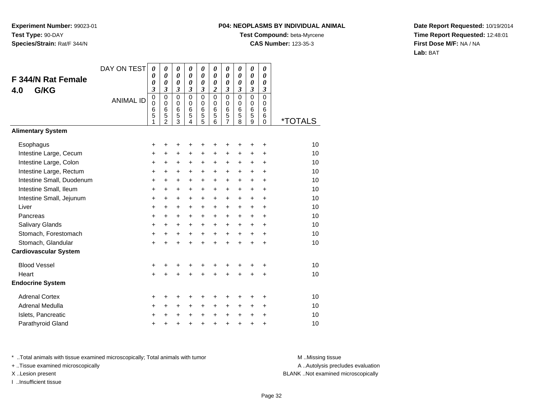## **P04: NEOPLASMS BY INDIVIDUAL ANIMAL**

**Test Compound:** beta-Myrcene

**CAS Number:** 123-35-3

**Date Report Requested:** 10/19/2014**Time Report Requested:** 12:48:01**First Dose M/F:** NA / NA**Lab:** BAT

| <b>F 344/N Rat Female</b><br>G/KG<br>4.0 | DAY ON TEST      | 0<br>0<br>0<br>$\boldsymbol{\beta}$       | 0<br>0<br>0<br>3                                       | 0<br>$\boldsymbol{\theta}$<br>$\boldsymbol{\theta}$<br>3   | 0<br>0<br>$\boldsymbol{\theta}$<br>3   | 0<br>0<br>0<br>3                             | 0<br>0<br>0<br>2             | 0<br>0<br>0<br>3                | $\boldsymbol{\theta}$<br>0<br>0<br>3   | 0<br>0<br>0<br>3                | $\boldsymbol{\theta}$<br>$\boldsymbol{\theta}$<br>$\boldsymbol{\theta}$<br>3 |                       |
|------------------------------------------|------------------|-------------------------------------------|--------------------------------------------------------|------------------------------------------------------------|----------------------------------------|----------------------------------------------|------------------------------|---------------------------------|----------------------------------------|---------------------------------|------------------------------------------------------------------------------|-----------------------|
|                                          | <b>ANIMAL ID</b> | $\mathbf 0$<br>$\mathbf 0$<br>6<br>5<br>1 | $\mathbf 0$<br>$\mathbf 0$<br>6<br>5<br>$\mathfrak{p}$ | $\mathbf 0$<br>0<br>$6\phantom{1}6$<br>5<br>$\overline{3}$ | $\mathbf 0$<br>$\Omega$<br>6<br>5<br>4 | $\mathbf 0$<br>0<br>6<br>5<br>$\overline{5}$ | 0<br>$\Omega$<br>6<br>5<br>6 | $\mathbf 0$<br>0<br>6<br>5<br>7 | $\mathbf 0$<br>$\Omega$<br>6<br>5<br>8 | $\mathbf 0$<br>0<br>6<br>5<br>9 | 0<br>$\Omega$<br>6<br>6<br>0                                                 | <i><b>*TOTALS</b></i> |
| <b>Alimentary System</b>                 |                  |                                           |                                                        |                                                            |                                        |                                              |                              |                                 |                                        |                                 |                                                                              |                       |
| Esophagus                                |                  | +                                         | +                                                      | +                                                          | +                                      | +                                            | +                            | +                               |                                        | +                               | +                                                                            | 10                    |
| Intestine Large, Cecum                   |                  | +                                         | +                                                      | +                                                          | +                                      | $\ddot{}$                                    | +                            | +                               | +                                      | $\pm$                           | +                                                                            | 10                    |
| Intestine Large, Colon                   |                  | +                                         | +                                                      | +                                                          | +                                      | $\ddot{}$                                    | $\ddot{}$                    | +                               | +                                      | +                               | +                                                                            | 10                    |
| Intestine Large, Rectum                  |                  | +                                         | +                                                      | +                                                          | $\ddot{}$                              | $\ddot{}$                                    | +                            | $\ddot{}$                       | $\ddot{}$                              | $\ddot{}$                       | +                                                                            | 10                    |
| Intestine Small, Duodenum                |                  | $\ddot{}$                                 | $\ddot{}$                                              | +                                                          | $\ddot{}$                              | $\ddot{}$                                    | $\ddot{}$                    | $\ddot{}$                       | $\ddot{}$                              | $\ddot{}$                       | +                                                                            | 10                    |
| Intestine Small, Ileum                   |                  | +                                         | +                                                      | +                                                          | $\ddot{}$                              | $\ddot{}$                                    | +                            | +                               | $\ddot{}$                              | $\ddot{}$                       | +                                                                            | 10                    |
| Intestine Small, Jejunum                 |                  | +                                         | +                                                      | +                                                          | +                                      | +                                            | $\ddot{}$                    | +                               | +                                      | +                               | +                                                                            | 10                    |
| Liver                                    |                  | $\ddot{}$                                 | $\ddot{}$                                              | $\ddot{}$                                                  | $\ddot{}$                              | $\ddot{}$                                    | +                            | $\ddot{}$                       | $\ddot{}$                              | $\ddot{}$                       | +                                                                            | 10                    |
| Pancreas                                 |                  | $\ddot{}$                                 | $\ddot{}$                                              | +                                                          | $\ddot{}$                              | $\ddot{}$                                    | +                            | $\ddot{}$                       | $\ddot{}$                              | $\ddot{}$                       | +                                                                            | 10                    |
| Salivary Glands                          |                  | +                                         | +                                                      | +                                                          | $\ddot{}$                              | $\ddot{}$                                    | +                            | $\ddot{}$                       | $\ddot{}$                              | +                               | $\ddot{}$                                                                    | 10                    |
| Stomach, Forestomach                     |                  | $\ddot{}$                                 | +                                                      | +                                                          | $\ddot{}$                              | $\ddot{}$                                    | $+$                          | $\ddot{}$                       | $\ddot{}$                              | $\ddot{}$                       | $\ddot{}$                                                                    | 10                    |
| Stomach, Glandular                       |                  | $\ddot{}$                                 | $\ddot{}$                                              | $\ddot{}$                                                  | $\ddot{}$                              | $\ddot{}$                                    | $\ddot{}$                    | $\ddot{}$                       | ÷                                      | $\ddot{}$                       | $\ddot{}$                                                                    | 10                    |
| <b>Cardiovascular System</b>             |                  |                                           |                                                        |                                                            |                                        |                                              |                              |                                 |                                        |                                 |                                                                              |                       |
| <b>Blood Vessel</b>                      |                  | +                                         | +                                                      | +                                                          |                                        | +                                            | +                            | +                               |                                        | +                               | +                                                                            | 10                    |
| Heart                                    |                  | $\ddot{}$                                 | +                                                      | $\ddot{}$                                                  | $\ddot{}$                              | $\ddot{}$                                    | $\ddot{}$                    | $\ddot{}$                       | $\ddot{}$                              | +                               | +                                                                            | 10                    |
| <b>Endocrine System</b>                  |                  |                                           |                                                        |                                                            |                                        |                                              |                              |                                 |                                        |                                 |                                                                              |                       |
| <b>Adrenal Cortex</b>                    |                  | +                                         | +                                                      | +                                                          |                                        | ٠                                            | +                            |                                 |                                        | +                               | +                                                                            | 10                    |
| Adrenal Medulla                          |                  | +                                         | $\ddot{}$                                              | $\ddot{}$                                                  | $\ddot{}$                              | $\ddot{}$                                    | $\ddot{}$                    | +                               | $\ddot{}$                              | +                               | $\ddot{}$                                                                    | 10                    |
| Islets, Pancreatic                       |                  | +                                         | +                                                      | +                                                          | $\pm$                                  | $\ddot{}$                                    | +                            | $\ddot{}$                       | $\ddot{}$                              | +                               | $\ddot{}$                                                                    | 10                    |
| Parathyroid Gland                        |                  | $\ddot{}$                                 | +                                                      | +                                                          | +                                      | $\ddot{}$                                    | +                            | $\ddot{}$                       | $\ddot{}$                              | +                               | +                                                                            | 10                    |

\* ..Total animals with tissue examined microscopically; Total animals with tumor **M** . Missing tissue M ..Missing tissue

+ ..Tissue examined microscopically

I ..Insufficient tissue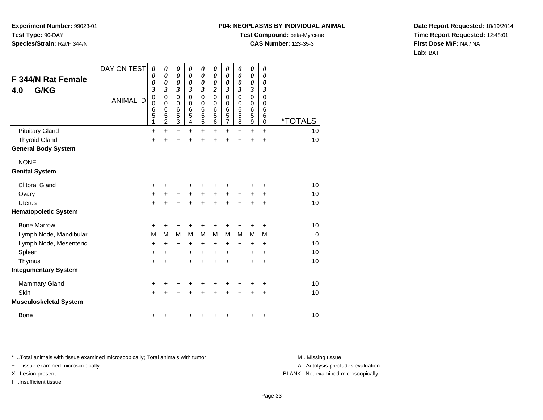#### **P04: NEOPLASMS BY INDIVIDUAL ANIMAL**

**Test Compound:** beta-Myrcene

**CAS Number:** 123-35-3

**Date Report Requested:** 10/19/2014**Time Report Requested:** 12:48:01**First Dose M/F:** NA / NA**Lab:** BAT

| F 344/N Rat Female<br>G/KG<br>4.0 | DAY ON TEST<br><b>ANIMAL ID</b> | 0<br>0<br>0<br>3<br>0<br>$\boldsymbol{0}$<br>6<br>5<br>1 | 0<br>0<br>0<br>3<br>$\mathbf 0$<br>0<br>6<br>5<br>$\overline{2}$ | $\boldsymbol{\theta}$<br>$\boldsymbol{\theta}$<br>$\boldsymbol{\theta}$<br>$\boldsymbol{\beta}$<br>$\mathbf 0$<br>0<br>6<br>5<br>$\overline{3}$ | $\boldsymbol{\theta}$<br>$\boldsymbol{\theta}$<br>$\boldsymbol{\theta}$<br>$\boldsymbol{\beta}$<br>$\mathbf 0$<br>0<br>6<br>5<br>$\overline{\mathbf{4}}$ | $\boldsymbol{\theta}$<br>$\boldsymbol{\theta}$<br>0<br>$\boldsymbol{\beta}$<br>0<br>0<br>6<br>$\overline{5}$<br>$\overline{5}$ | 0<br>0<br>0<br>$\boldsymbol{2}$<br>$\mathbf 0$<br>0<br>6<br>5<br>$\overline{6}$ | 0<br>0<br>0<br>3<br>$\mathbf 0$<br>0<br>6<br>$\frac{5}{7}$ | 0<br>0<br>0<br>3<br>$\mathbf 0$<br>$\Omega$<br>6<br>5<br>8 | $\boldsymbol{\theta}$<br>$\boldsymbol{\theta}$<br>$\boldsymbol{\theta}$<br>3<br>$\mathbf 0$<br>$\mathbf 0$<br>$6\phantom{1}6$<br>5<br>$\overline{9}$ | 0<br>0<br>0<br>$\boldsymbol{\beta}$<br>$\mathbf 0$<br>0<br>6<br>6<br>$\mathbf 0$ | <i><b>*TOTALS</b></i> |
|-----------------------------------|---------------------------------|----------------------------------------------------------|------------------------------------------------------------------|-------------------------------------------------------------------------------------------------------------------------------------------------|----------------------------------------------------------------------------------------------------------------------------------------------------------|--------------------------------------------------------------------------------------------------------------------------------|---------------------------------------------------------------------------------|------------------------------------------------------------|------------------------------------------------------------|------------------------------------------------------------------------------------------------------------------------------------------------------|----------------------------------------------------------------------------------|-----------------------|
| <b>Pituitary Gland</b>            |                                 | $\ddot{}$                                                | $\ddot{}$                                                        | $\ddot{}$                                                                                                                                       | $\ddot{}$                                                                                                                                                | $\ddot{}$                                                                                                                      | $\ddot{}$                                                                       | $\ddot{}$                                                  | $\ddot{}$                                                  | $+$                                                                                                                                                  | $\ddot{}$                                                                        | 10                    |
| <b>Thyroid Gland</b>              |                                 | $\ddot{}$                                                | +                                                                | $\ddot{}$                                                                                                                                       | +                                                                                                                                                        | $\ddot{}$                                                                                                                      |                                                                                 | $\ddot{}$                                                  | $\ddot{}$                                                  | $\ddot{}$                                                                                                                                            | $\ddot{}$                                                                        | 10                    |
| <b>General Body System</b>        |                                 |                                                          |                                                                  |                                                                                                                                                 |                                                                                                                                                          |                                                                                                                                |                                                                                 |                                                            |                                                            |                                                                                                                                                      |                                                                                  |                       |
| <b>NONE</b>                       |                                 |                                                          |                                                                  |                                                                                                                                                 |                                                                                                                                                          |                                                                                                                                |                                                                                 |                                                            |                                                            |                                                                                                                                                      |                                                                                  |                       |
| <b>Genital System</b>             |                                 |                                                          |                                                                  |                                                                                                                                                 |                                                                                                                                                          |                                                                                                                                |                                                                                 |                                                            |                                                            |                                                                                                                                                      |                                                                                  |                       |
| <b>Clitoral Gland</b>             |                                 | +                                                        | +                                                                | +                                                                                                                                               | +                                                                                                                                                        | +                                                                                                                              | +                                                                               | +                                                          | +                                                          | +                                                                                                                                                    | +                                                                                | 10                    |
| Ovary                             |                                 | +                                                        | +                                                                | $\ddot{}$                                                                                                                                       | $\ddot{}$                                                                                                                                                | $\ddot{}$                                                                                                                      | $\ddot{}$                                                                       | $\ddot{}$                                                  | $\ddot{}$                                                  | $\ddot{}$                                                                                                                                            | +                                                                                | 10                    |
| <b>Uterus</b>                     |                                 | $\ddot{}$                                                | +                                                                | $\ddot{}$                                                                                                                                       | $\ddot{}$                                                                                                                                                | $\ddot{}$                                                                                                                      | $\ddot{}$                                                                       | $\ddot{}$                                                  | $\ddot{}$                                                  | $\ddot{}$                                                                                                                                            | $\ddot{}$                                                                        | 10                    |
| <b>Hematopoietic System</b>       |                                 |                                                          |                                                                  |                                                                                                                                                 |                                                                                                                                                          |                                                                                                                                |                                                                                 |                                                            |                                                            |                                                                                                                                                      |                                                                                  |                       |
| <b>Bone Marrow</b>                |                                 | +                                                        | +                                                                | +                                                                                                                                               |                                                                                                                                                          |                                                                                                                                |                                                                                 | +                                                          | +                                                          | +                                                                                                                                                    | +                                                                                | 10                    |
| Lymph Node, Mandibular            |                                 | M                                                        | м                                                                | M                                                                                                                                               | M                                                                                                                                                        | M                                                                                                                              | M                                                                               | M                                                          | M                                                          | M                                                                                                                                                    | M                                                                                | $\Omega$              |
| Lymph Node, Mesenteric            |                                 | +                                                        | +                                                                | +                                                                                                                                               | +                                                                                                                                                        | +                                                                                                                              | $\ddot{}$                                                                       | +                                                          | +                                                          | +                                                                                                                                                    | ÷                                                                                | 10                    |
| Spleen                            |                                 | $\ddot{}$                                                | $\ddot{}$                                                        | $\ddot{}$                                                                                                                                       | $\ddot{}$                                                                                                                                                | $\ddot{}$                                                                                                                      | $\ddot{}$                                                                       | $\ddot{}$                                                  | $\ddot{}$                                                  | +                                                                                                                                                    | $\ddot{}$                                                                        | 10                    |
| Thymus                            |                                 | $\ddot{}$                                                | $\ddot{}$                                                        | $\ddot{}$                                                                                                                                       | $\ddot{}$                                                                                                                                                | $\ddot{}$                                                                                                                      | $\ddot{}$                                                                       | $\ddot{}$                                                  | $\ddot{}$                                                  | $\ddot{}$                                                                                                                                            | $\ddot{}$                                                                        | 10                    |
| <b>Integumentary System</b>       |                                 |                                                          |                                                                  |                                                                                                                                                 |                                                                                                                                                          |                                                                                                                                |                                                                                 |                                                            |                                                            |                                                                                                                                                      |                                                                                  |                       |
| <b>Mammary Gland</b>              |                                 | +                                                        | +                                                                | +                                                                                                                                               |                                                                                                                                                          |                                                                                                                                |                                                                                 | +                                                          |                                                            | +                                                                                                                                                    | +                                                                                | 10                    |
| Skin                              |                                 | +                                                        | +                                                                | +                                                                                                                                               |                                                                                                                                                          | +                                                                                                                              |                                                                                 | $\ddot{}$                                                  | $\ddot{}$                                                  | $\ddot{}$                                                                                                                                            | +                                                                                | 10                    |
| <b>Musculoskeletal System</b>     |                                 |                                                          |                                                                  |                                                                                                                                                 |                                                                                                                                                          |                                                                                                                                |                                                                                 |                                                            |                                                            |                                                                                                                                                      |                                                                                  |                       |
| <b>Bone</b>                       |                                 | +                                                        |                                                                  |                                                                                                                                                 |                                                                                                                                                          |                                                                                                                                |                                                                                 | +                                                          | +                                                          | +                                                                                                                                                    | $\ddot{}$                                                                        | 10                    |

\* ..Total animals with tissue examined microscopically; Total animals with tumor **M** . Missing tissue M ..Missing tissue

+ ..Tissue examined microscopically

I ..Insufficient tissue